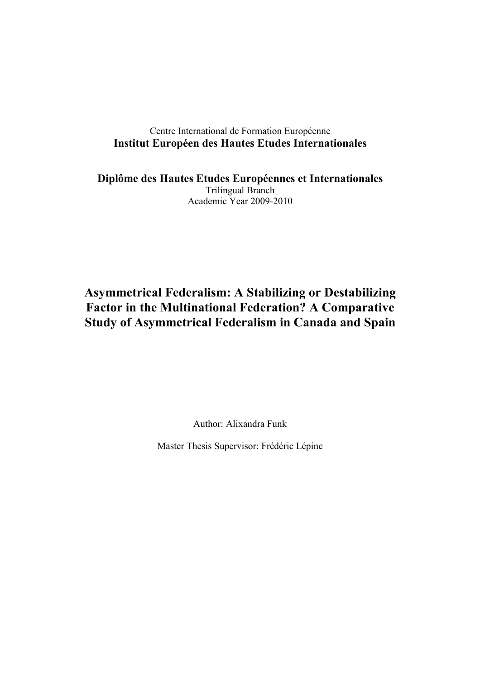# Centre International de Formation Européenne **Institut Européen des Hautes Etudes Internationales**

**Diplôme des Hautes Etudes Européennes et Internationales**  Trilingual Branch Academic Year 2009-2010

# **Asymmetrical Federalism: A Stabilizing or Destabilizing Factor in the Multinational Federation? A Comparative Study of Asymmetrical Federalism in Canada and Spain**

Author: Alixandra Funk

Master Thesis Supervisor: Frédéric Lépine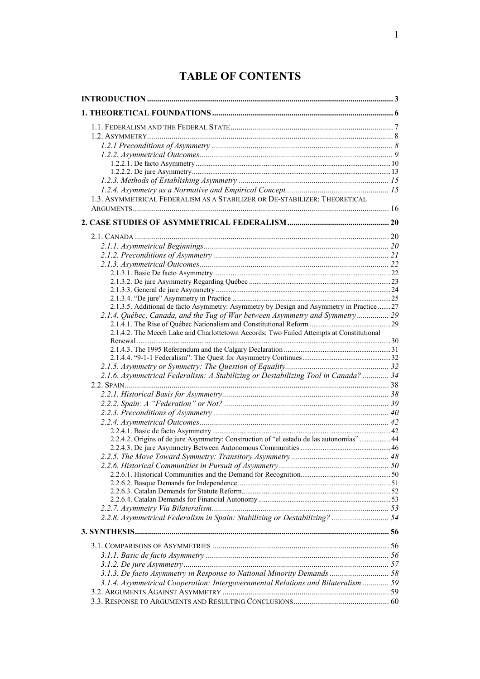# **TABLE OF CONTENTS**

| 1.3. ASYMMETRICAL FEDERALISM AS A STABILIZER OR DE-STABILIZER: THEORETICAL                |  |
|-------------------------------------------------------------------------------------------|--|
|                                                                                           |  |
|                                                                                           |  |
|                                                                                           |  |
|                                                                                           |  |
|                                                                                           |  |
|                                                                                           |  |
|                                                                                           |  |
|                                                                                           |  |
|                                                                                           |  |
|                                                                                           |  |
| 2.1.3.5. Additional de facto Asymmetry: Asymmetry by Design and Asymmetry in Practice  27 |  |
| 2.1.4. Québec, Canada, and the Tug of War between Asymmetry and Symmetry 29               |  |
|                                                                                           |  |
| 2.1.4.2. The Meech Lake and Charlottetown Accords: Two Failed Attempts at Constitutional  |  |
|                                                                                           |  |
|                                                                                           |  |
|                                                                                           |  |
| 2.1.6. Asymmetrical Federalism: A Stabilizing or Destabilizing Tool in Canada?  34        |  |
|                                                                                           |  |
|                                                                                           |  |
|                                                                                           |  |
|                                                                                           |  |
|                                                                                           |  |
|                                                                                           |  |
| 2.2.4.2. Origins of de jure Asymmetry: Construction of "el estado de las autonomías" 44   |  |
|                                                                                           |  |
|                                                                                           |  |
|                                                                                           |  |
|                                                                                           |  |
|                                                                                           |  |
|                                                                                           |  |
|                                                                                           |  |
|                                                                                           |  |
| 2.2.8. Asymmetrical Federalism in Spain: Stabilizing or Destabilizing?  54                |  |
|                                                                                           |  |
|                                                                                           |  |
|                                                                                           |  |
|                                                                                           |  |
| 3.1.3. De facto Asymmetry in Response to National Minority Demands  58                    |  |
| 3.1.4. Asymmetrical Cooperation: Intergovernmental Relations and Bilateralism  59         |  |
|                                                                                           |  |
|                                                                                           |  |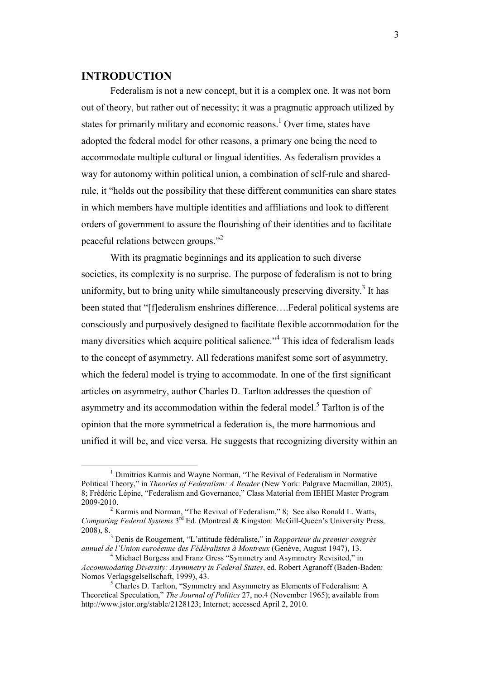# <span id="page-3-0"></span>**INTRODUCTION**

 $\overline{a}$ 

 Federalism is not a new concept, but it is a complex one. It was not born out of theory, but rather out of necessity; it was a pragmatic approach utilized by states for primarily military and economic reasons.<sup>1</sup> Over time, states have adopted the federal model for other reasons, a primary one being the need to accommodate multiple cultural or lingual identities. As federalism provides a way for autonomy within political union, a combination of self-rule and sharedrule, it "holds out the possibility that these different communities can share states in which members have multiple identities and affiliations and look to different orders of government to assure the flourishing of their identities and to facilitate peaceful relations between groups."<sup>2</sup>

With its pragmatic beginnings and its application to such diverse societies, its complexity is no surprise. The purpose of federalism is not to bring uniformity, but to bring unity while simultaneously preserving diversity.<sup>3</sup> It has been stated that "[f]ederalism enshrines difference....Federal political systems are consciously and purposively designed to facilitate flexible accommodation for the many diversities which acquire political salience."<sup>4</sup> This idea of federalism leads to the concept of asymmetry. All federations manifest some sort of asymmetry, which the federal model is trying to accommodate. In one of the first significant articles on asymmetry, author Charles D. Tarlton addresses the question of asymmetry and its accommodation within the federal model.<sup>5</sup> Tarlton is of the opinion that the more symmetrical a federation is, the more harmonious and unified it will be, and vice versa. He suggests that recognizing diversity within an

<sup>&</sup>lt;sup>1</sup> Dimitrios Karmis and Wayne Norman, "The Revival of Federalism in Normative Political Theory," in *Theories of Federalism: A Reader* (New York: Palgrave Macmillan, 2005), 8; Frédéric Lépine, "Federalism and Governance," Class Material from IEHEI Master Program 2009-2010.

 $2^2$  Karmis and Norman, "The Revival of Federalism," 8; See also Ronald L. Watts, *Comparing Federal Systems* 3rd Ed. (Montreal & Kingston: McGill-Queen's University Press, 2008), 8.

<sup>3</sup> Denis de Rougement, "L'attitude fédéraliste," in *Rapporteur du premier congrès annuel de l'Union euroéenne des Fédéralistes à Montreux* (Genève, August 1947), 13.

<sup>&</sup>lt;sup>4</sup> Michael Burgess and Franz Gress "Symmetry and Asymmetry Revisited," in *Accommodating Diversity: Asymmetry in Federal States*, ed. Robert Agranoff (Baden-Baden: Nomos Verlagsgelsellschaft, 1999), 43.

<sup>&</sup>lt;sup>5</sup> Charles D. Tarlton, "Symmetry and Asymmetry as Elements of Federalism: A Theoretical Speculation," *The Journal of Politics* 27, no.4 (November 1965); available from http://www.jstor.org/stable/2128123; Internet; accessed April 2, 2010.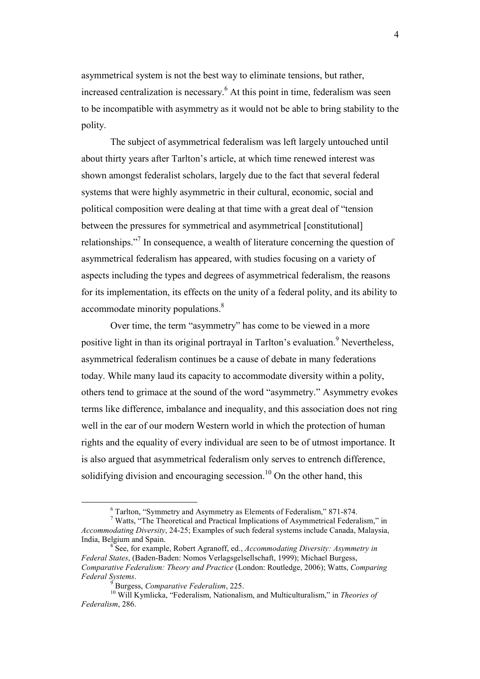asymmetrical system is not the best way to eliminate tensions, but rather, increased centralization is necessary.<sup>6</sup> At this point in time, federalism was seen to be incompatible with asymmetry as it would not be able to bring stability to the polity.

The subject of asymmetrical federalism was left largely untouched until about thirty years after Tarlton's article, at which time renewed interest was shown amongst federalist scholars, largely due to the fact that several federal systems that were highly asymmetric in their cultural, economic, social and political composition were dealing at that time with a great deal of "tension between the pressures for symmetrical and asymmetrical [constitutional] relationships."<sup>7</sup> In consequence, a wealth of literature concerning the question of asymmetrical federalism has appeared, with studies focusing on a variety of aspects including the types and degrees of asymmetrical federalism, the reasons for its implementation, its effects on the unity of a federal polity, and its ability to accommodate minority populations.<sup>8</sup>

Over time, the term "asymmetry" has come to be viewed in a more positive light in than its original portrayal in Tarlton's evaluation.<sup>9</sup> Nevertheless, asymmetrical federalism continues be a cause of debate in many federations today. While many laud its capacity to accommodate diversity within a polity, others tend to grimace at the sound of the word "asymmetry." Asymmetry evokes terms like difference, imbalance and inequality, and this association does not ring well in the ear of our modern Western world in which the protection of human rights and the equality of every individual are seen to be of utmost importance. It is also argued that asymmetrical federalism only serves to entrench difference, solidifying division and encouraging secession.<sup>10</sup> On the other hand, this

<sup>&</sup>lt;sup>6</sup> Tarlton, "Symmetry and Asymmetry as Elements of Federalism," 871-874.<br><sup>7</sup> Watts, "The Theoretical and Practical Implications of Asymmetrical Federalism," in *Accommodating Diversity*, 24-25; Examples of such federal systems include Canada, Malaysia, India, Belgium and Spain.

<sup>8</sup> See, for example, Robert Agranoff, ed., *Accommodating Diversity: Asymmetry in Federal States*, (Baden-Baden: Nomos Verlagsgelsellschaft, 1999); Michael Burgess, *Comparative Federalism: Theory and Practice* (London: Routledge, 2006); Watts, *Comparing Federal Systems*.

<sup>9</sup> Burgess, *Comparative Federalism*, 225.

<sup>10</sup> Will Kymlicka, "Federalism, Nationalism, and Multiculturalism," in *Theories of Federalism*, 286.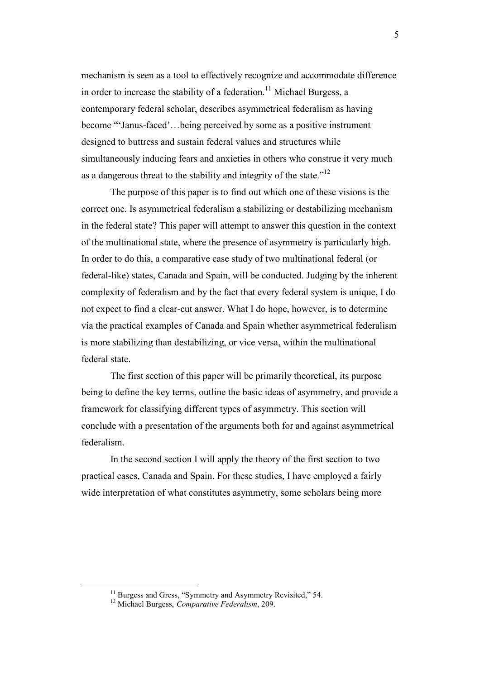mechanism is seen as a tool to effectively recognize and accommodate difference in order to increase the stability of a federation.<sup>11</sup> Michael Burgess, a contemporary federal scholar, describes asymmetrical federalism as having become "'Janus-faced'…being perceived by some as a positive instrument designed to buttress and sustain federal values and structures while simultaneously inducing fears and anxieties in others who construe it very much as a dangerous threat to the stability and integrity of the state."<sup>12</sup>

The purpose of this paper is to find out which one of these visions is the correct one. Is asymmetrical federalism a stabilizing or destabilizing mechanism in the federal state? This paper will attempt to answer this question in the context of the multinational state, where the presence of asymmetry is particularly high. In order to do this, a comparative case study of two multinational federal (or federal-like) states, Canada and Spain, will be conducted. Judging by the inherent complexity of federalism and by the fact that every federal system is unique, I do not expect to find a clear-cut answer. What I do hope, however, is to determine via the practical examples of Canada and Spain whether asymmetrical federalism is more stabilizing than destabilizing, or vice versa, within the multinational federal state.

The first section of this paper will be primarily theoretical, its purpose being to define the key terms, outline the basic ideas of asymmetry, and provide a framework for classifying different types of asymmetry. This section will conclude with a presentation of the arguments both for and against asymmetrical federalism.

In the second section I will apply the theory of the first section to two practical cases, Canada and Spain. For these studies, I have employed a fairly wide interpretation of what constitutes asymmetry, some scholars being more

<sup>&</sup>lt;sup>11</sup> Burgess and Gress, "Symmetry and Asymmetry Revisited," 54.

<sup>12</sup> Michael Burgess, *Comparative Federalism*, 209.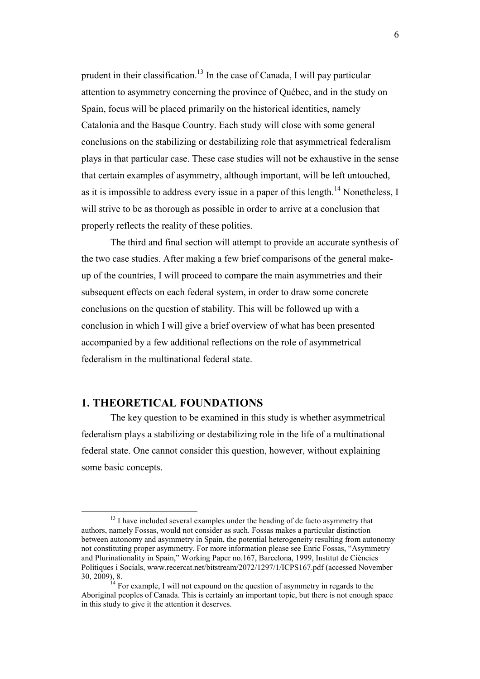<span id="page-6-0"></span>prudent in their classification.<sup>13</sup> In the case of Canada, I will pay particular attention to asymmetry concerning the province of Québec, and in the study on Spain, focus will be placed primarily on the historical identities, namely Catalonia and the Basque Country. Each study will close with some general conclusions on the stabilizing or destabilizing role that asymmetrical federalism plays in that particular case. These case studies will not be exhaustive in the sense that certain examples of asymmetry, although important, will be left untouched, as it is impossible to address every issue in a paper of this length.<sup>14</sup> Nonetheless, I will strive to be as thorough as possible in order to arrive at a conclusion that properly reflects the reality of these polities.

The third and final section will attempt to provide an accurate synthesis of the two case studies. After making a few brief comparisons of the general makeup of the countries, I will proceed to compare the main asymmetries and their subsequent effects on each federal system, in order to draw some concrete conclusions on the question of stability. This will be followed up with a conclusion in which I will give a brief overview of what has been presented accompanied by a few additional reflections on the role of asymmetrical federalism in the multinational federal state.

# **1. THEORETICAL FOUNDATIONS**

 $\overline{a}$ 

The key question to be examined in this study is whether asymmetrical federalism plays a stabilizing or destabilizing role in the life of a multinational federal state. One cannot consider this question, however, without explaining some basic concepts.

 $13$  I have included several examples under the heading of de facto asymmetry that authors, namely Fossas, would not consider as such. Fossas makes a particular distinction between autonomy and asymmetry in Spain, the potential heterogeneity resulting from autonomy not constituting proper asymmetry. For more information please see Enric Fossas, "Asymmetry and Plurinationality in Spain," Working Paper no.167, Barcelona, 1999, Institut de Ciències Polítiques i Socials, www.recercat.net/bitstream/2072/1297/1/ICPS167.pdf (accessed November 30, 2009), 8.

 $14$  For example, I will not expound on the question of asymmetry in regards to the Aboriginal peoples of Canada. This is certainly an important topic, but there is not enough space in this study to give it the attention it deserves.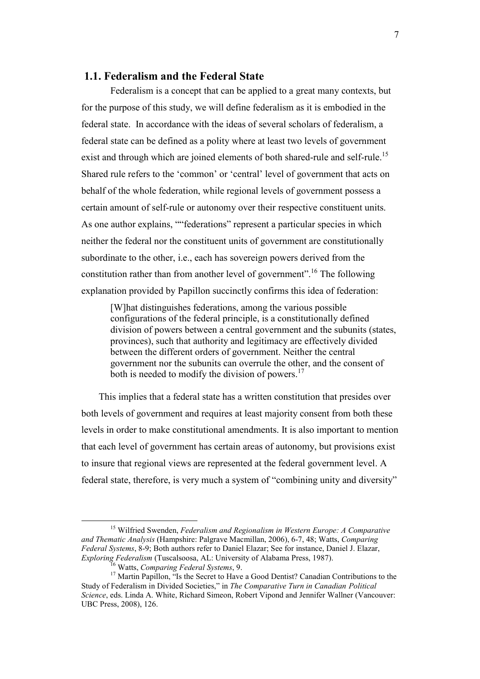# <span id="page-7-0"></span> **1.1. Federalism and the Federal State**

Federalism is a concept that can be applied to a great many contexts, but for the purpose of this study, we will define federalism as it is embodied in the federal state. In accordance with the ideas of several scholars of federalism, a federal state can be defined as a polity where at least two levels of government exist and through which are joined elements of both shared-rule and self-rule.<sup>15</sup> Shared rule refers to the 'common' or 'central' level of government that acts on behalf of the whole federation, while regional levels of government possess a certain amount of self-rule or autonomy over their respective constituent units. As one author explains, ""federations" represent a particular species in which neither the federal nor the constituent units of government are constitutionally subordinate to the other, i.e., each has sovereign powers derived from the constitution rather than from another level of government".<sup>16</sup> The following explanation provided by Papillon succinctly confirms this idea of federation:

[W]hat distinguishes federations, among the various possible configurations of the federal principle, is a constitutionally defined division of powers between a central government and the subunits (states, provinces), such that authority and legitimacy are effectively divided between the different orders of government. Neither the central government nor the subunits can overrule the other, and the consent of both is needed to modify the division of powers.<sup>17</sup>

This implies that a federal state has a written constitution that presides over both levels of government and requires at least majority consent from both these levels in order to make constitutional amendments. It is also important to mention that each level of government has certain areas of autonomy, but provisions exist to insure that regional views are represented at the federal government level. A federal state, therefore, is very much a system of "combining unity and diversity"

<sup>15</sup> Wilfried Swenden, *Federalism and Regionalism in Western Europe: A Comparative and Thematic Analysis* (Hampshire: Palgrave Macmillan, 2006), 6-7, 48; Watts, *Comparing Federal Systems*, 8-9; Both authors refer to Daniel Elazar; See for instance, Daniel J. Elazar, *Exploring Federalism* (Tuscalsoosa, AL: University of Alabama Press, 1987).

<sup>16</sup> Watts, *Comparing Federal Systems*, 9.

<sup>&</sup>lt;sup>17</sup> Martin Papillon, "Is the Secret to Have a Good Dentist? Canadian Contributions to the Study of Federalism in Divided Societies," in *The Comparative Turn in Canadian Political Science*, eds. Linda A. White, Richard Simeon, Robert Vipond and Jennifer Wallner (Vancouver: UBC Press, 2008), 126.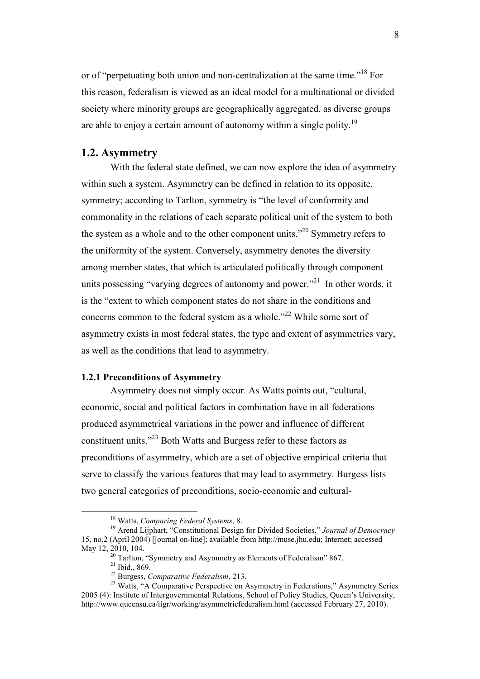<span id="page-8-0"></span>or of "perpetuating both union and non-centralization at the same time."<sup>18</sup> For this reason, federalism is viewed as an ideal model for a multinational or divided society where minority groups are geographically aggregated, as diverse groups are able to enjoy a certain amount of autonomy within a single polity.<sup>19</sup>

## **1.2. Asymmetry**

With the federal state defined, we can now explore the idea of asymmetry within such a system. Asymmetry can be defined in relation to its opposite, symmetry; according to Tarlton, symmetry is "the level of conformity and commonality in the relations of each separate political unit of the system to both the system as a whole and to the other component units."<sup>20</sup> Symmetry refers to the uniformity of the system. Conversely, asymmetry denotes the diversity among member states, that which is articulated politically through component units possessing "varying degrees of autonomy and power."<sup>21</sup> In other words, it is the "extent to which component states do not share in the conditions and concerns common to the federal system as a whole."<sup>22</sup> While some sort of asymmetry exists in most federal states, the type and extent of asymmetries vary, as well as the conditions that lead to asymmetry.

### **1.2.1 Preconditions of Asymmetry**

Asymmetry does not simply occur. As Watts points out, "cultural, economic, social and political factors in combination have in all federations produced asymmetrical variations in the power and influence of different constituent units."<sup>23</sup> Both Watts and Burgess refer to these factors as preconditions of asymmetry, which are a set of objective empirical criteria that serve to classify the various features that may lead to asymmetry. Burgess lists two general categories of preconditions, socio-economic and cultural-

<sup>18</sup> Watts, *Comparing Federal Systems*, 8.

<sup>19</sup> Arend Lijphart, "Constitutional Design for Divided Societies," *Journal of Democracy* 15, no.2 (April 2004) [journal on-line]; available from http://muse.jhu.edu; Internet; accessed May 12, 2010, 104.

 $20$  Tarlton, "Symmetry and Asymmetry as Elements of Federalism" 867.

<sup>21</sup> Ibid., 869.

<sup>22</sup> Burgess, *Comparative Federalism*, 213.

<sup>&</sup>lt;sup>23</sup> Watts, "A Comparative Perspective on Asymmetry in Federations," Asymmetry Series 2005 (4): Institute of Intergovernmental Relations, School of Policy Studies, Queen's University, http://www.queensu.ca/iigr/working/asymmetricfederalism.html (accessed February 27, 2010).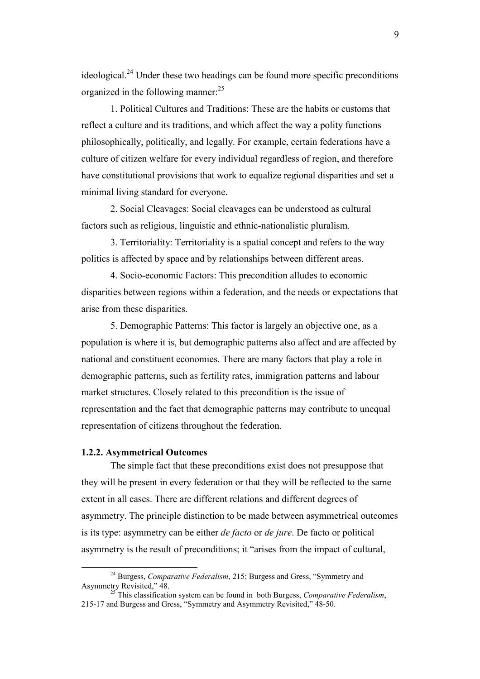<span id="page-9-0"></span>ideological.<sup>24</sup> Under these two headings can be found more specific preconditions organized in the following manner:<sup>25</sup>

1. Political Cultures and Traditions: These are the habits or customs that reflect a culture and its traditions, and which affect the way a polity functions philosophically, politically, and legally. For example, certain federations have a culture of citizen welfare for every individual regardless of region, and therefore have constitutional provisions that work to equalize regional disparities and set a minimal living standard for everyone.

2. Social Cleavages: Social cleavages can be understood as cultural factors such as religious, linguistic and ethnic-nationalistic pluralism.

3. Territoriality: Territoriality is a spatial concept and refers to the way politics is affected by space and by relationships between different areas.

4. Socio-economic Factors: This precondition alludes to economic disparities between regions within a federation, and the needs or expectations that arise from these disparities.

5. Demographic Patterns: This factor is largely an objective one, as a population is where it is, but demographic patterns also affect and are affected by national and constituent economies. There are many factors that play a role in demographic patterns, such as fertility rates, immigration patterns and labour market structures. Closely related to this precondition is the issue of representation and the fact that demographic patterns may contribute to unequal representation of citizens throughout the federation.

# **1.2.2. Asymmetrical Outcomes**

 $\overline{a}$ 

The simple fact that these preconditions exist does not presuppose that they will be present in every federation or that they will be reflected to the same extent in all cases. There are different relations and different degrees of asymmetry. The principle distinction to be made between asymmetrical outcomes is its type: asymmetry can be either *de facto* or *de jure*. De facto or political asymmetry is the result of preconditions; it "arises from the impact of cultural,

<sup>24</sup> Burgess, *Comparative Federalism*, 215; Burgess and Gress, "Symmetry and Asymmetry Revisited," 48.

<sup>&</sup>lt;sup>25</sup> This classification system can be found in both Burgess, *Comparative Federalism*, 215-17 and Burgess and Gress, "Symmetry and Asymmetry Revisited," 48-50.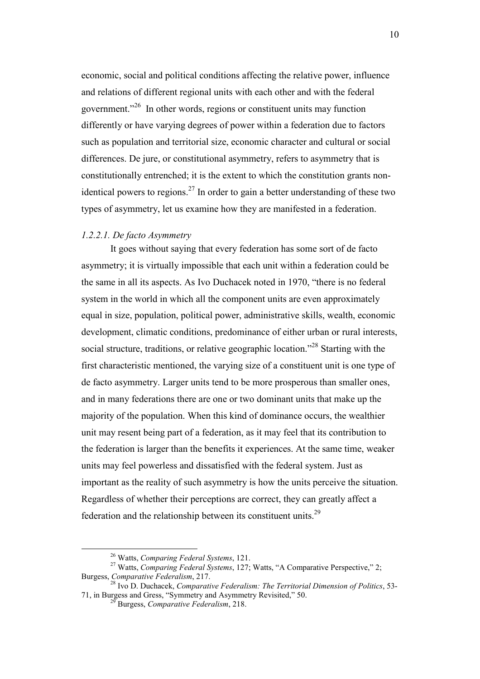<span id="page-10-0"></span>economic, social and political conditions affecting the relative power, influence and relations of different regional units with each other and with the federal government."<sup>26</sup> In other words, regions or constituent units may function differently or have varying degrees of power within a federation due to factors such as population and territorial size, economic character and cultural or social differences. De jure, or constitutional asymmetry, refers to asymmetry that is constitutionally entrenched; it is the extent to which the constitution grants nonidentical powers to regions.<sup>27</sup> In order to gain a better understanding of these two types of asymmetry, let us examine how they are manifested in a federation.

### *1.2.2.1. De facto Asymmetry*

It goes without saying that every federation has some sort of de facto asymmetry; it is virtually impossible that each unit within a federation could be the same in all its aspects. As Ivo Duchacek noted in 1970, "there is no federal system in the world in which all the component units are even approximately equal in size, population, political power, administrative skills, wealth, economic development, climatic conditions, predominance of either urban or rural interests, social structure, traditions, or relative geographic location.<sup>228</sup> Starting with the first characteristic mentioned, the varying size of a constituent unit is one type of de facto asymmetry. Larger units tend to be more prosperous than smaller ones, and in many federations there are one or two dominant units that make up the majority of the population. When this kind of dominance occurs, the wealthier unit may resent being part of a federation, as it may feel that its contribution to the federation is larger than the benefits it experiences. At the same time, weaker units may feel powerless and dissatisfied with the federal system. Just as important as the reality of such asymmetry is how the units perceive the situation. Regardless of whether their perceptions are correct, they can greatly affect a federation and the relationship between its constituent units.<sup>29</sup>

<sup>26</sup> Watts, *Comparing Federal Systems*, 121.

<sup>&</sup>lt;sup>27</sup> Watts, *Comparing Federal Systems*, 127; Watts, "A Comparative Perspective," 2; Burgess, *Comparative Federalism*, 217.

<sup>28</sup> Ivo D. Duchacek, *Comparative Federalism: The Territorial Dimension of Politics*, 53- 71, in Burgess and Gress, "Symmetry and Asymmetry Revisited," 50.

<sup>29</sup> Burgess, *Comparative Federalism*, 218.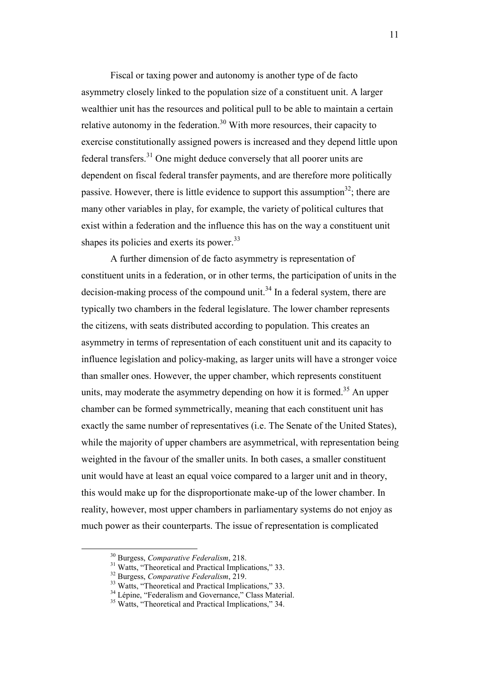Fiscal or taxing power and autonomy is another type of de facto asymmetry closely linked to the population size of a constituent unit. A larger wealthier unit has the resources and political pull to be able to maintain a certain relative autonomy in the federation.<sup>30</sup> With more resources, their capacity to exercise constitutionally assigned powers is increased and they depend little upon federal transfers.<sup>31</sup> One might deduce conversely that all poorer units are dependent on fiscal federal transfer payments, and are therefore more politically passive. However, there is little evidence to support this assumption<sup>32</sup>; there are many other variables in play, for example, the variety of political cultures that exist within a federation and the influence this has on the way a constituent unit shapes its policies and exerts its power.<sup>33</sup>

A further dimension of de facto asymmetry is representation of constituent units in a federation, or in other terms, the participation of units in the decision-making process of the compound unit.<sup>34</sup> In a federal system, there are typically two chambers in the federal legislature. The lower chamber represents the citizens, with seats distributed according to population. This creates an asymmetry in terms of representation of each constituent unit and its capacity to influence legislation and policy-making, as larger units will have a stronger voice than smaller ones. However, the upper chamber, which represents constituent units, may moderate the asymmetry depending on how it is formed.<sup>35</sup> An upper chamber can be formed symmetrically, meaning that each constituent unit has exactly the same number of representatives (i.e. The Senate of the United States), while the majority of upper chambers are asymmetrical, with representation being weighted in the favour of the smaller units. In both cases, a smaller constituent unit would have at least an equal voice compared to a larger unit and in theory, this would make up for the disproportionate make-up of the lower chamber. In reality, however, most upper chambers in parliamentary systems do not enjoy as much power as their counterparts. The issue of representation is complicated

 $\overline{a}$ 

11

<sup>30</sup> Burgess, *Comparative Federalism*, 218.

<sup>&</sup>lt;sup>31</sup> Watts, "Theoretical and Practical Implications," 33.

<sup>32</sup> Burgess, *Comparative Federalism*, 219.

<sup>&</sup>lt;sup>33</sup> Watts, "Theoretical and Practical Implications," 33.

<sup>&</sup>lt;sup>34</sup> Lépine, "Federalism and Governance," Class Material.

<sup>&</sup>lt;sup>35</sup> Watts, "Theoretical and Practical Implications," 34.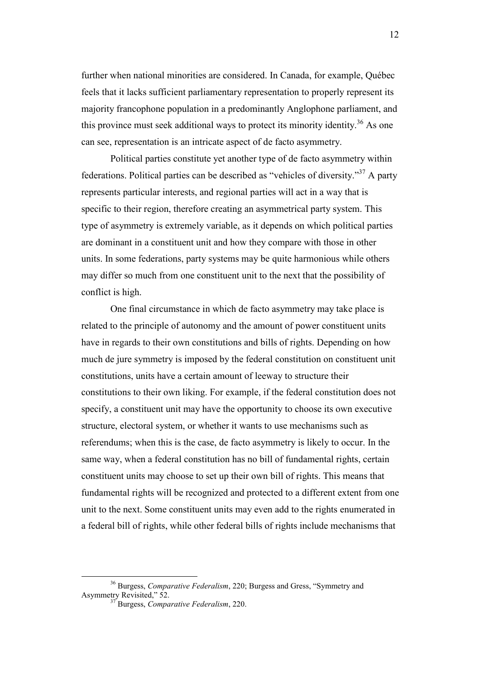further when national minorities are considered. In Canada, for example, Québec feels that it lacks sufficient parliamentary representation to properly represent its majority francophone population in a predominantly Anglophone parliament, and this province must seek additional ways to protect its minority identity.<sup>36</sup> As one can see, representation is an intricate aspect of de facto asymmetry.

Political parties constitute yet another type of de facto asymmetry within federations. Political parties can be described as "vehicles of diversity."<sup>37</sup> A party represents particular interests, and regional parties will act in a way that is specific to their region, therefore creating an asymmetrical party system. This type of asymmetry is extremely variable, as it depends on which political parties are dominant in a constituent unit and how they compare with those in other units. In some federations, party systems may be quite harmonious while others may differ so much from one constituent unit to the next that the possibility of conflict is high.

One final circumstance in which de facto asymmetry may take place is related to the principle of autonomy and the amount of power constituent units have in regards to their own constitutions and bills of rights. Depending on how much de jure symmetry is imposed by the federal constitution on constituent unit constitutions, units have a certain amount of leeway to structure their constitutions to their own liking. For example, if the federal constitution does not specify, a constituent unit may have the opportunity to choose its own executive structure, electoral system, or whether it wants to use mechanisms such as referendums; when this is the case, de facto asymmetry is likely to occur. In the same way, when a federal constitution has no bill of fundamental rights, certain constituent units may choose to set up their own bill of rights. This means that fundamental rights will be recognized and protected to a different extent from one unit to the next. Some constituent units may even add to the rights enumerated in a federal bill of rights, while other federal bills of rights include mechanisms that

<sup>36</sup> Burgess, *Comparative Federalism*, 220; Burgess and Gress, "Symmetry and Asymmetry Revisited," 52.

<sup>37</sup> Burgess, *Comparative Federalism*, 220.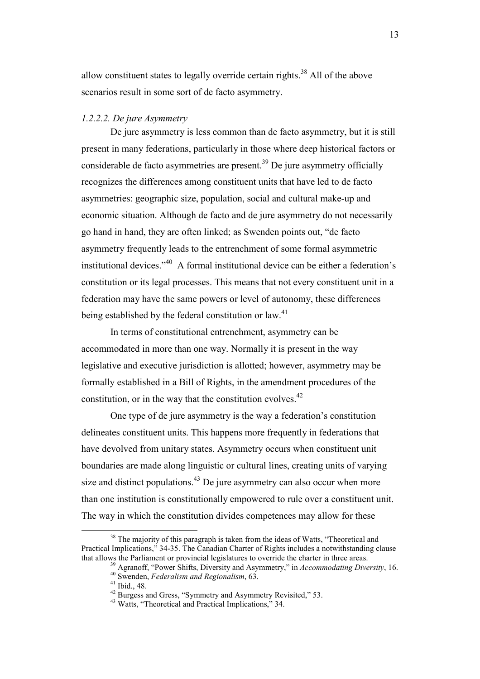<span id="page-13-0"></span>allow constituent states to legally override certain rights.<sup>38</sup> All of the above scenarios result in some sort of de facto asymmetry.

#### *1.2.2.2. De jure Asymmetry*

De jure asymmetry is less common than de facto asymmetry, but it is still present in many federations, particularly in those where deep historical factors or considerable de facto asymmetries are present.<sup>39</sup> De jure asymmetry officially recognizes the differences among constituent units that have led to de facto asymmetries: geographic size, population, social and cultural make-up and economic situation. Although de facto and de jure asymmetry do not necessarily go hand in hand, they are often linked; as Swenden points out, "de facto asymmetry frequently leads to the entrenchment of some formal asymmetric institutional devices."<sup>40</sup> A formal institutional device can be either a federation's constitution or its legal processes. This means that not every constituent unit in a federation may have the same powers or level of autonomy, these differences being established by the federal constitution or law.<sup>41</sup>

In terms of constitutional entrenchment, asymmetry can be accommodated in more than one way. Normally it is present in the way legislative and executive jurisdiction is allotted; however, asymmetry may be formally established in a Bill of Rights, in the amendment procedures of the constitution, or in the way that the constitution evolves. $42$ 

One type of de jure asymmetry is the way a federation's constitution delineates constituent units. This happens more frequently in federations that have devolved from unitary states. Asymmetry occurs when constituent unit boundaries are made along linguistic or cultural lines, creating units of varying size and distinct populations. $43$  De jure asymmetry can also occur when more than one institution is constitutionally empowered to rule over a constituent unit. The way in which the constitution divides competences may allow for these

<sup>&</sup>lt;sup>38</sup> The majority of this paragraph is taken from the ideas of Watts, "Theoretical and Practical Implications," 34-35. The Canadian Charter of Rights includes a notwithstanding clause that allows the Parliament or provincial legislatures to override the charter in three areas.

<sup>39</sup> Agranoff, "Power Shifts, Diversity and Asymmetry," in *Accommodating Diversity*, 16.

<sup>40</sup> Swenden, *Federalism and Regionalism*, 63.

 $41$  Ibid., 48.

<sup>&</sup>lt;sup>42</sup> Burgess and Gress, "Symmetry and Asymmetry Revisited," 53.

<sup>43</sup> Watts, "Theoretical and Practical Implications," 34.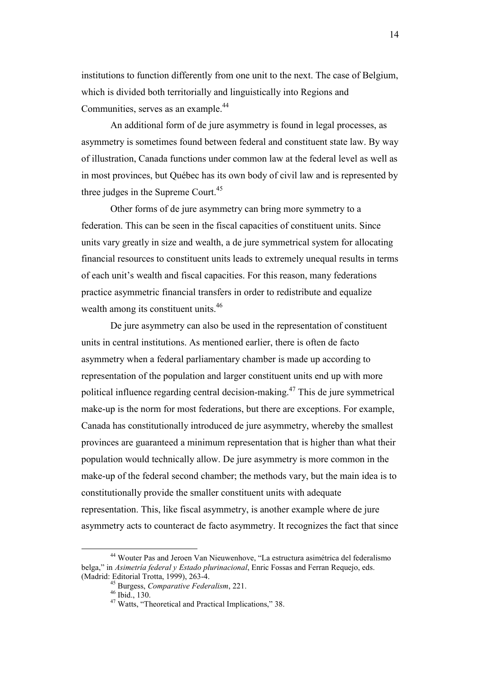institutions to function differently from one unit to the next. The case of Belgium, which is divided both territorially and linguistically into Regions and Communities, serves as an example.<sup>44</sup>

An additional form of de jure asymmetry is found in legal processes, as asymmetry is sometimes found between federal and constituent state law. By way of illustration, Canada functions under common law at the federal level as well as in most provinces, but Québec has its own body of civil law and is represented by three judges in the Supreme Court.<sup>45</sup>

Other forms of de jure asymmetry can bring more symmetry to a federation. This can be seen in the fiscal capacities of constituent units. Since units vary greatly in size and wealth, a de jure symmetrical system for allocating financial resources to constituent units leads to extremely unequal results in terms of each unit's wealth and fiscal capacities. For this reason, many federations practice asymmetric financial transfers in order to redistribute and equalize wealth among its constituent units.<sup>46</sup>

De jure asymmetry can also be used in the representation of constituent units in central institutions. As mentioned earlier, there is often de facto asymmetry when a federal parliamentary chamber is made up according to representation of the population and larger constituent units end up with more political influence regarding central decision-making.<sup>47</sup> This de jure symmetrical make-up is the norm for most federations, but there are exceptions. For example, Canada has constitutionally introduced de jure asymmetry, whereby the smallest provinces are guaranteed a minimum representation that is higher than what their population would technically allow. De jure asymmetry is more common in the make-up of the federal second chamber; the methods vary, but the main idea is to constitutionally provide the smaller constituent units with adequate representation. This, like fiscal asymmetry, is another example where de jure asymmetry acts to counteract de facto asymmetry. It recognizes the fact that since

<sup>44</sup> Wouter Pas and Jeroen Van Nieuwenhove, "La estructura asimétrica del federalismo belga," in *Asimetría federal y Estado plurinacional*, Enric Fossas and Ferran Requejo, eds. (Madrid: Editorial Trotta, 1999), 263-4.

<sup>45</sup> Burgess, *Comparative Federalism*, 221.

<sup>46</sup> Ibid., 130.

<sup>47</sup> Watts, "Theoretical and Practical Implications," 38.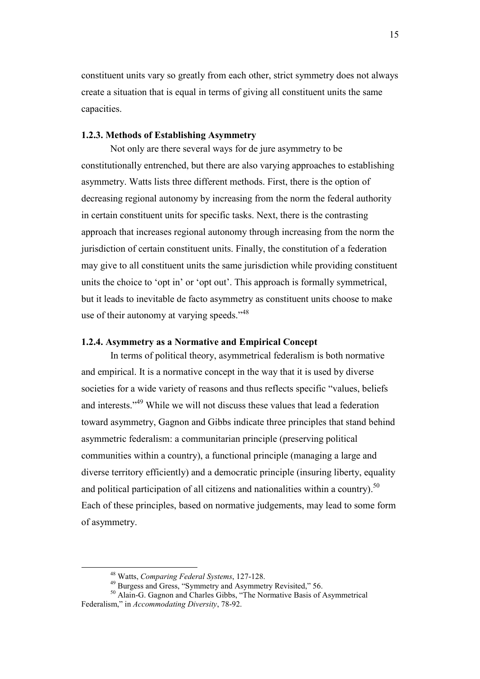<span id="page-15-0"></span>constituent units vary so greatly from each other, strict symmetry does not always create a situation that is equal in terms of giving all constituent units the same capacities.

### **1.2.3. Methods of Establishing Asymmetry**

Not only are there several ways for de jure asymmetry to be constitutionally entrenched, but there are also varying approaches to establishing asymmetry. Watts lists three different methods. First, there is the option of decreasing regional autonomy by increasing from the norm the federal authority in certain constituent units for specific tasks. Next, there is the contrasting approach that increases regional autonomy through increasing from the norm the jurisdiction of certain constituent units. Finally, the constitution of a federation may give to all constituent units the same jurisdiction while providing constituent units the choice to 'opt in' or 'opt out'. This approach is formally symmetrical, but it leads to inevitable de facto asymmetry as constituent units choose to make use of their autonomy at varying speeds."<sup>48</sup>

### **1.2.4. Asymmetry as a Normative and Empirical Concept**

In terms of political theory, asymmetrical federalism is both normative and empirical. It is a normative concept in the way that it is used by diverse societies for a wide variety of reasons and thus reflects specific "values, beliefs and interests."<sup>49</sup> While we will not discuss these values that lead a federation toward asymmetry, Gagnon and Gibbs indicate three principles that stand behind asymmetric federalism: a communitarian principle (preserving political communities within a country), a functional principle (managing a large and diverse territory efficiently) and a democratic principle (insuring liberty, equality and political participation of all citizens and nationalities within a country).<sup>50</sup> Each of these principles, based on normative judgements, may lead to some form of asymmetry.

<sup>48</sup> Watts, *Comparing Federal Systems*, 127-128.

<sup>&</sup>lt;sup>49</sup> Burgess and Gress, "Symmetry and Asymmetry Revisited," 56.

<sup>50</sup> Alain-G. Gagnon and Charles Gibbs, "The Normative Basis of Asymmetrical Federalism," in *Accommodating Diversity*, 78-92.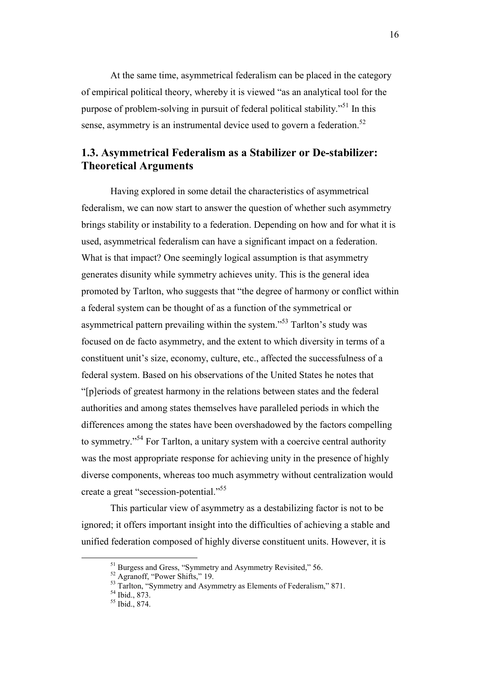<span id="page-16-0"></span>At the same time, asymmetrical federalism can be placed in the category of empirical political theory, whereby it is viewed "as an analytical tool for the purpose of problem-solving in pursuit of federal political stability."<sup>51</sup> In this sense, asymmetry is an instrumental device used to govern a federation.<sup>52</sup>

# **1.3. Asymmetrical Federalism as a Stabilizer or De-stabilizer: Theoretical Arguments**

 Having explored in some detail the characteristics of asymmetrical federalism, we can now start to answer the question of whether such asymmetry brings stability or instability to a federation. Depending on how and for what it is used, asymmetrical federalism can have a significant impact on a federation. What is that impact? One seemingly logical assumption is that asymmetry generates disunity while symmetry achieves unity. This is the general idea promoted by Tarlton, who suggests that "the degree of harmony or conflict within a federal system can be thought of as a function of the symmetrical or asymmetrical pattern prevailing within the system."<sup>53</sup> Tarlton's study was focused on de facto asymmetry, and the extent to which diversity in terms of a constituent unit's size, economy, culture, etc., affected the successfulness of a federal system. Based on his observations of the United States he notes that "[p]eriods of greatest harmony in the relations between states and the federal authorities and among states themselves have paralleled periods in which the differences among the states have been overshadowed by the factors compelling to symmetry."<sup>54</sup> For Tarlton, a unitary system with a coercive central authority was the most appropriate response for achieving unity in the presence of highly diverse components, whereas too much asymmetry without centralization would create a great "secession-potential."<sup>55</sup>

 This particular view of asymmetry as a destabilizing factor is not to be ignored; it offers important insight into the difficulties of achieving a stable and unified federation composed of highly diverse constituent units. However, it is

<sup>&</sup>lt;sup>51</sup> Burgess and Gress, "Symmetry and Asymmetry Revisited," 56.

<sup>52</sup> Agranoff, "Power Shifts," 19.

<sup>&</sup>lt;sup>53</sup> Tarlton, "Symmetry and Asymmetry as Elements of Federalism," 871.

<sup>54</sup> Ibid., 873.

<sup>55</sup> Ibid., 874.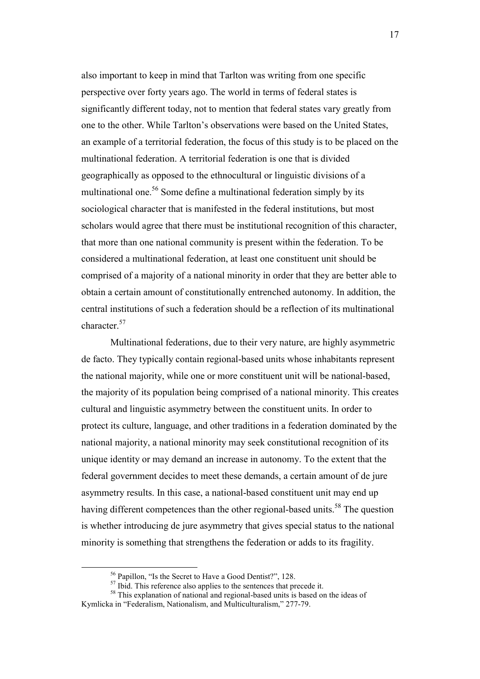also important to keep in mind that Tarlton was writing from one specific perspective over forty years ago. The world in terms of federal states is significantly different today, not to mention that federal states vary greatly from one to the other. While Tarlton's observations were based on the United States, an example of a territorial federation, the focus of this study is to be placed on the multinational federation. A territorial federation is one that is divided geographically as opposed to the ethnocultural or linguistic divisions of a multinational one.<sup>56</sup> Some define a multinational federation simply by its sociological character that is manifested in the federal institutions, but most scholars would agree that there must be institutional recognition of this character, that more than one national community is present within the federation. To be considered a multinational federation, at least one constituent unit should be comprised of a majority of a national minority in order that they are better able to obtain a certain amount of constitutionally entrenched autonomy. In addition, the central institutions of such a federation should be a reflection of its multinational character.<sup>57</sup>

 Multinational federations, due to their very nature, are highly asymmetric de facto. They typically contain regional-based units whose inhabitants represent the national majority, while one or more constituent unit will be national-based, the majority of its population being comprised of a national minority. This creates cultural and linguistic asymmetry between the constituent units. In order to protect its culture, language, and other traditions in a federation dominated by the national majority, a national minority may seek constitutional recognition of its unique identity or may demand an increase in autonomy. To the extent that the federal government decides to meet these demands, a certain amount of de jure asymmetry results. In this case, a national-based constituent unit may end up having different competences than the other regional-based units.<sup>58</sup> The question is whether introducing de jure asymmetry that gives special status to the national minority is something that strengthens the federation or adds to its fragility.

<sup>56</sup> Papillon, "Is the Secret to Have a Good Dentist?", 128.

 $57$  Ibid. This reference also applies to the sentences that precede it.

<sup>&</sup>lt;sup>58</sup> This explanation of national and regional-based units is based on the ideas of Kymlicka in "Federalism, Nationalism, and Multiculturalism," 277-79.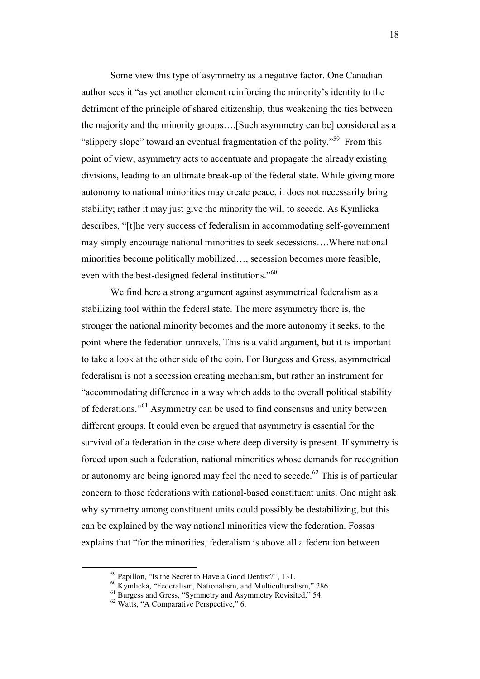Some view this type of asymmetry as a negative factor. One Canadian author sees it "as yet another element reinforcing the minority's identity to the detriment of the principle of shared citizenship, thus weakening the ties between the majority and the minority groups….[Such asymmetry can be] considered as a "slippery slope" toward an eventual fragmentation of the polity."<sup>59</sup> From this point of view, asymmetry acts to accentuate and propagate the already existing divisions, leading to an ultimate break-up of the federal state. While giving more autonomy to national minorities may create peace, it does not necessarily bring stability; rather it may just give the minority the will to secede. As Kymlicka describes, "[t]he very success of federalism in accommodating self-government may simply encourage national minorities to seek secessions….Where national minorities become politically mobilized…, secession becomes more feasible, even with the best-designed federal institutions."<sup>60</sup>

We find here a strong argument against asymmetrical federalism as a stabilizing tool within the federal state. The more asymmetry there is, the stronger the national minority becomes and the more autonomy it seeks, to the point where the federation unravels. This is a valid argument, but it is important to take a look at the other side of the coin. For Burgess and Gress, asymmetrical federalism is not a secession creating mechanism, but rather an instrument for "accommodating difference in a way which adds to the overall political stability of federations."<sup>61</sup> Asymmetry can be used to find consensus and unity between different groups. It could even be argued that asymmetry is essential for the survival of a federation in the case where deep diversity is present. If symmetry is forced upon such a federation, national minorities whose demands for recognition or autonomy are being ignored may feel the need to secede.<sup>62</sup> This is of particular concern to those federations with national-based constituent units. One might ask why symmetry among constituent units could possibly be destabilizing, but this can be explained by the way national minorities view the federation. Fossas explains that "for the minorities, federalism is above all a federation between

<sup>59</sup> Papillon, "Is the Secret to Have a Good Dentist?", 131.

<sup>60</sup> Kymlicka, "Federalism, Nationalism, and Multiculturalism," 286.

<sup>&</sup>lt;sup>61</sup> Burgess and Gress, "Symmetry and Asymmetry Revisited," 54.

<sup>62</sup> Watts, "A Comparative Perspective," 6.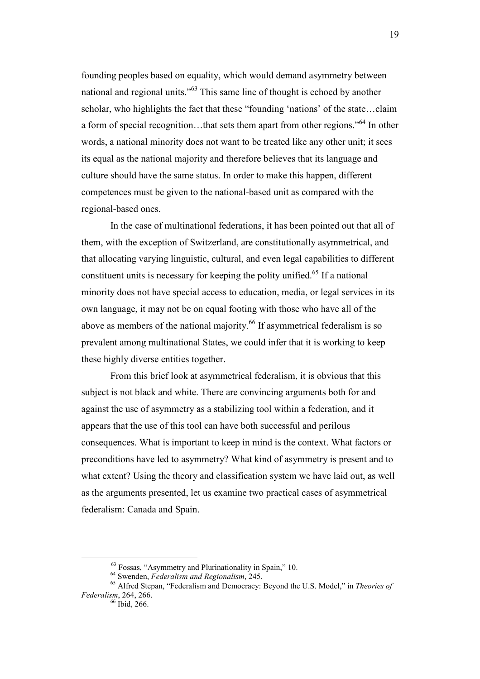founding peoples based on equality, which would demand asymmetry between national and regional units."<sup>63</sup> This same line of thought is echoed by another scholar, who highlights the fact that these "founding 'nations' of the state…claim a form of special recognition…that sets them apart from other regions."<sup>64</sup> In other words, a national minority does not want to be treated like any other unit; it sees its equal as the national majority and therefore believes that its language and culture should have the same status. In order to make this happen, different competences must be given to the national-based unit as compared with the regional-based ones.

 In the case of multinational federations, it has been pointed out that all of them, with the exception of Switzerland, are constitutionally asymmetrical, and that allocating varying linguistic, cultural, and even legal capabilities to different constituent units is necessary for keeping the polity unified.<sup>65</sup> If a national minority does not have special access to education, media, or legal services in its own language, it may not be on equal footing with those who have all of the above as members of the national majority.<sup>66</sup> If asymmetrical federalism is so prevalent among multinational States, we could infer that it is working to keep these highly diverse entities together.

 From this brief look at asymmetrical federalism, it is obvious that this subject is not black and white. There are convincing arguments both for and against the use of asymmetry as a stabilizing tool within a federation, and it appears that the use of this tool can have both successful and perilous consequences. What is important to keep in mind is the context. What factors or preconditions have led to asymmetry? What kind of asymmetry is present and to what extent? Using the theory and classification system we have laid out, as well as the arguments presented, let us examine two practical cases of asymmetrical federalism: Canada and Spain.

<sup>63</sup> Fossas, "Asymmetry and Plurinationality in Spain," 10.

<sup>64</sup> Swenden, *Federalism and Regionalism*, 245.

<sup>65</sup> Alfred Stepan, "Federalism and Democracy: Beyond the U.S. Model," in *Theories of Federalism*, 264, 266.

<sup>66</sup> Ibid, 266.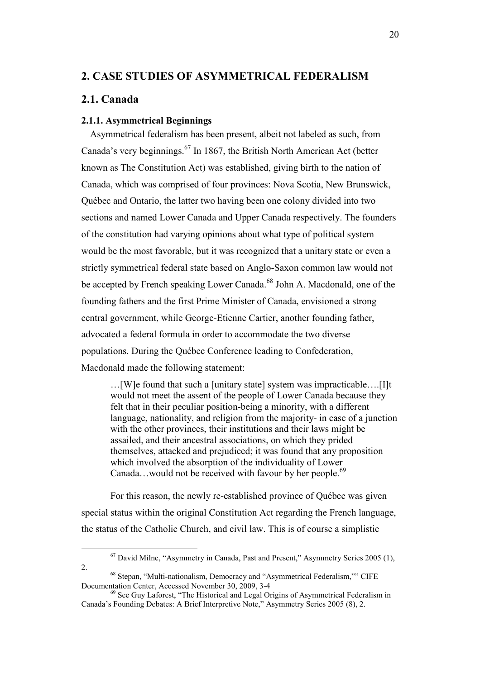# <span id="page-20-0"></span>**2. CASE STUDIES OF ASYMMETRICAL FEDERALISM**

# **2.1. Canada**

 $\overline{a}$ 

### **2.1.1. Asymmetrical Beginnings**

Asymmetrical federalism has been present, albeit not labeled as such, from Canada's very beginnings.<sup>67</sup> In 1867, the British North American Act (better known as The Constitution Act) was established, giving birth to the nation of Canada, which was comprised of four provinces: Nova Scotia, New Brunswick, Québec and Ontario, the latter two having been one colony divided into two sections and named Lower Canada and Upper Canada respectively. The founders of the constitution had varying opinions about what type of political system would be the most favorable, but it was recognized that a unitary state or even a strictly symmetrical federal state based on Anglo-Saxon common law would not be accepted by French speaking Lower Canada.<sup>68</sup> John A. Macdonald, one of the founding fathers and the first Prime Minister of Canada, envisioned a strong central government, while George-Etienne Cartier, another founding father, advocated a federal formula in order to accommodate the two diverse populations. During the Québec Conference leading to Confederation, Macdonald made the following statement:

…[W]e found that such a [unitary state] system was impracticable….[I]t would not meet the assent of the people of Lower Canada because they felt that in their peculiar position-being a minority, with a different language, nationality, and religion from the majority- in case of a junction with the other provinces, their institutions and their laws might be assailed, and their ancestral associations, on which they prided themselves, attacked and prejudiced; it was found that any proposition which involved the absorption of the individuality of Lower Canada...would not be received with favour by her people.<sup>69</sup>

For this reason, the newly re-established province of Québec was given special status within the original Constitution Act regarding the French language, the status of the Catholic Church, and civil law. This is of course a simplistic

<sup>67</sup> David Milne, "Asymmetry in Canada, Past and Present," Asymmetry Series 2005 (1), 2.

<sup>68</sup> Stepan, "Multi-nationalism, Democracy and "Asymmetrical Federalism,"" CIFE Documentation Center, Accessed November 30, 2009, 3-4

<sup>&</sup>lt;sup>69</sup> See Guy Laforest, "The Historical and Legal Origins of Asymmetrical Federalism in Canada's Founding Debates: A Brief Interpretive Note," Asymmetry Series 2005 (8), 2.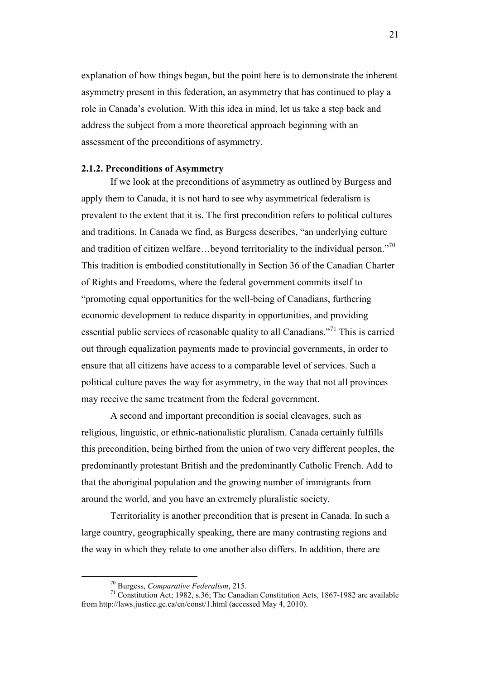<span id="page-21-0"></span>explanation of how things began, but the point here is to demonstrate the inherent asymmetry present in this federation, an asymmetry that has continued to play a role in Canada's evolution. With this idea in mind, let us take a step back and address the subject from a more theoretical approach beginning with an assessment of the preconditions of asymmetry.

#### **2.1.2. Preconditions of Asymmetry**

 If we look at the preconditions of asymmetry as outlined by Burgess and apply them to Canada, it is not hard to see why asymmetrical federalism is prevalent to the extent that it is. The first precondition refers to political cultures and traditions. In Canada we find, as Burgess describes, "an underlying culture and tradition of citizen welfare...beyond territoriality to the individual person."<sup>70</sup> This tradition is embodied constitutionally in Section 36 of the Canadian Charter of Rights and Freedoms, where the federal government commits itself to "promoting equal opportunities for the well-being of Canadians, furthering economic development to reduce disparity in opportunities, and providing essential public services of reasonable quality to all Canadians."<sup>71</sup> This is carried out through equalization payments made to provincial governments, in order to ensure that all citizens have access to a comparable level of services. Such a political culture paves the way for asymmetry, in the way that not all provinces may receive the same treatment from the federal government.

 A second and important precondition is social cleavages, such as religious, linguistic, or ethnic-nationalistic pluralism. Canada certainly fulfills this precondition, being birthed from the union of two very different peoples, the predominantly protestant British and the predominantly Catholic French. Add to that the aboriginal population and the growing number of immigrants from around the world, and you have an extremely pluralistic society.

 Territoriality is another precondition that is present in Canada. In such a large country, geographically speaking, there are many contrasting regions and the way in which they relate to one another also differs. In addition, there are

<sup>70</sup> Burgess, *Comparative Federalism*, 215.

<sup>71</sup> Constitution Act; 1982, s.36; The Canadian Constitution Acts, 1867-1982 are available from http://laws.justice.gc.ca/en/const/1.html (accessed May 4, 2010).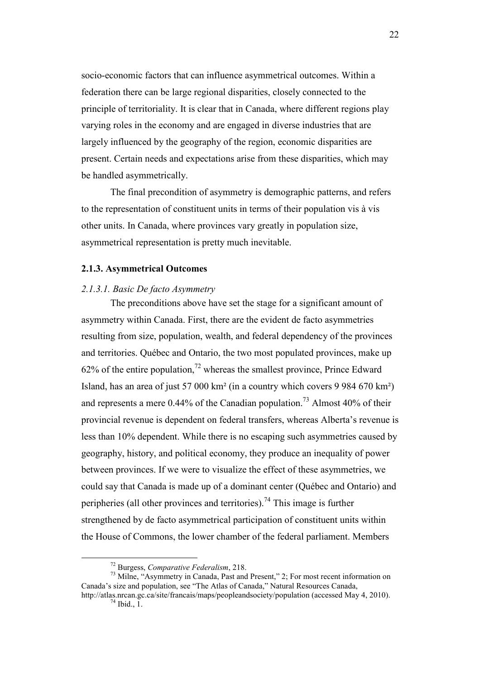<span id="page-22-0"></span>socio-economic factors that can influence asymmetrical outcomes. Within a federation there can be large regional disparities, closely connected to the principle of territoriality. It is clear that in Canada, where different regions play varying roles in the economy and are engaged in diverse industries that are largely influenced by the geography of the region, economic disparities are present. Certain needs and expectations arise from these disparities, which may be handled asymmetrically.

 The final precondition of asymmetry is demographic patterns, and refers to the representation of constituent units in terms of their population vis à vis other units. In Canada, where provinces vary greatly in population size, asymmetrical representation is pretty much inevitable.

## **2.1.3. Asymmetrical Outcomes**

#### *2.1.3.1. Basic De facto Asymmetry*

 The preconditions above have set the stage for a significant amount of asymmetry within Canada. First, there are the evident de facto asymmetries resulting from size, population, wealth, and federal dependency of the provinces and territories. Québec and Ontario, the two most populated provinces, make up 62% of the entire population,<sup>72</sup> whereas the smallest province, Prince Edward Island, has an area of just 57 000 km² (in a country which covers 9 984 670 km²) and represents a mere  $0.44\%$  of the Canadian population.<sup>73</sup> Almost 40% of their provincial revenue is dependent on federal transfers, whereas Alberta's revenue is less than 10% dependent. While there is no escaping such asymmetries caused by geography, history, and political economy, they produce an inequality of power between provinces. If we were to visualize the effect of these asymmetries, we could say that Canada is made up of a dominant center (Québec and Ontario) and peripheries (all other provinces and territories).<sup>74</sup> This image is further strengthened by de facto asymmetrical participation of constituent units within the House of Commons, the lower chamber of the federal parliament. Members

<sup>72</sup> Burgess, *Comparative Federalism*, 218.

<sup>73</sup> Milne, "Asymmetry in Canada, Past and Present," 2; For most recent information on Canada's size and population, see "The Atlas of Canada," Natural Resources Canada,

http://atlas.nrcan.gc.ca/site/francais/maps/peopleandsociety/population (accessed May 4, 2010).  $74$  Ibid., 1.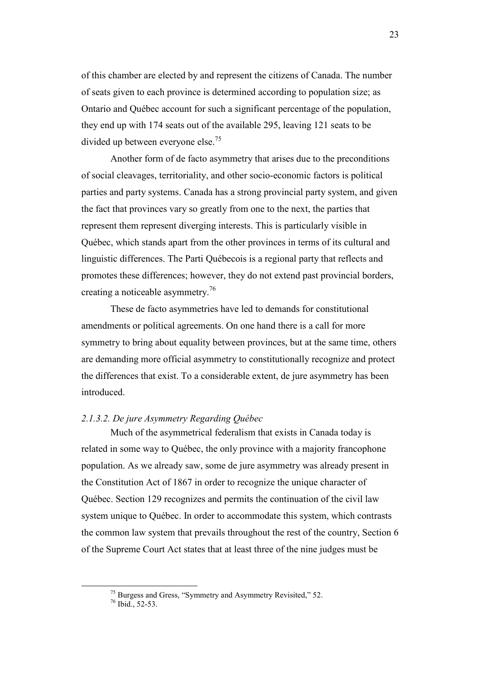<span id="page-23-0"></span>of this chamber are elected by and represent the citizens of Canada. The number of seats given to each province is determined according to population size; as Ontario and Québec account for such a significant percentage of the population, they end up with 174 seats out of the available 295, leaving 121 seats to be divided up between everyone else.<sup>75</sup>

 Another form of de facto asymmetry that arises due to the preconditions of social cleavages, territoriality, and other socio-economic factors is political parties and party systems. Canada has a strong provincial party system, and given the fact that provinces vary so greatly from one to the next, the parties that represent them represent diverging interests. This is particularly visible in Québec, which stands apart from the other provinces in terms of its cultural and linguistic differences. The Parti Québecois is a regional party that reflects and promotes these differences; however, they do not extend past provincial borders, creating a noticeable asymmetry.<sup>76</sup>

 These de facto asymmetries have led to demands for constitutional amendments or political agreements. On one hand there is a call for more symmetry to bring about equality between provinces, but at the same time, others are demanding more official asymmetry to constitutionally recognize and protect the differences that exist. To a considerable extent, de jure asymmetry has been introduced.

### *2.1.3.2. De jure Asymmetry Regarding Québec*

 Much of the asymmetrical federalism that exists in Canada today is related in some way to Québec, the only province with a majority francophone population. As we already saw, some de jure asymmetry was already present in the Constitution Act of 1867 in order to recognize the unique character of Québec. Section 129 recognizes and permits the continuation of the civil law system unique to Québec. In order to accommodate this system, which contrasts the common law system that prevails throughout the rest of the country, Section 6 of the Supreme Court Act states that at least three of the nine judges must be

<sup>75</sup> Burgess and Gress, "Symmetry and Asymmetry Revisited," 52.

<sup>76</sup> Ibid., 52-53.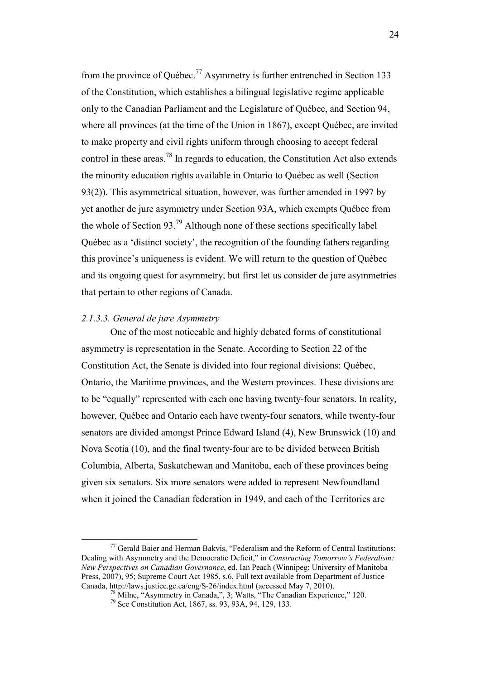<span id="page-24-0"></span>from the province of Québec.<sup>77</sup> Asymmetry is further entrenched in Section 133 of the Constitution, which establishes a bilingual legislative regime applicable only to the Canadian Parliament and the Legislature of Québec, and Section 94, where all provinces (at the time of the Union in 1867), except Québec, are invited to make property and civil rights uniform through choosing to accept federal control in these areas.<sup>78</sup> In regards to education, the Constitution Act also extends the minority education rights available in Ontario to Québec as well (Section 93(2)). This asymmetrical situation, however, was further amended in 1997 by yet another de jure asymmetry under Section 93A, which exempts Québec from the whole of Section 93.<sup>79</sup> Although none of these sections specifically label Québec as a 'distinct society', the recognition of the founding fathers regarding this province's uniqueness is evident. We will return to the question of Québec and its ongoing quest for asymmetry, but first let us consider de jure asymmetries that pertain to other regions of Canada.

#### *2.1.3.3. General de jure Asymmetry*

 $\overline{a}$ 

One of the most noticeable and highly debated forms of constitutional asymmetry is representation in the Senate. According to Section 22 of the Constitution Act, the Senate is divided into four regional divisions: Québec, Ontario, the Maritime provinces, and the Western provinces. These divisions are to be "equally" represented with each one having twenty-four senators. In reality, however, Québec and Ontario each have twenty-four senators, while twenty-four senators are divided amongst Prince Edward Island (4), New Brunswick (10) and Nova Scotia (10), and the final twenty-four are to be divided between British Columbia, Alberta, Saskatchewan and Manitoba, each of these provinces being given six senators. Six more senators were added to represent Newfoundland when it joined the Canadian federation in 1949, and each of the Territories are

 $77$  Gerald Baier and Herman Bakvis, "Federalism and the Reform of Central Institutions: Dealing with Asymmetry and the Democratic Deficit," in *Constructing Tomorrow's Federalism: New Perspectives on Canadian Governance*, ed. Ian Peach (Winnipeg: University of Manitoba Press, 2007), 95; Supreme Court Act 1985, s.6, Full text available from Department of Justice Canada, http://laws.justice.gc.ca/eng/S-26/index.html (accessed May 7, 2010).

 $78$  Milne, "Asymmetry in Canada,", 3; Watts, "The Canadian Experience," 120.

<sup>79</sup> See Constitution Act, 1867, ss. 93, 93A, 94, 129, 133.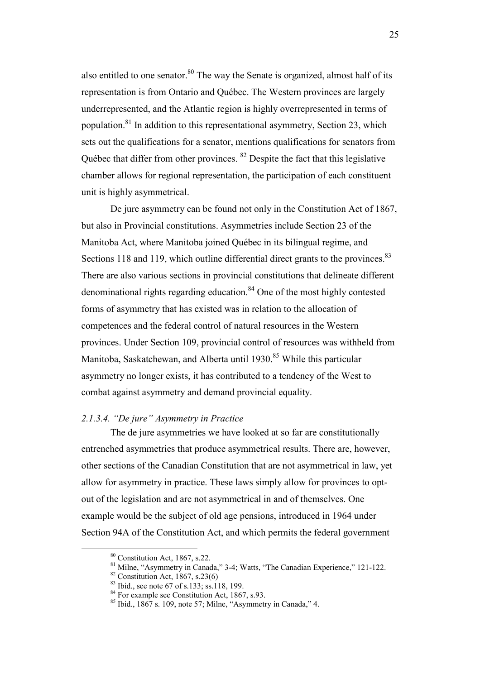<span id="page-25-0"></span>also entitled to one senator. $80$  The way the Senate is organized, almost half of its representation is from Ontario and Québec. The Western provinces are largely underrepresented, and the Atlantic region is highly overrepresented in terms of population.<sup>81</sup> In addition to this representational asymmetry, Section 23, which sets out the qualifications for a senator, mentions qualifications for senators from Québec that differ from other provinces. <sup>82</sup> Despite the fact that this legislative chamber allows for regional representation, the participation of each constituent unit is highly asymmetrical.

De jure asymmetry can be found not only in the Constitution Act of 1867, but also in Provincial constitutions. Asymmetries include Section 23 of the Manitoba Act, where Manitoba joined Québec in its bilingual regime, and Sections 118 and 119, which outline differential direct grants to the provinces.<sup>83</sup> There are also various sections in provincial constitutions that delineate different denominational rights regarding education. $84$  One of the most highly contested forms of asymmetry that has existed was in relation to the allocation of competences and the federal control of natural resources in the Western provinces. Under Section 109, provincial control of resources was withheld from Manitoba, Saskatchewan, and Alberta until 1930.<sup>85</sup> While this particular asymmetry no longer exists, it has contributed to a tendency of the West to combat against asymmetry and demand provincial equality.

### *2.1.3.4. "De jure" Asymmetry in Practice*

The de jure asymmetries we have looked at so far are constitutionally entrenched asymmetries that produce asymmetrical results. There are, however, other sections of the Canadian Constitution that are not asymmetrical in law, yet allow for asymmetry in practice. These laws simply allow for provinces to optout of the legislation and are not asymmetrical in and of themselves. One example would be the subject of old age pensions, introduced in 1964 under Section 94A of the Constitution Act, and which permits the federal government

<sup>80</sup> Constitution Act, 1867, s.22.

<sup>&</sup>lt;sup>81</sup> Milne, "Asymmetry in Canada," 3-4; Watts, "The Canadian Experience," 121-122.

 $82$  Constitution Act, 1867, s.23(6)

 $83$  Ibid., see note 67 of s.133; ss.118, 199.

<sup>&</sup>lt;sup>84</sup> For example see Constitution Act, 1867, s.93.

 $85$  Ibid., 1867 s. 109, note 57; Milne, "Asymmetry in Canada," 4.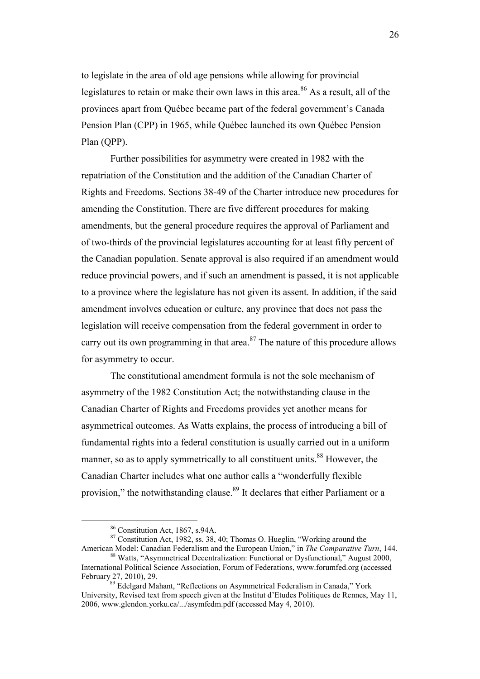to legislate in the area of old age pensions while allowing for provincial legislatures to retain or make their own laws in this area.<sup>86</sup> As a result, all of the provinces apart from Québec became part of the federal government's Canada Pension Plan (CPP) in 1965, while Québec launched its own Québec Pension Plan (QPP).

Further possibilities for asymmetry were created in 1982 with the repatriation of the Constitution and the addition of the Canadian Charter of Rights and Freedoms. Sections 38-49 of the Charter introduce new procedures for amending the Constitution. There are five different procedures for making amendments, but the general procedure requires the approval of Parliament and of two-thirds of the provincial legislatures accounting for at least fifty percent of the Canadian population. Senate approval is also required if an amendment would reduce provincial powers, and if such an amendment is passed, it is not applicable to a province where the legislature has not given its assent. In addition, if the said amendment involves education or culture, any province that does not pass the legislation will receive compensation from the federal government in order to carry out its own programming in that area.<sup>87</sup> The nature of this procedure allows for asymmetry to occur.

 The constitutional amendment formula is not the sole mechanism of asymmetry of the 1982 Constitution Act; the notwithstanding clause in the Canadian Charter of Rights and Freedoms provides yet another means for asymmetrical outcomes. As Watts explains, the process of introducing a bill of fundamental rights into a federal constitution is usually carried out in a uniform manner, so as to apply symmetrically to all constituent units.<sup>88</sup> However, the Canadian Charter includes what one author calls a "wonderfully flexible provision," the notwithstanding clause.<sup>89</sup> It declares that either Parliament or a

<sup>86</sup> Constitution Act, 1867, s.94A.

<sup>87</sup> Constitution Act, 1982, ss. 38, 40; Thomas O. Hueglin, "Working around the American Model: Canadian Federalism and the European Union," in *The Comparative Turn*, 144.

<sup>88</sup> Watts, "Asymmetrical Decentralization: Functional or Dysfunctional," August 2000, International Political Science Association, Forum of Federations, www.forumfed.org (accessed February 27, 2010), 29.

<sup>&</sup>lt;sup>89</sup> Edelgard Mahant, "Reflections on Asymmetrical Federalism in Canada," York University, Revised text from speech given at the Institut d'Etudes Politiques de Rennes, May 11, 2006, www.glendon.yorku.ca/.../asymfedm.pdf (accessed May 4, 2010).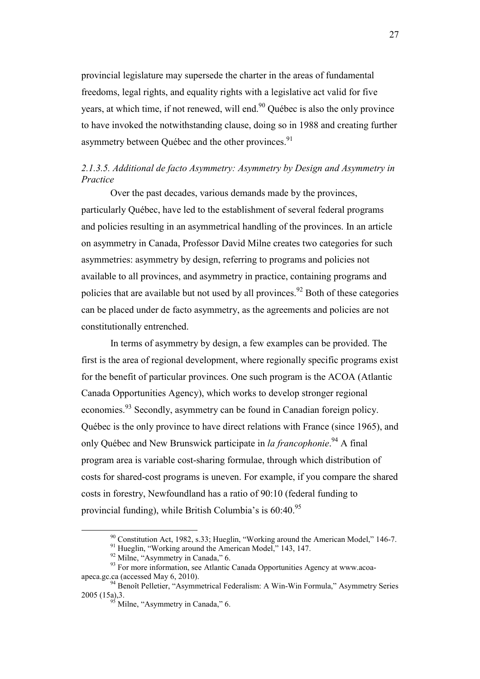<span id="page-27-0"></span>provincial legislature may supersede the charter in the areas of fundamental freedoms, legal rights, and equality rights with a legislative act valid for five years, at which time, if not renewed, will end. $90$  Québec is also the only province to have invoked the notwithstanding clause, doing so in 1988 and creating further asymmetry between Ouébec and the other provinces.<sup>91</sup>

# *2.1.3.5. Additional de facto Asymmetry: Asymmetry by Design and Asymmetry in Practice*

 Over the past decades, various demands made by the provinces, particularly Québec, have led to the establishment of several federal programs and policies resulting in an asymmetrical handling of the provinces. In an article on asymmetry in Canada, Professor David Milne creates two categories for such asymmetries: asymmetry by design, referring to programs and policies not available to all provinces, and asymmetry in practice, containing programs and policies that are available but not used by all provinces.<sup>92</sup> Both of these categories can be placed under de facto asymmetry, as the agreements and policies are not constitutionally entrenched.

 In terms of asymmetry by design, a few examples can be provided. The first is the area of regional development, where regionally specific programs exist for the benefit of particular provinces. One such program is the ACOA (Atlantic Canada Opportunities Agency), which works to develop stronger regional economies.<sup>93</sup> Secondly, asymmetry can be found in Canadian foreign policy. Québec is the only province to have direct relations with France (since 1965), and only Québec and New Brunswick participate in *la francophonie*. <sup>94</sup> A final program area is variable cost-sharing formulae, through which distribution of costs for shared-cost programs is uneven. For example, if you compare the shared costs in forestry, Newfoundland has a ratio of 90:10 (federal funding to provincial funding), while British Columbia's is 60:40.<sup>95</sup>

<sup>90</sup> Constitution Act, 1982, s.33; Hueglin, "Working around the American Model," 146-7.

<sup>&</sup>lt;sup>91</sup> Hueglin, "Working around the American Model," 143, 147.

<sup>&</sup>lt;sup>92</sup> Milne, "Asymmetry in Canada," 6.

<sup>&</sup>lt;sup>93</sup> For more information, see Atlantic Canada Opportunities Agency at www.acoaapeca.gc.ca (accessed May 6, 2010).

<sup>&</sup>lt;sup>94</sup> Benoît Pelletier, "Asymmetrical Federalism: A Win-Win Formula," Asymmetry Series 2005 (15a),3.

<sup>&</sup>lt;sup>95</sup> Milne, "Asymmetry in Canada," 6.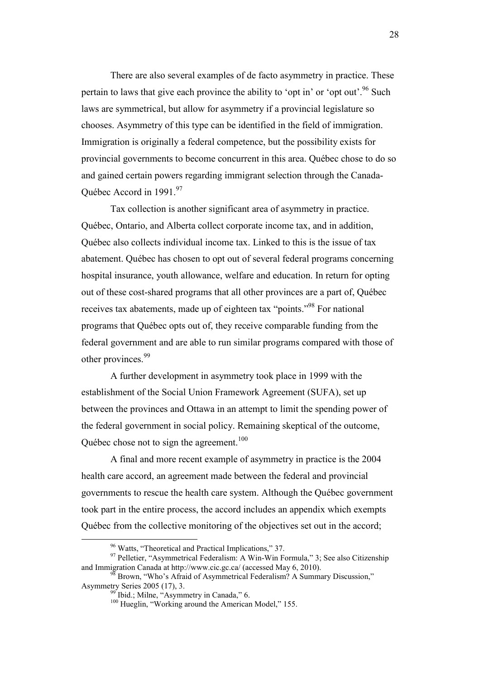There are also several examples of de facto asymmetry in practice. These pertain to laws that give each province the ability to 'opt in' or 'opt out'.<sup>96</sup> Such laws are symmetrical, but allow for asymmetry if a provincial legislature so chooses. Asymmetry of this type can be identified in the field of immigration. Immigration is originally a federal competence, but the possibility exists for provincial governments to become concurrent in this area. Québec chose to do so and gained certain powers regarding immigrant selection through the Canada-Québec Accord in 1991.<sup>97</sup>

 Tax collection is another significant area of asymmetry in practice. Québec, Ontario, and Alberta collect corporate income tax, and in addition, Québec also collects individual income tax. Linked to this is the issue of tax abatement. Québec has chosen to opt out of several federal programs concerning hospital insurance, youth allowance, welfare and education. In return for opting out of these cost-shared programs that all other provinces are a part of, Québec receives tax abatements, made up of eighteen tax "points."<sup>98</sup> For national programs that Québec opts out of, they receive comparable funding from the federal government and are able to run similar programs compared with those of other provinces.<sup>99</sup>

 A further development in asymmetry took place in 1999 with the establishment of the Social Union Framework Agreement (SUFA), set up between the provinces and Ottawa in an attempt to limit the spending power of the federal government in social policy. Remaining skeptical of the outcome, Québec chose not to sign the agreement.<sup>100</sup>

 A final and more recent example of asymmetry in practice is the 2004 health care accord, an agreement made between the federal and provincial governments to rescue the health care system. Although the Québec government took part in the entire process, the accord includes an appendix which exempts Québec from the collective monitoring of the objectives set out in the accord;

<sup>96</sup> Watts, "Theoretical and Practical Implications," 37.

<sup>&</sup>lt;sup>97</sup> Pelletier, "Asymmetrical Federalism: A Win-Win Formula," 3; See also Citizenship and Immigration Canada at http://www.cic.gc.ca/ (accessed May 6, 2010).

<sup>&</sup>lt;sup>98</sup> Brown, "Who's Afraid of Asymmetrical Federalism? A Summary Discussion," Asymmetry Series 2005 (17), 3.

<sup>&</sup>lt;sup>99</sup> Ibid.; Milne, "Asymmetry in Canada," 6.

<sup>&</sup>lt;sup>100</sup> Hueglin, "Working around the American Model," 155.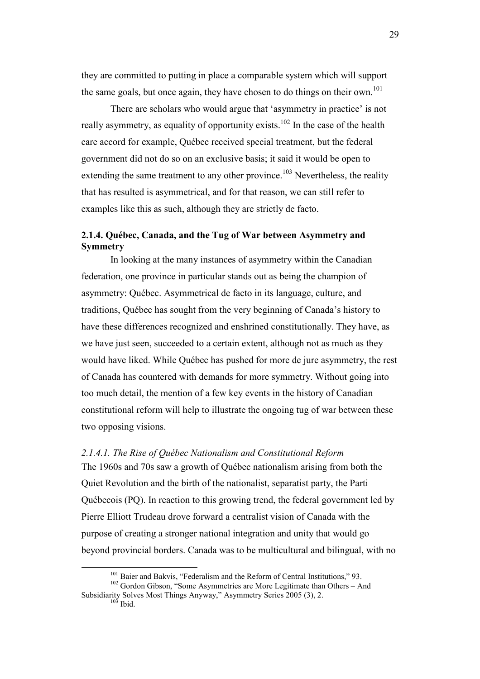<span id="page-29-0"></span>they are committed to putting in place a comparable system which will support the same goals, but once again, they have chosen to do things on their own.<sup>101</sup>

 There are scholars who would argue that 'asymmetry in practice' is not really asymmetry, as equality of opportunity exists.<sup>102</sup> In the case of the health care accord for example, Québec received special treatment, but the federal government did not do so on an exclusive basis; it said it would be open to extending the same treatment to any other province.<sup>103</sup> Nevertheless, the reality that has resulted is asymmetrical, and for that reason, we can still refer to examples like this as such, although they are strictly de facto.

# **2.1.4. Québec, Canada, and the Tug of War between Asymmetry and Symmetry**

 In looking at the many instances of asymmetry within the Canadian federation, one province in particular stands out as being the champion of asymmetry: Québec. Asymmetrical de facto in its language, culture, and traditions, Québec has sought from the very beginning of Canada's history to have these differences recognized and enshrined constitutionally. They have, as we have just seen, succeeded to a certain extent, although not as much as they would have liked. While Québec has pushed for more de jure asymmetry, the rest of Canada has countered with demands for more symmetry. Without going into too much detail, the mention of a few key events in the history of Canadian constitutional reform will help to illustrate the ongoing tug of war between these two opposing visions.

# *2.1.4.1. The Rise of Québec Nationalism and Constitutional Reform*  The 1960s and 70s saw a growth of Québec nationalism arising from both the Quiet Revolution and the birth of the nationalist, separatist party, the Parti Québecois (PQ). In reaction to this growing trend, the federal government led by Pierre Elliott Trudeau drove forward a centralist vision of Canada with the purpose of creating a stronger national integration and unity that would go beyond provincial borders. Canada was to be multicultural and bilingual, with no

 $\overline{a}$ 

29

<sup>&</sup>lt;sup>101</sup> Baier and Bakvis, "Federalism and the Reform of Central Institutions," 93.

<sup>&</sup>lt;sup>102</sup> Gordon Gibson, "Some Asymmetries are More Legitimate than Others – And Subsidiarity Solves Most Things Anyway," Asymmetry Series 2005 (3), 2.  $103$  Ibid.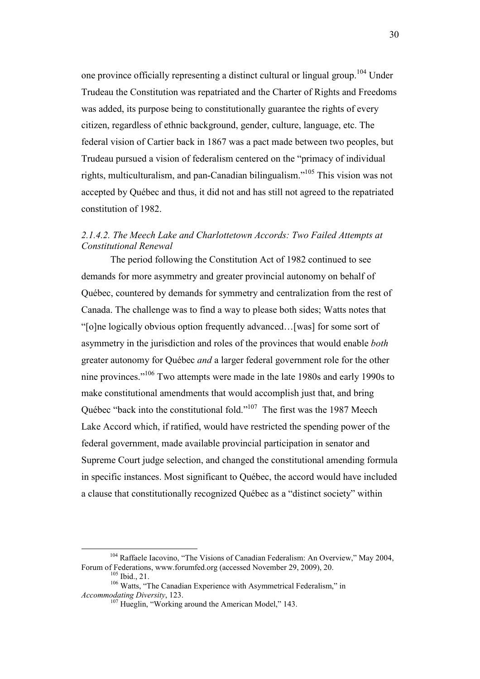<span id="page-30-0"></span>one province officially representing a distinct cultural or lingual group.<sup>104</sup> Under Trudeau the Constitution was repatriated and the Charter of Rights and Freedoms was added, its purpose being to constitutionally guarantee the rights of every citizen, regardless of ethnic background, gender, culture, language, etc. The federal vision of Cartier back in 1867 was a pact made between two peoples, but Trudeau pursued a vision of federalism centered on the "primacy of individual rights, multiculturalism, and pan-Canadian bilingualism."<sup>105</sup> This vision was not accepted by Québec and thus, it did not and has still not agreed to the repatriated constitution of 1982.

# *2.1.4.2. The Meech Lake and Charlottetown Accords: Two Failed Attempts at Constitutional Renewal*

 The period following the Constitution Act of 1982 continued to see demands for more asymmetry and greater provincial autonomy on behalf of Québec, countered by demands for symmetry and centralization from the rest of Canada. The challenge was to find a way to please both sides; Watts notes that "[o]ne logically obvious option frequently advanced…[was] for some sort of asymmetry in the jurisdiction and roles of the provinces that would enable *both* greater autonomy for Québec *and* a larger federal government role for the other nine provinces."<sup>106</sup> Two attempts were made in the late 1980s and early 1990s to make constitutional amendments that would accomplish just that, and bring Québec "back into the constitutional fold."<sup>107</sup> The first was the 1987 Meech Lake Accord which, if ratified, would have restricted the spending power of the federal government, made available provincial participation in senator and Supreme Court judge selection, and changed the constitutional amending formula in specific instances. Most significant to Québec, the accord would have included a clause that constitutionally recognized Québec as a "distinct society" within

<sup>&</sup>lt;sup>104</sup> Raffaele Iacovino, "The Visions of Canadian Federalism: An Overview," May 2004, Forum of Federations, www.forumfed.org (accessed November 29, 2009), 20.

 $105$  Ibid., 21.

<sup>&</sup>lt;sup>106</sup> Watts, "The Canadian Experience with Asymmetrical Federalism," in *Accommodating Diversity*, 123.

<sup>&</sup>lt;sup>107</sup> Hueglin, "Working around the American Model," 143.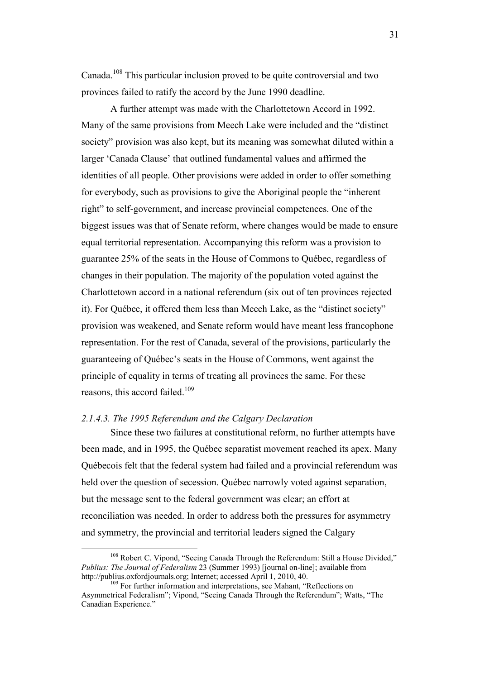<span id="page-31-0"></span>Canada.<sup>108</sup> This particular inclusion proved to be quite controversial and two provinces failed to ratify the accord by the June 1990 deadline.

 A further attempt was made with the Charlottetown Accord in 1992. Many of the same provisions from Meech Lake were included and the "distinct society" provision was also kept, but its meaning was somewhat diluted within a larger 'Canada Clause' that outlined fundamental values and affirmed the identities of all people. Other provisions were added in order to offer something for everybody, such as provisions to give the Aboriginal people the "inherent right" to self-government, and increase provincial competences. One of the biggest issues was that of Senate reform, where changes would be made to ensure equal territorial representation. Accompanying this reform was a provision to guarantee 25% of the seats in the House of Commons to Québec, regardless of changes in their population. The majority of the population voted against the Charlottetown accord in a national referendum (six out of ten provinces rejected it). For Québec, it offered them less than Meech Lake, as the "distinct society" provision was weakened, and Senate reform would have meant less francophone representation. For the rest of Canada, several of the provisions, particularly the guaranteeing of Québec's seats in the House of Commons, went against the principle of equality in terms of treating all provinces the same. For these reasons, this accord failed.<sup>109</sup>

## *2.1.4.3. The 1995 Referendum and the Calgary Declaration*

 $\overline{a}$ 

 Since these two failures at constitutional reform, no further attempts have been made, and in 1995, the Québec separatist movement reached its apex. Many Québecois felt that the federal system had failed and a provincial referendum was held over the question of secession. Québec narrowly voted against separation, but the message sent to the federal government was clear; an effort at reconciliation was needed. In order to address both the pressures for asymmetry and symmetry, the provincial and territorial leaders signed the Calgary

31

<sup>&</sup>lt;sup>108</sup> Robert C. Vipond, "Seeing Canada Through the Referendum: Still a House Divided," *Publius: The Journal of Federalism* 23 (Summer 1993) [journal on-line]; available from http://publius.oxfordjournals.org; Internet; accessed April 1, 2010, 40.

<sup>&</sup>lt;sup>109</sup> For further information and interpretations, see Mahant, "Reflections on Asymmetrical Federalism"; Vipond, "Seeing Canada Through the Referendum"; Watts, "The Canadian Experience."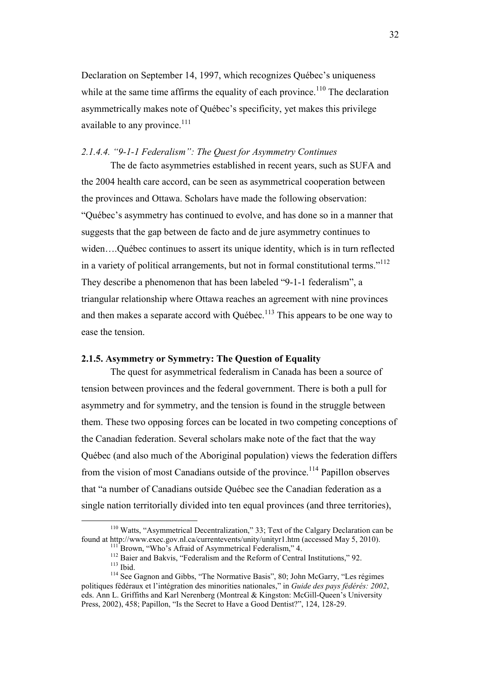<span id="page-32-0"></span>Declaration on September 14, 1997, which recognizes Québec's uniqueness while at the same time affirms the equality of each province.<sup>110</sup> The declaration asymmetrically makes note of Québec's specificity, yet makes this privilege available to any province.<sup>111</sup>

### *2.1.4.4. "9-1-1 Federalism": The Quest for Asymmetry Continues*

 The de facto asymmetries established in recent years, such as SUFA and the 2004 health care accord, can be seen as asymmetrical cooperation between the provinces and Ottawa. Scholars have made the following observation: "Québec's asymmetry has continued to evolve, and has done so in a manner that suggests that the gap between de facto and de jure asymmetry continues to widen….Québec continues to assert its unique identity, which is in turn reflected in a variety of political arrangements, but not in formal constitutional terms."<sup>112</sup> They describe a phenomenon that has been labeled "9-1-1 federalism", a triangular relationship where Ottawa reaches an agreement with nine provinces and then makes a separate accord with Québec.<sup>113</sup> This appears to be one way to ease the tension.

## **2.1.5. Asymmetry or Symmetry: The Question of Equality**

The quest for asymmetrical federalism in Canada has been a source of tension between provinces and the federal government. There is both a pull for asymmetry and for symmetry, and the tension is found in the struggle between them. These two opposing forces can be located in two competing conceptions of the Canadian federation. Several scholars make note of the fact that the way Québec (and also much of the Aboriginal population) views the federation differs from the vision of most Canadians outside of the province.<sup>114</sup> Papillon observes that "a number of Canadians outside Québec see the Canadian federation as a single nation territorially divided into ten equal provinces (and three territories),

<sup>&</sup>lt;sup>110</sup> Watts, "Asymmetrical Decentralization," 33; Text of the Calgary Declaration can be found at http://www.exec.gov.nl.ca/currentevents/unity/unityr1.htm (accessed May 5, 2010).

<sup>&</sup>lt;sup>111</sup> Brown, "Who's Afraid of Asymmetrical Federalism," 4.

<sup>&</sup>lt;sup>112</sup> Baier and Bakvis, "Federalism and the Reform of Central Institutions," 92. <sup>113</sup> Ibid.

<sup>114</sup> See Gagnon and Gibbs, "The Normative Basis", 80; John McGarry, "Les régimes politiques fédéraux et l'intégration des minorities nationales," in *Guide des pays fédérés: 2002*, eds. Ann L. Griffiths and Karl Nerenberg (Montreal & Kingston: McGill-Queen's University Press, 2002), 458; Papillon, "Is the Secret to Have a Good Dentist?", 124, 128-29.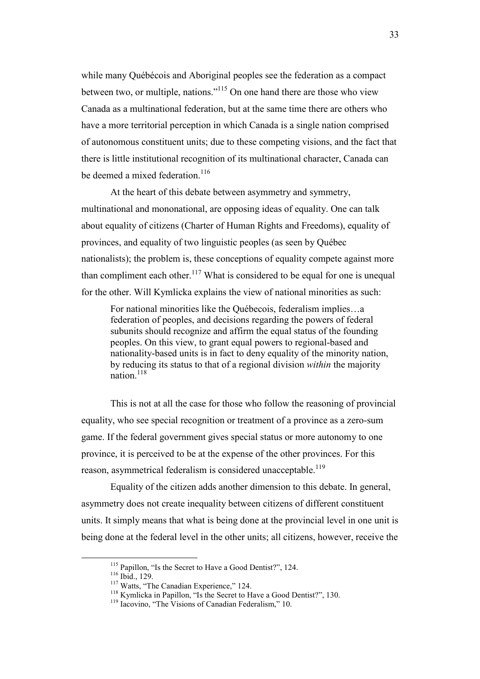while many Québécois and Aboriginal peoples see the federation as a compact between two, or multiple, nations."<sup>115</sup> On one hand there are those who view Canada as a multinational federation, but at the same time there are others who have a more territorial perception in which Canada is a single nation comprised of autonomous constituent units; due to these competing visions, and the fact that there is little institutional recognition of its multinational character, Canada can be deemed a mixed federation  $116$ 

 At the heart of this debate between asymmetry and symmetry, multinational and mononational, are opposing ideas of equality. One can talk about equality of citizens (Charter of Human Rights and Freedoms), equality of provinces, and equality of two linguistic peoples (as seen by Québec nationalists); the problem is, these conceptions of equality compete against more than compliment each other.<sup>117</sup> What is considered to be equal for one is unequal for the other. Will Kymlicka explains the view of national minorities as such:

For national minorities like the Québecois, federalism implies…a federation of peoples, and decisions regarding the powers of federal subunits should recognize and affirm the equal status of the founding peoples. On this view, to grant equal powers to regional-based and nationality-based units is in fact to deny equality of the minority nation, by reducing its status to that of a regional division *within* the majority nation.<sup>118</sup>

 This is not at all the case for those who follow the reasoning of provincial equality, who see special recognition or treatment of a province as a zero-sum game. If the federal government gives special status or more autonomy to one province, it is perceived to be at the expense of the other provinces. For this reason, asymmetrical federalism is considered unacceptable.<sup>119</sup>

 Equality of the citizen adds another dimension to this debate. In general, asymmetry does not create inequality between citizens of different constituent units. It simply means that what is being done at the provincial level in one unit is being done at the federal level in the other units; all citizens, however, receive the

<sup>&</sup>lt;sup>115</sup> Papillon, "Is the Secret to Have a Good Dentist?", 124.

<sup>116</sup> Ibid., 129.

<sup>&</sup>lt;sup>117</sup> Watts, "The Canadian Experience," 124.

<sup>&</sup>lt;sup>118</sup> Kymlicka in Papillon, "Is the Secret to Have a Good Dentist?", 130.

<sup>&</sup>lt;sup>119</sup> Iacovino. "The Visions of Canadian Federalism," 10.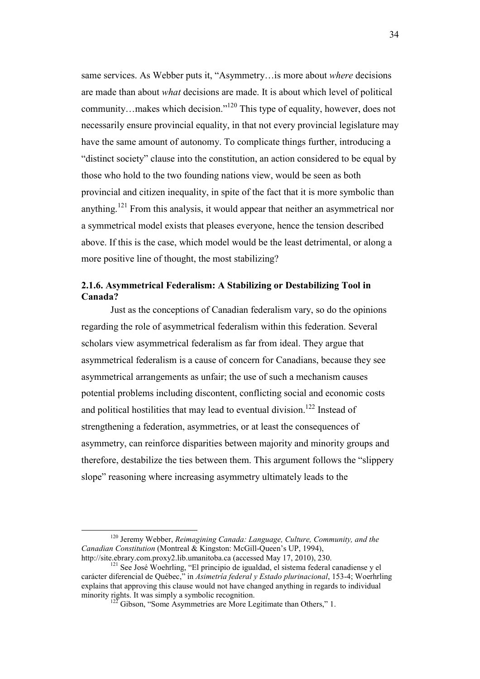<span id="page-34-0"></span>same services. As Webber puts it, "Asymmetry…is more about *where* decisions are made than about *what* decisions are made. It is about which level of political community…makes which decision."<sup>120</sup> This type of equality, however, does not necessarily ensure provincial equality, in that not every provincial legislature may have the same amount of autonomy. To complicate things further, introducing a "distinct society" clause into the constitution, an action considered to be equal by those who hold to the two founding nations view, would be seen as both provincial and citizen inequality, in spite of the fact that it is more symbolic than anything.<sup>121</sup> From this analysis, it would appear that neither an asymmetrical nor a symmetrical model exists that pleases everyone, hence the tension described above. If this is the case, which model would be the least detrimental, or along a more positive line of thought, the most stabilizing?

# **2.1.6. Asymmetrical Federalism: A Stabilizing or Destabilizing Tool in Canada?**

 Just as the conceptions of Canadian federalism vary, so do the opinions regarding the role of asymmetrical federalism within this federation. Several scholars view asymmetrical federalism as far from ideal. They argue that asymmetrical federalism is a cause of concern for Canadians, because they see asymmetrical arrangements as unfair; the use of such a mechanism causes potential problems including discontent, conflicting social and economic costs and political hostilities that may lead to eventual division.<sup>122</sup> Instead of strengthening a federation, asymmetries, or at least the consequences of asymmetry, can reinforce disparities between majority and minority groups and therefore, destabilize the ties between them. This argument follows the "slippery slope" reasoning where increasing asymmetry ultimately leads to the

<sup>120</sup> Jeremy Webber, *Reimagining Canada: Language, Culture, Community, and the Canadian Constitution* (Montreal & Kingston: McGill-Queen's UP, 1994), http://site.ebrary.com.proxy2.lib.umanitoba.ca (accessed May 17, 2010), 230.

<sup>&</sup>lt;sup>121</sup> See José Woehrling, "El principio de igualdad, el sistema federal canadiense y el carácter diferencial de Québec," in *Asimetría federal y Estado plurinacional*, 153-4; Woerhrling explains that approving this clause would not have changed anything in regards to individual minority rights. It was simply a symbolic recognition.

 $\overline{2}$  Gibson, "Some Asymmetries are More Legitimate than Others," 1.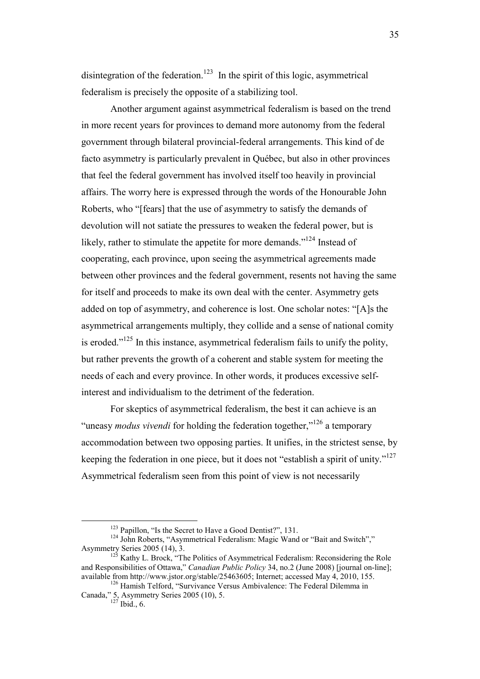disintegration of the federation.<sup>123</sup> In the spirit of this logic, asymmetrical federalism is precisely the opposite of a stabilizing tool.

 Another argument against asymmetrical federalism is based on the trend in more recent years for provinces to demand more autonomy from the federal government through bilateral provincial-federal arrangements. This kind of de facto asymmetry is particularly prevalent in Québec, but also in other provinces that feel the federal government has involved itself too heavily in provincial affairs. The worry here is expressed through the words of the Honourable John Roberts, who "[fears] that the use of asymmetry to satisfy the demands of devolution will not satiate the pressures to weaken the federal power, but is likely, rather to stimulate the appetite for more demands."<sup>124</sup> Instead of cooperating, each province, upon seeing the asymmetrical agreements made between other provinces and the federal government, resents not having the same for itself and proceeds to make its own deal with the center. Asymmetry gets added on top of asymmetry, and coherence is lost. One scholar notes: "[A]s the asymmetrical arrangements multiply, they collide and a sense of national comity is eroded." $125$  In this instance, asymmetrical federalism fails to unify the polity, but rather prevents the growth of a coherent and stable system for meeting the needs of each and every province. In other words, it produces excessive selfinterest and individualism to the detriment of the federation.

 For skeptics of asymmetrical federalism, the best it can achieve is an "uneasy *modus vivendi* for holding the federation together,"<sup>126</sup> a temporary accommodation between two opposing parties. It unifies, in the strictest sense, by keeping the federation in one piece, but it does not "establish a spirit of unity."<sup>127</sup> Asymmetrical federalism seen from this point of view is not necessarily

<sup>&</sup>lt;sup>123</sup> Papillon, "Is the Secret to Have a Good Dentist?", 131.

<sup>&</sup>lt;sup>124</sup> John Roberts, "Asymmetrical Federalism: Magic Wand or "Bait and Switch"," Asymmetry Series 2005 (14), 3.

<sup>&</sup>lt;sup>125</sup> Kathy L. Brock, "The Politics of Asymmetrical Federalism: Reconsidering the Role and Responsibilities of Ottawa," *Canadian Public Policy* 34, no.2 (June 2008) [journal on-line]; available from http://www.jstor.org/stable/25463605; Internet; accessed May 4, 2010, 155.

<sup>&</sup>lt;sup>126</sup> Hamish Telford, "Survivance Versus Ambivalence: The Federal Dilemma in Canada," 5, Asymmetry Series 2005 (10), 5.

 $127$  Ibid., 6.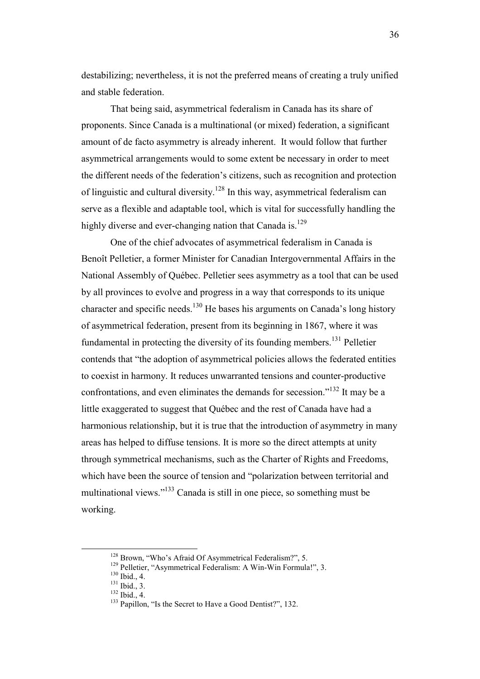destabilizing; nevertheless, it is not the preferred means of creating a truly unified and stable federation.

 That being said, asymmetrical federalism in Canada has its share of proponents. Since Canada is a multinational (or mixed) federation, a significant amount of de facto asymmetry is already inherent. It would follow that further asymmetrical arrangements would to some extent be necessary in order to meet the different needs of the federation's citizens, such as recognition and protection of linguistic and cultural diversity.<sup>128</sup> In this way, asymmetrical federalism can serve as a flexible and adaptable tool, which is vital for successfully handling the highly diverse and ever-changing nation that Canada is.<sup>129</sup>

 One of the chief advocates of asymmetrical federalism in Canada is Benoît Pelletier, a former Minister for Canadian Intergovernmental Affairs in the National Assembly of Québec. Pelletier sees asymmetry as a tool that can be used by all provinces to evolve and progress in a way that corresponds to its unique character and specific needs.<sup>130</sup> He bases his arguments on Canada's long history of asymmetrical federation, present from its beginning in 1867, where it was fundamental in protecting the diversity of its founding members.<sup>131</sup> Pelletier contends that "the adoption of asymmetrical policies allows the federated entities to coexist in harmony. It reduces unwarranted tensions and counter-productive confrontations, and even eliminates the demands for secession."<sup>132</sup> It may be a little exaggerated to suggest that Québec and the rest of Canada have had a harmonious relationship, but it is true that the introduction of asymmetry in many areas has helped to diffuse tensions. It is more so the direct attempts at unity through symmetrical mechanisms, such as the Charter of Rights and Freedoms, which have been the source of tension and "polarization between territorial and multinational views."<sup>133</sup> Canada is still in one piece, so something must be working.

<sup>&</sup>lt;sup>128</sup> Brown, "Who's Afraid Of Asymmetrical Federalism?", 5.

<sup>&</sup>lt;sup>129</sup> Pelletier, "Asymmetrical Federalism: A Win-Win Formula!", 3.

 $130$  Ibid., 4.

 $^{131}$  Ibid., 3.

<sup>132</sup> Ibid., 4.

<sup>&</sup>lt;sup>133</sup> Papillon, "Is the Secret to Have a Good Dentist?", 132.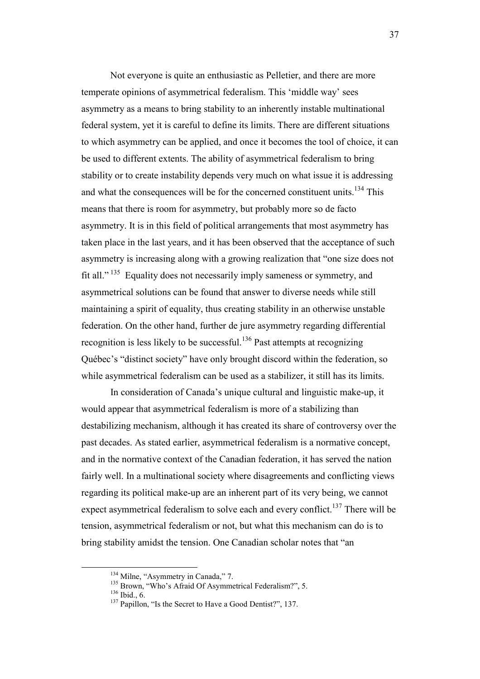Not everyone is quite an enthusiastic as Pelletier, and there are more temperate opinions of asymmetrical federalism. This 'middle way' sees asymmetry as a means to bring stability to an inherently instable multinational federal system, yet it is careful to define its limits. There are different situations to which asymmetry can be applied, and once it becomes the tool of choice, it can be used to different extents. The ability of asymmetrical federalism to bring stability or to create instability depends very much on what issue it is addressing and what the consequences will be for the concerned constituent units.<sup>134</sup> This means that there is room for asymmetry, but probably more so de facto asymmetry. It is in this field of political arrangements that most asymmetry has taken place in the last years, and it has been observed that the acceptance of such asymmetry is increasing along with a growing realization that "one size does not fit all."<sup>135</sup> Equality does not necessarily imply sameness or symmetry, and asymmetrical solutions can be found that answer to diverse needs while still maintaining a spirit of equality, thus creating stability in an otherwise unstable federation. On the other hand, further de jure asymmetry regarding differential recognition is less likely to be successful.<sup>136</sup> Past attempts at recognizing Québec's "distinct society" have only brought discord within the federation, so while asymmetrical federalism can be used as a stabilizer, it still has its limits.

 In consideration of Canada's unique cultural and linguistic make-up, it would appear that asymmetrical federalism is more of a stabilizing than destabilizing mechanism, although it has created its share of controversy over the past decades. As stated earlier, asymmetrical federalism is a normative concept, and in the normative context of the Canadian federation, it has served the nation fairly well. In a multinational society where disagreements and conflicting views regarding its political make-up are an inherent part of its very being, we cannot expect asymmetrical federalism to solve each and every conflict.<sup>137</sup> There will be tension, asymmetrical federalism or not, but what this mechanism can do is to bring stability amidst the tension. One Canadian scholar notes that "an

<sup>&</sup>lt;sup>134</sup> Milne, "Asymmetry in Canada," 7.

<sup>&</sup>lt;sup>135</sup> Brown, "Who's Afraid Of Asymmetrical Federalism?", 5.

<sup>136</sup> Ibid., 6.

<sup>&</sup>lt;sup>137</sup> Papillon, "Is the Secret to Have a Good Dentist?", 137.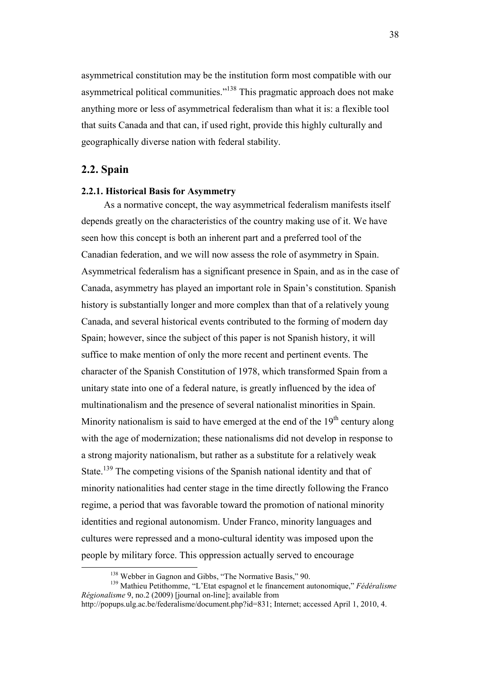asymmetrical constitution may be the institution form most compatible with our asymmetrical political communities."<sup>138</sup> This pragmatic approach does not make anything more or less of asymmetrical federalism than what it is: a flexible tool that suits Canada and that can, if used right, provide this highly culturally and geographically diverse nation with federal stability.

## **2.2. Spain**

 $\overline{a}$ 

## **2.2.1. Historical Basis for Asymmetry**

 As a normative concept, the way asymmetrical federalism manifests itself depends greatly on the characteristics of the country making use of it. We have seen how this concept is both an inherent part and a preferred tool of the Canadian federation, and we will now assess the role of asymmetry in Spain. Asymmetrical federalism has a significant presence in Spain, and as in the case of Canada, asymmetry has played an important role in Spain's constitution. Spanish history is substantially longer and more complex than that of a relatively young Canada, and several historical events contributed to the forming of modern day Spain; however, since the subject of this paper is not Spanish history, it will suffice to make mention of only the more recent and pertinent events. The character of the Spanish Constitution of 1978, which transformed Spain from a unitary state into one of a federal nature, is greatly influenced by the idea of multinationalism and the presence of several nationalist minorities in Spain. Minority nationalism is said to have emerged at the end of the  $19<sup>th</sup>$  century along with the age of modernization; these nationalisms did not develop in response to a strong majority nationalism, but rather as a substitute for a relatively weak State.<sup>139</sup> The competing visions of the Spanish national identity and that of minority nationalities had center stage in the time directly following the Franco regime, a period that was favorable toward the promotion of national minority identities and regional autonomism. Under Franco, minority languages and cultures were repressed and a mono-cultural identity was imposed upon the people by military force. This oppression actually served to encourage

<sup>138</sup> Webber in Gagnon and Gibbs, "The Normative Basis," 90.

<sup>139</sup> Mathieu Petithomme, "L'Etat espagnol et le financement autonomique," *Fédéralisme Régionalisme* 9, no.2 (2009) [journal on-line]; available from

http://popups.ulg.ac.be/federalisme/document.php?id=831; Internet; accessed April 1, 2010, 4.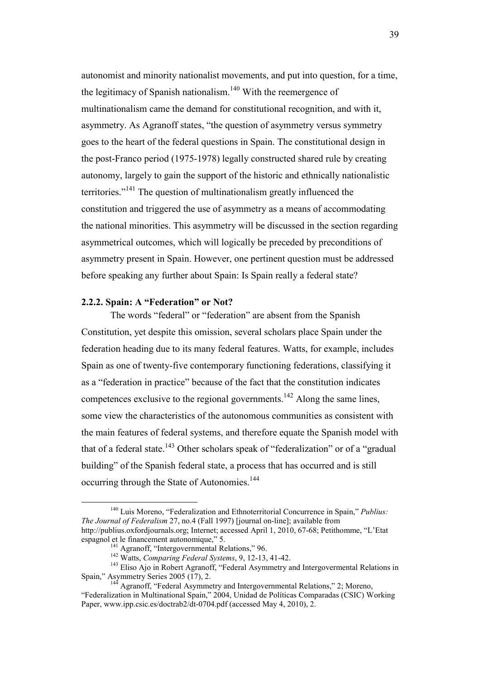autonomist and minority nationalist movements, and put into question, for a time, the legitimacy of Spanish nationalism.<sup>140</sup> With the reemergence of multinationalism came the demand for constitutional recognition, and with it, asymmetry. As Agranoff states, "the question of asymmetry versus symmetry goes to the heart of the federal questions in Spain. The constitutional design in the post-Franco period (1975-1978) legally constructed shared rule by creating autonomy, largely to gain the support of the historic and ethnically nationalistic territories."<sup>141</sup> The question of multinationalism greatly influenced the constitution and triggered the use of asymmetry as a means of accommodating the national minorities. This asymmetry will be discussed in the section regarding asymmetrical outcomes, which will logically be preceded by preconditions of asymmetry present in Spain. However, one pertinent question must be addressed before speaking any further about Spain: Is Spain really a federal state?

### **2.2.2. Spain: A "Federation" or Not?**

 $\overline{a}$ 

The words "federal" or "federation" are absent from the Spanish Constitution, yet despite this omission, several scholars place Spain under the federation heading due to its many federal features. Watts, for example, includes Spain as one of twenty-five contemporary functioning federations, classifying it as a "federation in practice" because of the fact that the constitution indicates competences exclusive to the regional governments.<sup>142</sup> Along the same lines, some view the characteristics of the autonomous communities as consistent with the main features of federal systems, and therefore equate the Spanish model with that of a federal state.<sup>143</sup> Other scholars speak of "federalization" or of a "gradual building" of the Spanish federal state, a process that has occurred and is still occurring through the State of Autonomies.<sup>144</sup>

<sup>140</sup> Luis Moreno, "Federalization and Ethnoterritorial Concurrence in Spain," *Publius: The Journal of Federalism* 27, no.4 (Fall 1997) [journal on-line]; available from http://publius.oxfordjournals.org; Internet; accessed April 1, 2010, 67-68; Petithomme, "L'Etat espagnol et le financement autonomique," 5.

<sup>&</sup>lt;sup>141</sup> Agranoff, "Intergovernmental Relations," 96.

<sup>142</sup> Watts, *Comparing Federal Systems*, 9, 12-13, 41-42.

<sup>&</sup>lt;sup>143</sup> Eliso Ajo in Robert Agranoff, "Federal Asymmetry and Intergovermental Relations in Spain," Asymmetry Series 2005 (17), 2.

<sup>&</sup>lt;sup>144</sup> Agranoff, "Federal Asymmetry and Intergovernmental Relations," 2; Moreno, "Federalization in Multinational Spain," 2004, Unidad de Políticas Comparadas (CSIC) Working Paper, www.ipp.csic.es/doctrab2/dt-0704.pdf (accessed May 4, 2010), 2.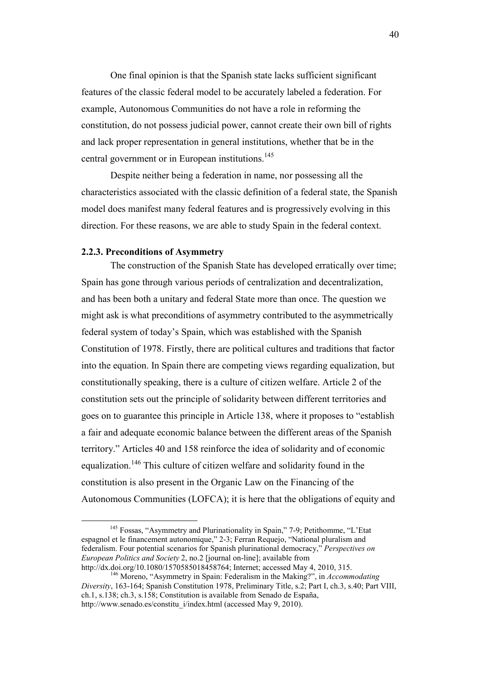One final opinion is that the Spanish state lacks sufficient significant features of the classic federal model to be accurately labeled a federation. For example, Autonomous Communities do not have a role in reforming the constitution, do not possess judicial power, cannot create their own bill of rights and lack proper representation in general institutions, whether that be in the central government or in European institutions.<sup>145</sup>

Despite neither being a federation in name, nor possessing all the characteristics associated with the classic definition of a federal state, the Spanish model does manifest many federal features and is progressively evolving in this direction. For these reasons, we are able to study Spain in the federal context.

## **2.2.3. Preconditions of Asymmetry**

 $\overline{a}$ 

 The construction of the Spanish State has developed erratically over time; Spain has gone through various periods of centralization and decentralization, and has been both a unitary and federal State more than once. The question we might ask is what preconditions of asymmetry contributed to the asymmetrically federal system of today's Spain, which was established with the Spanish Constitution of 1978. Firstly, there are political cultures and traditions that factor into the equation. In Spain there are competing views regarding equalization, but constitutionally speaking, there is a culture of citizen welfare. Article 2 of the constitution sets out the principle of solidarity between different territories and goes on to guarantee this principle in Article 138, where it proposes to "establish a fair and adequate economic balance between the different areas of the Spanish territory." Articles 40 and 158 reinforce the idea of solidarity and of economic equalization.<sup>146</sup> This culture of citizen welfare and solidarity found in the constitution is also present in the Organic Law on the Financing of the Autonomous Communities (LOFCA); it is here that the obligations of equity and

<sup>&</sup>lt;sup>145</sup> Fossas, "Asymmetry and Plurinationality in Spain," 7-9; Petithomme, "L'Etat espagnol et le financement autonomique," 2-3; Ferran Requejo, "National pluralism and federalism. Four potential scenarios for Spanish plurinational democracy," *Perspectives on European Politics and Society* 2, no.2 [journal on-line]; available from http://dx.doi.org/10.1080/1570585018458764; Internet; accessed May 4, 2010, 315.

<sup>146</sup> Moreno, "Asymmetry in Spain: Federalism in the Making?", in *Accommodating Diversity*, 163-164; Spanish Constitution 1978, Preliminary Title, s.2; Part I, ch.3, s.40; Part VIII, ch.1, s.138; ch.3, s.158; Constitution is available from Senado de España, http://www.senado.es/constitu\_i/index.html (accessed May 9, 2010).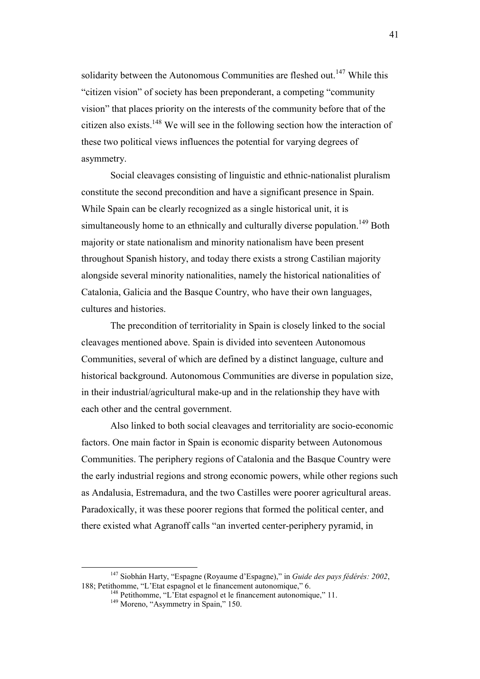solidarity between the Autonomous Communities are fleshed out.<sup>147</sup> While this "citizen vision" of society has been preponderant, a competing "community vision" that places priority on the interests of the community before that of the citizen also exists.<sup>148</sup> We will see in the following section how the interaction of these two political views influences the potential for varying degrees of asymmetry.

 Social cleavages consisting of linguistic and ethnic-nationalist pluralism constitute the second precondition and have a significant presence in Spain. While Spain can be clearly recognized as a single historical unit, it is simultaneously home to an ethnically and culturally diverse population.<sup>149</sup> Both majority or state nationalism and minority nationalism have been present throughout Spanish history, and today there exists a strong Castilian majority alongside several minority nationalities, namely the historical nationalities of Catalonia, Galicia and the Basque Country, who have their own languages, cultures and histories.

The precondition of territoriality in Spain is closely linked to the social cleavages mentioned above. Spain is divided into seventeen Autonomous Communities, several of which are defined by a distinct language, culture and historical background. Autonomous Communities are diverse in population size, in their industrial/agricultural make-up and in the relationship they have with each other and the central government.

 Also linked to both social cleavages and territoriality are socio-economic factors. One main factor in Spain is economic disparity between Autonomous Communities. The periphery regions of Catalonia and the Basque Country were the early industrial regions and strong economic powers, while other regions such as Andalusia, Estremadura, and the two Castilles were poorer agricultural areas. Paradoxically, it was these poorer regions that formed the political center, and there existed what Agranoff calls "an inverted center-periphery pyramid, in

<sup>147</sup> Siobhán Harty, "Espagne (Royaume d'Espagne)," in *Guide des pays fédérés: 2002*, 188; Petithomme, "L'Etat espagnol et le financement autonomique," 6.

<sup>&</sup>lt;sup>148</sup> Petithomme, "L'Etat espagnol et le financement autonomique," 11.

<sup>&</sup>lt;sup>149</sup> Moreno, "Asymmetry in Spain," 150.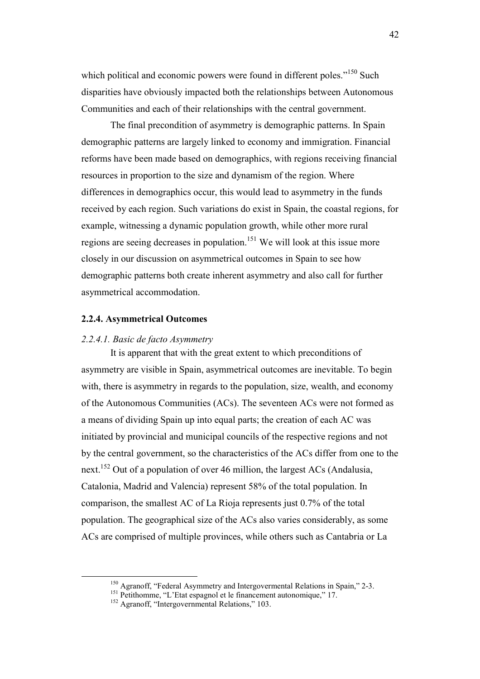which political and economic powers were found in different poles."<sup>150</sup> Such disparities have obviously impacted both the relationships between Autonomous Communities and each of their relationships with the central government.

 The final precondition of asymmetry is demographic patterns. In Spain demographic patterns are largely linked to economy and immigration. Financial reforms have been made based on demographics, with regions receiving financial resources in proportion to the size and dynamism of the region. Where differences in demographics occur, this would lead to asymmetry in the funds received by each region. Such variations do exist in Spain, the coastal regions, for example, witnessing a dynamic population growth, while other more rural regions are seeing decreases in population.<sup>151</sup> We will look at this issue more closely in our discussion on asymmetrical outcomes in Spain to see how demographic patterns both create inherent asymmetry and also call for further asymmetrical accommodation.

### **2.2.4. Asymmetrical Outcomes**

#### *2.2.4.1. Basic de facto Asymmetry*

 $\overline{a}$ 

It is apparent that with the great extent to which preconditions of asymmetry are visible in Spain, asymmetrical outcomes are inevitable. To begin with, there is asymmetry in regards to the population, size, wealth, and economy of the Autonomous Communities (ACs). The seventeen ACs were not formed as a means of dividing Spain up into equal parts; the creation of each AC was initiated by provincial and municipal councils of the respective regions and not by the central government, so the characteristics of the ACs differ from one to the next.<sup>152</sup> Out of a population of over 46 million, the largest ACs (Andalusia, Catalonia, Madrid and Valencia) represent 58% of the total population. In comparison, the smallest AC of La Rioja represents just 0.7% of the total population. The geographical size of the ACs also varies considerably, as some ACs are comprised of multiple provinces, while others such as Cantabria or La

<sup>&</sup>lt;sup>150</sup> Agranoff, "Federal Asymmetry and Intergovermental Relations in Spain," 2-3.

<sup>&</sup>lt;sup>151</sup> Petithomme, "L'Etat espagnol et le financement autonomique," 17.

<sup>&</sup>lt;sup>152</sup> Agranoff, "Intergovernmental Relations," 103.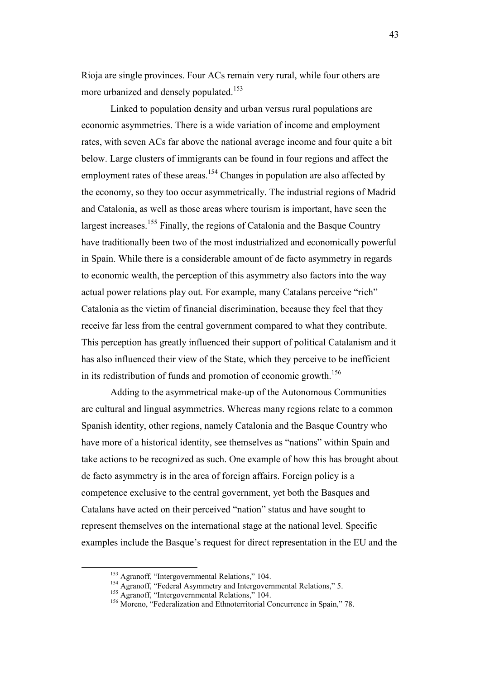Rioja are single provinces. Four ACs remain very rural, while four others are more urbanized and densely populated.<sup>153</sup>

Linked to population density and urban versus rural populations are economic asymmetries. There is a wide variation of income and employment rates, with seven ACs far above the national average income and four quite a bit below. Large clusters of immigrants can be found in four regions and affect the employment rates of these areas.<sup>154</sup> Changes in population are also affected by the economy, so they too occur asymmetrically. The industrial regions of Madrid and Catalonia, as well as those areas where tourism is important, have seen the largest increases.<sup>155</sup> Finally, the regions of Catalonia and the Basque Country have traditionally been two of the most industrialized and economically powerful in Spain. While there is a considerable amount of de facto asymmetry in regards to economic wealth, the perception of this asymmetry also factors into the way actual power relations play out. For example, many Catalans perceive "rich" Catalonia as the victim of financial discrimination, because they feel that they receive far less from the central government compared to what they contribute. This perception has greatly influenced their support of political Catalanism and it has also influenced their view of the State, which they perceive to be inefficient in its redistribution of funds and promotion of economic growth.<sup>156</sup>

Adding to the asymmetrical make-up of the Autonomous Communities are cultural and lingual asymmetries. Whereas many regions relate to a common Spanish identity, other regions, namely Catalonia and the Basque Country who have more of a historical identity, see themselves as "nations" within Spain and take actions to be recognized as such. One example of how this has brought about de facto asymmetry is in the area of foreign affairs. Foreign policy is a competence exclusive to the central government, yet both the Basques and Catalans have acted on their perceived "nation" status and have sought to represent themselves on the international stage at the national level. Specific examples include the Basque's request for direct representation in the EU and the

<sup>153</sup> Agranoff, "Intergovernmental Relations," 104.

<sup>&</sup>lt;sup>154</sup> Agranoff, "Federal Asymmetry and Intergovernmental Relations," 5.

<sup>&</sup>lt;sup>155</sup> Agranoff, "Intergovernmental Relations," 104.

<sup>&</sup>lt;sup>156</sup> Moreno, "Federalization and Ethnoterritorial Concurrence in Spain," 78.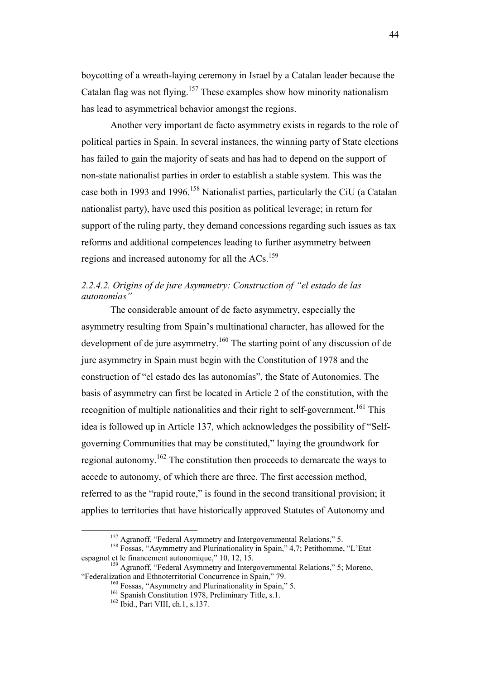boycotting of a wreath-laying ceremony in Israel by a Catalan leader because the Catalan flag was not flying.<sup>157</sup> These examples show how minority nationalism has lead to asymmetrical behavior amongst the regions.

Another very important de facto asymmetry exists in regards to the role of political parties in Spain. In several instances, the winning party of State elections has failed to gain the majority of seats and has had to depend on the support of non-state nationalist parties in order to establish a stable system. This was the case both in 1993 and 1996.<sup>158</sup> Nationalist parties, particularly the CiU (a Catalan nationalist party), have used this position as political leverage; in return for support of the ruling party, they demand concessions regarding such issues as tax reforms and additional competences leading to further asymmetry between regions and increased autonomy for all the  $ACs$ .<sup>159</sup>

# *2.2.4.2. Origins of de jure Asymmetry: Construction of "el estado de las autonomías"*

 The considerable amount of de facto asymmetry, especially the asymmetry resulting from Spain's multinational character, has allowed for the development of de jure asymmetry.<sup>160</sup> The starting point of any discussion of de jure asymmetry in Spain must begin with the Constitution of 1978 and the construction of "el estado des las autonomías", the State of Autonomies. The basis of asymmetry can first be located in Article 2 of the constitution, with the recognition of multiple nationalities and their right to self-government.<sup>161</sup> This idea is followed up in Article 137, which acknowledges the possibility of "Selfgoverning Communities that may be constituted," laying the groundwork for regional autonomy.<sup>162</sup> The constitution then proceeds to demarcate the ways to accede to autonomy, of which there are three. The first accession method, referred to as the "rapid route," is found in the second transitional provision; it applies to territories that have historically approved Statutes of Autonomy and

<sup>&</sup>lt;sup>157</sup> Agranoff, "Federal Asymmetry and Intergovernmental Relations," 5.

<sup>&</sup>lt;sup>158</sup> Fossas, "Asymmetry and Plurinationality in Spain," 4,7; Petithomme, "L'Etat espagnol et le financement autonomique," 10, 12, 15.

<sup>&</sup>lt;sup>159</sup> Agranoff, "Federal Asymmetry and Intergovernmental Relations," 5; Moreno, "Federalization and Ethnoterritorial Concurrence in Spain," 79.

<sup>160</sup> Fossas, "Asymmetry and Plurinationality in Spain," 5.

<sup>&</sup>lt;sup>161</sup> Spanish Constitution 1978, Preliminary Title, s.1.

<sup>&</sup>lt;sup>162</sup> Ibid., Part VIII, ch.1, s.137.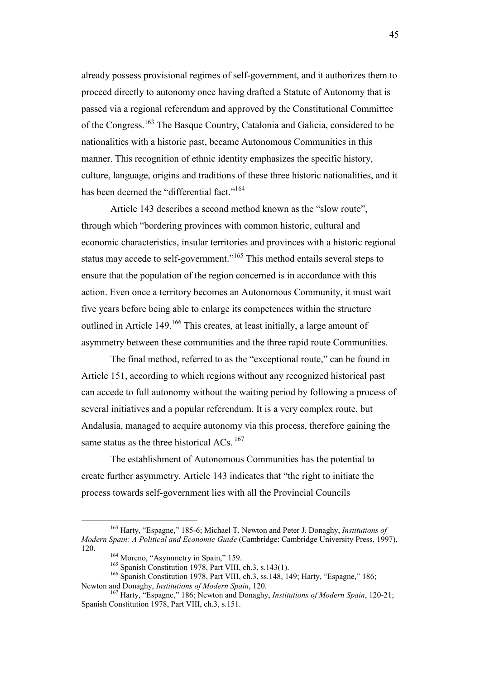already possess provisional regimes of self-government, and it authorizes them to proceed directly to autonomy once having drafted a Statute of Autonomy that is passed via a regional referendum and approved by the Constitutional Committee of the Congress.<sup>163</sup> The Basque Country, Catalonia and Galicia, considered to be nationalities with a historic past, became Autonomous Communities in this manner. This recognition of ethnic identity emphasizes the specific history, culture, language, origins and traditions of these three historic nationalities, and it has been deemed the "differential fact."<sup>164</sup>

 Article 143 describes a second method known as the "slow route", through which "bordering provinces with common historic, cultural and economic characteristics, insular territories and provinces with a historic regional status may accede to self-government."<sup>165</sup> This method entails several steps to ensure that the population of the region concerned is in accordance with this action. Even once a territory becomes an Autonomous Community, it must wait five years before being able to enlarge its competences within the structure outlined in Article  $149<sup>166</sup>$  This creates, at least initially, a large amount of asymmetry between these communities and the three rapid route Communities.

 The final method, referred to as the "exceptional route," can be found in Article 151, according to which regions without any recognized historical past can accede to full autonomy without the waiting period by following a process of several initiatives and a popular referendum. It is a very complex route, but Andalusia, managed to acquire autonomy via this process, therefore gaining the same status as the three historical ACs.<sup>167</sup>

 The establishment of Autonomous Communities has the potential to create further asymmetry. Article 143 indicates that "the right to initiate the process towards self-government lies with all the Provincial Councils

<sup>163</sup> Harty, "Espagne," 185-6; Michael T. Newton and Peter J. Donaghy, *Institutions of Modern Spain: A Political and Economic Guide* (Cambridge: Cambridge University Press, 1997), 120.

<sup>&</sup>lt;sup>164</sup> Moreno, "Asymmetry in Spain," 159.

<sup>&</sup>lt;sup>165</sup> Spanish Constitution 1978, Part VIII, ch.3, s.143(1).

<sup>&</sup>lt;sup>166</sup> Spanish Constitution 1978, Part VIII, ch.3, ss.148, 149; Harty, "Espagne," 186; Newton and Donaghy, *Institutions of Modern Spain*, 120.

<sup>167</sup> Harty, "Espagne," 186; Newton and Donaghy, *Institutions of Modern Spain*, 120-21; Spanish Constitution 1978, Part VIII, ch.3, s.151.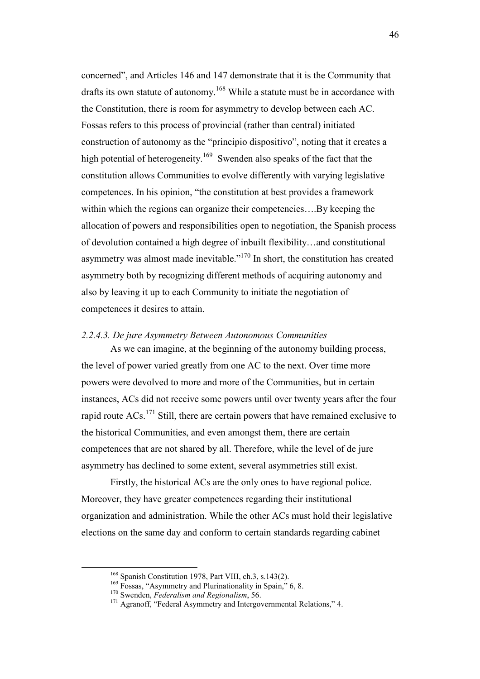concerned", and Articles 146 and 147 demonstrate that it is the Community that drafts its own statute of autonomy.<sup>168</sup> While a statute must be in accordance with the Constitution, there is room for asymmetry to develop between each AC. Fossas refers to this process of provincial (rather than central) initiated construction of autonomy as the "principio dispositivo", noting that it creates a high potential of heterogeneity.<sup>169</sup> Swenden also speaks of the fact that the constitution allows Communities to evolve differently with varying legislative competences. In his opinion, "the constitution at best provides a framework within which the regions can organize their competencies....By keeping the allocation of powers and responsibilities open to negotiation, the Spanish process of devolution contained a high degree of inbuilt flexibility…and constitutional asymmetry was almost made inevitable."<sup>170</sup> In short, the constitution has created asymmetry both by recognizing different methods of acquiring autonomy and also by leaving it up to each Community to initiate the negotiation of competences it desires to attain.

#### *2.2.4.3. De jure Asymmetry Between Autonomous Communities*

 As we can imagine, at the beginning of the autonomy building process, the level of power varied greatly from one AC to the next. Over time more powers were devolved to more and more of the Communities, but in certain instances, ACs did not receive some powers until over twenty years after the four rapid route ACs.<sup>171</sup> Still, there are certain powers that have remained exclusive to the historical Communities, and even amongst them, there are certain competences that are not shared by all. Therefore, while the level of de jure asymmetry has declined to some extent, several asymmetries still exist.

 Firstly, the historical ACs are the only ones to have regional police. Moreover, they have greater competences regarding their institutional organization and administration. While the other ACs must hold their legislative elections on the same day and conform to certain standards regarding cabinet

<sup>168</sup> Spanish Constitution 1978, Part VIII, ch.3, s.143(2).

<sup>&</sup>lt;sup>169</sup> Fossas, "Asymmetry and Plurinationality in Spain," 6, 8.

<sup>170</sup> Swenden, *Federalism and Regionalism*, 56.

<sup>&</sup>lt;sup>171</sup> Agranoff, "Federal Asymmetry and Intergovernmental Relations," 4.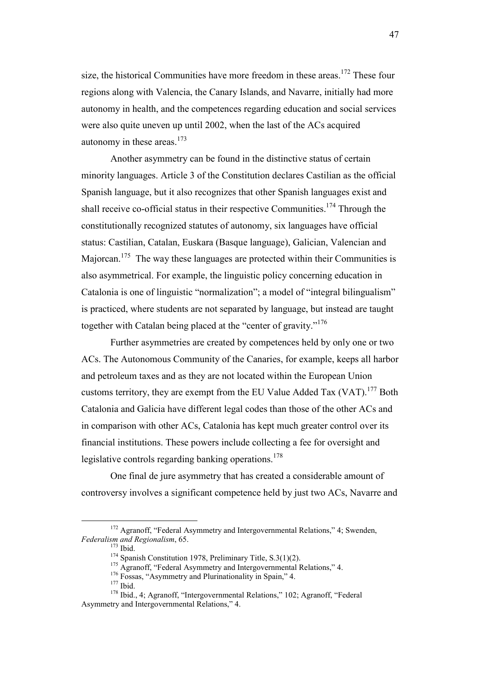size, the historical Communities have more freedom in these areas.<sup>172</sup> These four regions along with Valencia, the Canary Islands, and Navarre, initially had more autonomy in health, and the competences regarding education and social services were also quite uneven up until 2002, when the last of the ACs acquired autonomy in these areas. $173$ 

 Another asymmetry can be found in the distinctive status of certain minority languages. Article 3 of the Constitution declares Castilian as the official Spanish language, but it also recognizes that other Spanish languages exist and shall receive co-official status in their respective Communities.<sup>174</sup> Through the constitutionally recognized statutes of autonomy, six languages have official status: Castilian, Catalan, Euskara (Basque language), Galician, Valencian and Majorcan.<sup>175</sup> The way these languages are protected within their Communities is also asymmetrical. For example, the linguistic policy concerning education in Catalonia is one of linguistic "normalization"; a model of "integral bilingualism" is practiced, where students are not separated by language, but instead are taught together with Catalan being placed at the "center of gravity."<sup>176</sup>

 Further asymmetries are created by competences held by only one or two ACs. The Autonomous Community of the Canaries, for example, keeps all harbor and petroleum taxes and as they are not located within the European Union customs territory, they are exempt from the EU Value Added Tax  $(VAT)$ .<sup>177</sup> Both Catalonia and Galicia have different legal codes than those of the other ACs and in comparison with other ACs, Catalonia has kept much greater control over its financial institutions. These powers include collecting a fee for oversight and legislative controls regarding banking operations.<sup>178</sup>

 One final de jure asymmetry that has created a considerable amount of controversy involves a significant competence held by just two ACs, Navarre and

<sup>&</sup>lt;sup>172</sup> Agranoff, "Federal Asymmetry and Intergovernmental Relations," 4: Swenden, *Federalism and Regionalism*, 65.

 $173$  Ibid.

 $174$  Spanish Constitution 1978, Preliminary Title, S.3(1)(2).

<sup>&</sup>lt;sup>175</sup> Agranoff, "Federal Asymmetry and Intergovernmental Relations," 4.

<sup>&</sup>lt;sup>176</sup> Fossas, "Asymmetry and Plurinationality in Spain," 4.

 $177$  Ibid.

<sup>178</sup> Ibid., 4; Agranoff, "Intergovernmental Relations," 102; Agranoff, "Federal Asymmetry and Intergovernmental Relations," 4.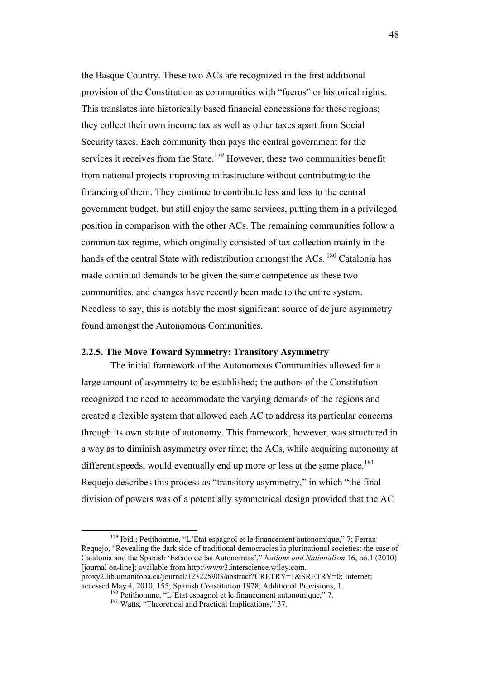the Basque Country. These two ACs are recognized in the first additional provision of the Constitution as communities with "fueros" or historical rights. This translates into historically based financial concessions for these regions; they collect their own income tax as well as other taxes apart from Social Security taxes. Each community then pays the central government for the services it receives from the State. $179$  However, these two communities benefit from national projects improving infrastructure without contributing to the financing of them. They continue to contribute less and less to the central government budget, but still enjoy the same services, putting them in a privileged position in comparison with the other ACs. The remaining communities follow a common tax regime, which originally consisted of tax collection mainly in the hands of the central State with redistribution amongst the  $ACs$ .<sup>180</sup> Catalonia has made continual demands to be given the same competence as these two communities, and changes have recently been made to the entire system. Needless to say, this is notably the most significant source of de jure asymmetry found amongst the Autonomous Communities.

## **2.2.5. The Move Toward Symmetry: Transitory Asymmetry**

 The initial framework of the Autonomous Communities allowed for a large amount of asymmetry to be established; the authors of the Constitution recognized the need to accommodate the varying demands of the regions and created a flexible system that allowed each AC to address its particular concerns through its own statute of autonomy. This framework, however, was structured in a way as to diminish asymmetry over time; the ACs, while acquiring autonomy at different speeds, would eventually end up more or less at the same place.<sup>181</sup> Requejo describes this process as "transitory asymmetry," in which "the final division of powers was of a potentially symmetrical design provided that the AC

<sup>179</sup> Ibid.; Petithomme, "L'Etat espagnol et le financement autonomique," 7; Ferran Requejo, "Revealing the dark side of traditional democracies in plurinational societies: the case of Catalonia and the Spanish 'Estado de las Autonomías'," *Nations and Nationalism* 16, no.1 (2010) [journal on-line]; available from http://www3.interscience.wiley.com. proxy2.lib.umanitoba.ca/journal/123225903/abstract?CRETRY=1&SRETRY=0; Internet; accessed May 4, 2010, 155; Spanish Constitution 1978, Additional Provisions, 1.

<sup>&</sup>lt;sup>180</sup> Petithomme, "L'Etat espagnol et le financement autonomique," 7.

<sup>&</sup>lt;sup>181</sup> Watts, "Theoretical and Practical Implications," 37.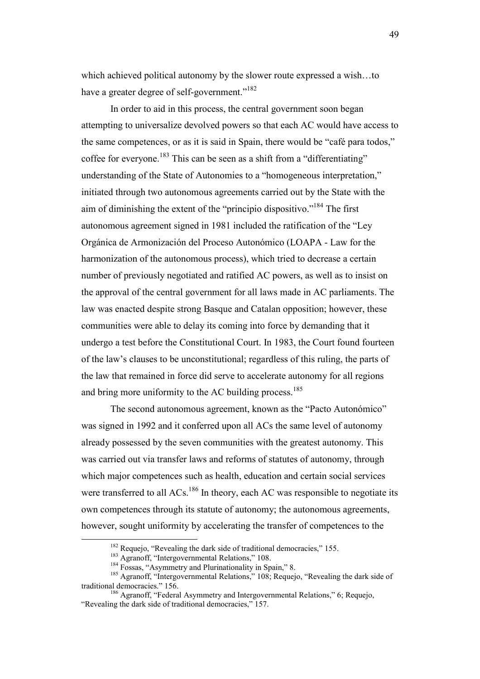which achieved political autonomy by the slower route expressed a wish…to have a greater degree of self-government."<sup>182</sup>

In order to aid in this process, the central government soon began attempting to universalize devolved powers so that each AC would have access to the same competences, or as it is said in Spain, there would be "café para todos," coffee for everyone.<sup>183</sup> This can be seen as a shift from a "differentiating" understanding of the State of Autonomies to a "homogeneous interpretation," initiated through two autonomous agreements carried out by the State with the aim of diminishing the extent of the "principio dispositivo."<sup>184</sup> The first autonomous agreement signed in 1981 included the ratification of the "Ley Orgánica de Armonización del Proceso Autonómico (LOAPA - Law for the harmonization of the autonomous process), which tried to decrease a certain number of previously negotiated and ratified AC powers, as well as to insist on the approval of the central government for all laws made in AC parliaments. The law was enacted despite strong Basque and Catalan opposition; however, these communities were able to delay its coming into force by demanding that it undergo a test before the Constitutional Court. In 1983, the Court found fourteen of the law's clauses to be unconstitutional; regardless of this ruling, the parts of the law that remained in force did serve to accelerate autonomy for all regions and bring more uniformity to the AC building process.<sup>185</sup>

The second autonomous agreement, known as the "Pacto Autonómico" was signed in 1992 and it conferred upon all ACs the same level of autonomy already possessed by the seven communities with the greatest autonomy. This was carried out via transfer laws and reforms of statutes of autonomy, through which major competences such as health, education and certain social services were transferred to all ACs.<sup>186</sup> In theory, each AC was responsible to negotiate its own competences through its statute of autonomy; the autonomous agreements, however, sought uniformity by accelerating the transfer of competences to the

<sup>&</sup>lt;sup>182</sup> Requejo, "Revealing the dark side of traditional democracies," 155.

<sup>&</sup>lt;sup>183</sup> Agranoff, "Intergovernmental Relations," 108.

<sup>&</sup>lt;sup>184</sup> Fossas, "Asymmetry and Plurinationality in Spain," 8.

<sup>&</sup>lt;sup>185</sup> Agranoff, "Intergovernmental Relations," 108; Requejo, "Revealing the dark side of traditional democracies." 156.

<sup>&</sup>lt;sup>186</sup> Agranoff, "Federal Asymmetry and Intergovernmental Relations," 6; Requejo, "Revealing the dark side of traditional democracies," 157.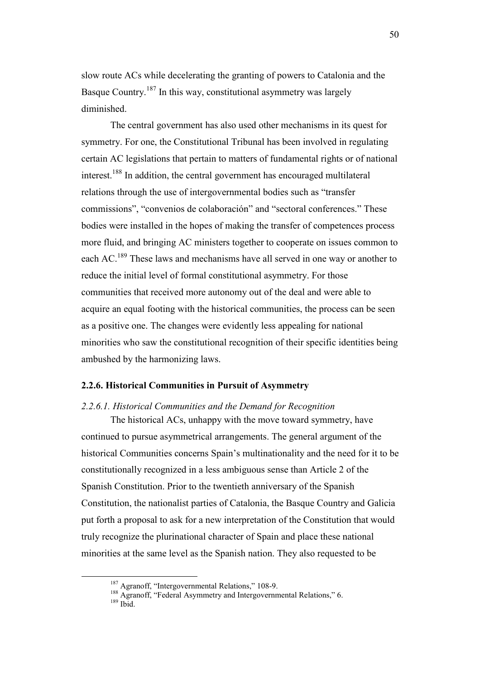slow route ACs while decelerating the granting of powers to Catalonia and the Basque Country.<sup>187</sup> In this way, constitutional asymmetry was largely diminished.

The central government has also used other mechanisms in its quest for symmetry. For one, the Constitutional Tribunal has been involved in regulating certain AC legislations that pertain to matters of fundamental rights or of national interest.<sup>188</sup> In addition, the central government has encouraged multilateral relations through the use of intergovernmental bodies such as "transfer commissions", "convenios de colaboración" and "sectoral conferences." These bodies were installed in the hopes of making the transfer of competences process more fluid, and bringing AC ministers together to cooperate on issues common to each AC.<sup>189</sup> These laws and mechanisms have all served in one way or another to reduce the initial level of formal constitutional asymmetry. For those communities that received more autonomy out of the deal and were able to acquire an equal footing with the historical communities, the process can be seen as a positive one. The changes were evidently less appealing for national minorities who saw the constitutional recognition of their specific identities being ambushed by the harmonizing laws.

## **2.2.6. Historical Communities in Pursuit of Asymmetry**

### *2.2.6.1. Historical Communities and the Demand for Recognition*

The historical ACs, unhappy with the move toward symmetry, have continued to pursue asymmetrical arrangements. The general argument of the historical Communities concerns Spain's multinationality and the need for it to be constitutionally recognized in a less ambiguous sense than Article 2 of the Spanish Constitution. Prior to the twentieth anniversary of the Spanish Constitution, the nationalist parties of Catalonia, the Basque Country and Galicia put forth a proposal to ask for a new interpretation of the Constitution that would truly recognize the plurinational character of Spain and place these national minorities at the same level as the Spanish nation. They also requested to be

<sup>&</sup>lt;sup>187</sup> Agranoff, "Intergovernmental Relations," 108-9.

<sup>&</sup>lt;sup>188</sup> Agranoff, "Federal Asymmetry and Intergovernmental Relations," 6.  $189$  Ibid.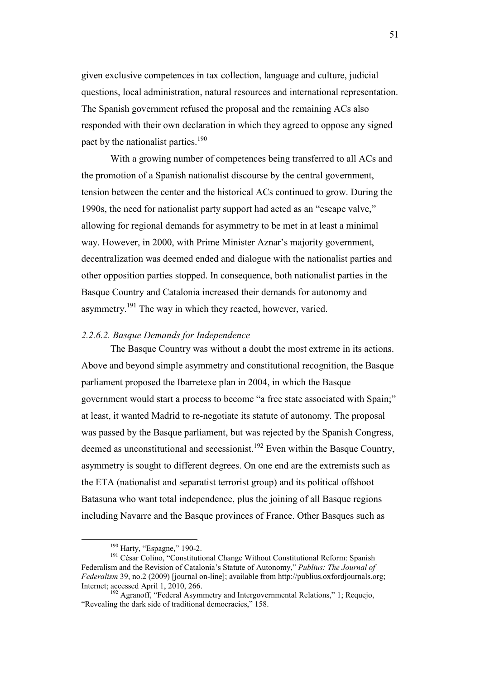given exclusive competences in tax collection, language and culture, judicial questions, local administration, natural resources and international representation. The Spanish government refused the proposal and the remaining ACs also responded with their own declaration in which they agreed to oppose any signed pact by the nationalist parties.<sup>190</sup>

 With a growing number of competences being transferred to all ACs and the promotion of a Spanish nationalist discourse by the central government, tension between the center and the historical ACs continued to grow. During the 1990s, the need for nationalist party support had acted as an "escape valve," allowing for regional demands for asymmetry to be met in at least a minimal way. However, in 2000, with Prime Minister Aznar's majority government, decentralization was deemed ended and dialogue with the nationalist parties and other opposition parties stopped. In consequence, both nationalist parties in the Basque Country and Catalonia increased their demands for autonomy and asymmetry.<sup>191</sup> The way in which they reacted, however, varied.

### *2.2.6.2. Basque Demands for Independence*

The Basque Country was without a doubt the most extreme in its actions. Above and beyond simple asymmetry and constitutional recognition, the Basque parliament proposed the Ibarretexe plan in 2004, in which the Basque government would start a process to become "a free state associated with Spain;" at least, it wanted Madrid to re-negotiate its statute of autonomy. The proposal was passed by the Basque parliament, but was rejected by the Spanish Congress, deemed as unconstitutional and secessionist.<sup>192</sup> Even within the Basque Country, asymmetry is sought to different degrees. On one end are the extremists such as the ETA (nationalist and separatist terrorist group) and its political offshoot Batasuna who want total independence, plus the joining of all Basque regions including Navarre and the Basque provinces of France. Other Basques such as

<sup>&</sup>lt;sup>190</sup> Harty, "Espagne," 190-2.

<sup>&</sup>lt;sup>191</sup> César Colino, "Constitutional Change Without Constitutional Reform: Spanish Federalism and the Revision of Catalonia's Statute of Autonomy," *Publius: The Journal of Federalism* 39, no.2 (2009) [journal on-line]; available from http://publius.oxfordjournals.org; Internet; accessed April 1, 2010, 266.

<sup>&</sup>lt;sup>192</sup> Agranoff, "Federal Asymmetry and Intergovernmental Relations," 1; Requejo, "Revealing the dark side of traditional democracies," 158.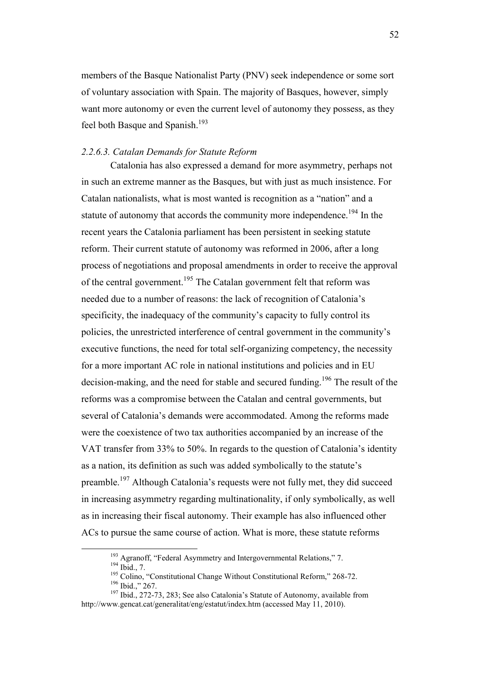members of the Basque Nationalist Party (PNV) seek independence or some sort of voluntary association with Spain. The majority of Basques, however, simply want more autonomy or even the current level of autonomy they possess, as they feel both Basque and Spanish.<sup>193</sup>

#### *2.2.6.3. Catalan Demands for Statute Reform*

 Catalonia has also expressed a demand for more asymmetry, perhaps not in such an extreme manner as the Basques, but with just as much insistence. For Catalan nationalists, what is most wanted is recognition as a "nation" and a statute of autonomy that accords the community more independence.<sup>194</sup> In the recent years the Catalonia parliament has been persistent in seeking statute reform. Their current statute of autonomy was reformed in 2006, after a long process of negotiations and proposal amendments in order to receive the approval of the central government.<sup>195</sup> The Catalan government felt that reform was needed due to a number of reasons: the lack of recognition of Catalonia's specificity, the inadequacy of the community's capacity to fully control its policies, the unrestricted interference of central government in the community's executive functions, the need for total self-organizing competency, the necessity for a more important AC role in national institutions and policies and in EU decision-making, and the need for stable and secured funding.<sup>196</sup> The result of the reforms was a compromise between the Catalan and central governments, but several of Catalonia's demands were accommodated. Among the reforms made were the coexistence of two tax authorities accompanied by an increase of the VAT transfer from 33% to 50%. In regards to the question of Catalonia's identity as a nation, its definition as such was added symbolically to the statute's preamble.<sup>197</sup> Although Catalonia's requests were not fully met, they did succeed in increasing asymmetry regarding multinationality, if only symbolically, as well as in increasing their fiscal autonomy. Their example has also influenced other ACs to pursue the same course of action. What is more, these statute reforms

<sup>&</sup>lt;sup>193</sup> Agranoff, "Federal Asymmetry and Intergovernmental Relations," 7.

<sup>194</sup> Ibid., 7.

<sup>&</sup>lt;sup>195</sup> Colino, "Constitutional Change Without Constitutional Reform," 268-72. <sup>196</sup> Ibid.," 267.

<sup>&</sup>lt;sup>197</sup> Ibid., 272-73, 283; See also Catalonia's Statute of Autonomy, available from http://www.gencat.cat/generalitat/eng/estatut/index.htm (accessed May 11, 2010).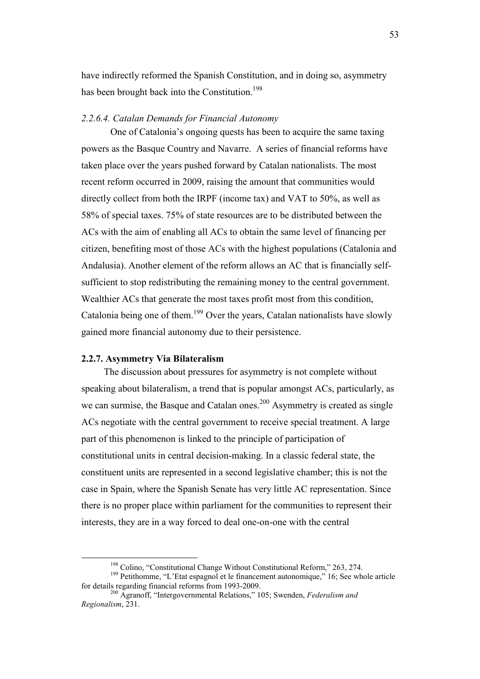have indirectly reformed the Spanish Constitution, and in doing so, asymmetry has been brought back into the Constitution.<sup>198</sup>

### *2.2.6.4. Catalan Demands for Financial Autonomy*

 One of Catalonia's ongoing quests has been to acquire the same taxing powers as the Basque Country and Navarre. A series of financial reforms have taken place over the years pushed forward by Catalan nationalists. The most recent reform occurred in 2009, raising the amount that communities would directly collect from both the IRPF (income tax) and VAT to 50%, as well as 58% of special taxes. 75% of state resources are to be distributed between the ACs with the aim of enabling all ACs to obtain the same level of financing per citizen, benefiting most of those ACs with the highest populations (Catalonia and Andalusia). Another element of the reform allows an AC that is financially selfsufficient to stop redistributing the remaining money to the central government. Wealthier ACs that generate the most taxes profit most from this condition, Catalonia being one of them.<sup>199</sup> Over the years, Catalan nationalists have slowly gained more financial autonomy due to their persistence.

## **2.2.7. Asymmetry Via Bilateralism**

 $\overline{a}$ 

 The discussion about pressures for asymmetry is not complete without speaking about bilateralism, a trend that is popular amongst ACs, particularly, as we can surmise, the Basque and Catalan ones.<sup>200</sup> Asymmetry is created as single ACs negotiate with the central government to receive special treatment. A large part of this phenomenon is linked to the principle of participation of constitutional units in central decision-making. In a classic federal state, the constituent units are represented in a second legislative chamber; this is not the case in Spain, where the Spanish Senate has very little AC representation. Since there is no proper place within parliament for the communities to represent their interests, they are in a way forced to deal one-on-one with the central

<sup>&</sup>lt;sup>198</sup> Colino, "Constitutional Change Without Constitutional Reform," 263, 274.

<sup>&</sup>lt;sup>199</sup> Petithomme, "L'Etat espagnol et le financement autonomique," 16; See whole article for details regarding financial reforms from 1993-2009.

<sup>200</sup> Agranoff, "Intergovernmental Relations," 105; Swenden, *Federalism and Regionalism*, 231.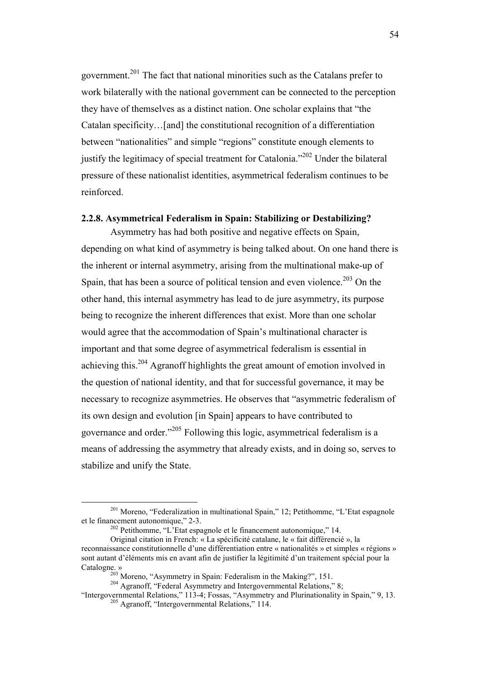government.<sup>201</sup> The fact that national minorities such as the Catalans prefer to work bilaterally with the national government can be connected to the perception they have of themselves as a distinct nation. One scholar explains that "the Catalan specificity…[and] the constitutional recognition of a differentiation between "nationalities" and simple "regions" constitute enough elements to justify the legitimacy of special treatment for Catalonia."<sup>202</sup> Under the bilateral pressure of these nationalist identities, asymmetrical federalism continues to be reinforced.

## **2.2.8. Asymmetrical Federalism in Spain: Stabilizing or Destabilizing?**

 Asymmetry has had both positive and negative effects on Spain, depending on what kind of asymmetry is being talked about. On one hand there is the inherent or internal asymmetry, arising from the multinational make-up of Spain, that has been a source of political tension and even violence.<sup>203</sup> On the other hand, this internal asymmetry has lead to de jure asymmetry, its purpose being to recognize the inherent differences that exist. More than one scholar would agree that the accommodation of Spain's multinational character is important and that some degree of asymmetrical federalism is essential in achieving this.<sup>204</sup> Agranoff highlights the great amount of emotion involved in the question of national identity, and that for successful governance, it may be necessary to recognize asymmetries. He observes that "asymmetric federalism of its own design and evolution [in Spain] appears to have contributed to governance and order."<sup>205</sup> Following this logic, asymmetrical federalism is a means of addressing the asymmetry that already exists, and in doing so, serves to stabilize and unify the State.

<sup>201</sup> Moreno, "Federalization in multinational Spain," 12; Petithomme, "L'Etat espagnole et le financement autonomique," 2-3.

 $202$  Petithomme, "L'Etat espagnole et le financement autonomique," 14.

Original citation in French: « La spécificité catalane, le « fait différencié », la reconnaissance constitutionnelle d'une différentiation entre « nationalités » et simples « régions » sont autant d'éléments mis en avant afin de justifier la légitimité d'un traitement spécial pour la Catalogne. »

<sup>203</sup> Moreno, "Asymmetry in Spain: Federalism in the Making?", 151.

<sup>&</sup>lt;sup>204</sup> Agranoff, "Federal Asymmetry and Intergovernmental Relations," 8;

<sup>&</sup>quot;Intergovernmental Relations," 113-4; Fossas, "Asymmetry and Plurinationality in Spain," 9, 13. <sup>205</sup> Agranoff, "Intergovernmental Relations," 114.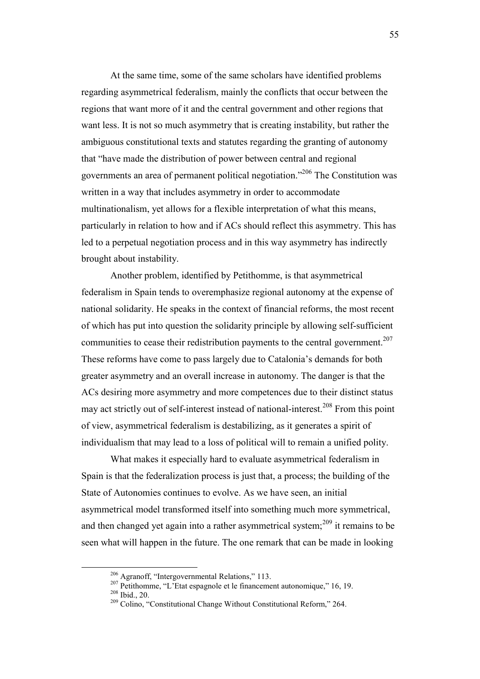At the same time, some of the same scholars have identified problems regarding asymmetrical federalism, mainly the conflicts that occur between the regions that want more of it and the central government and other regions that want less. It is not so much asymmetry that is creating instability, but rather the ambiguous constitutional texts and statutes regarding the granting of autonomy that "have made the distribution of power between central and regional governments an area of permanent political negotiation."<sup>206</sup> The Constitution was written in a way that includes asymmetry in order to accommodate multinationalism, yet allows for a flexible interpretation of what this means, particularly in relation to how and if ACs should reflect this asymmetry. This has led to a perpetual negotiation process and in this way asymmetry has indirectly brought about instability.

 Another problem, identified by Petithomme, is that asymmetrical federalism in Spain tends to overemphasize regional autonomy at the expense of national solidarity. He speaks in the context of financial reforms, the most recent of which has put into question the solidarity principle by allowing self-sufficient communities to cease their redistribution payments to the central government.<sup>207</sup> These reforms have come to pass largely due to Catalonia's demands for both greater asymmetry and an overall increase in autonomy. The danger is that the ACs desiring more asymmetry and more competences due to their distinct status may act strictly out of self-interest instead of national-interest.<sup>208</sup> From this point of view, asymmetrical federalism is destabilizing, as it generates a spirit of individualism that may lead to a loss of political will to remain a unified polity.

 What makes it especially hard to evaluate asymmetrical federalism in Spain is that the federalization process is just that, a process; the building of the State of Autonomies continues to evolve. As we have seen, an initial asymmetrical model transformed itself into something much more symmetrical, and then changed yet again into a rather asymmetrical system; $^{209}$  it remains to be seen what will happen in the future. The one remark that can be made in looking

<sup>206</sup> Agranoff, "Intergovernmental Relations," 113.

<sup>&</sup>lt;sup>207</sup> Petithomme, "L'Etat espagnole et le financement autonomique," 16, 19. <sup>208</sup> Ibid., 20.

<sup>&</sup>lt;sup>209</sup> Colino, "Constitutional Change Without Constitutional Reform," 264.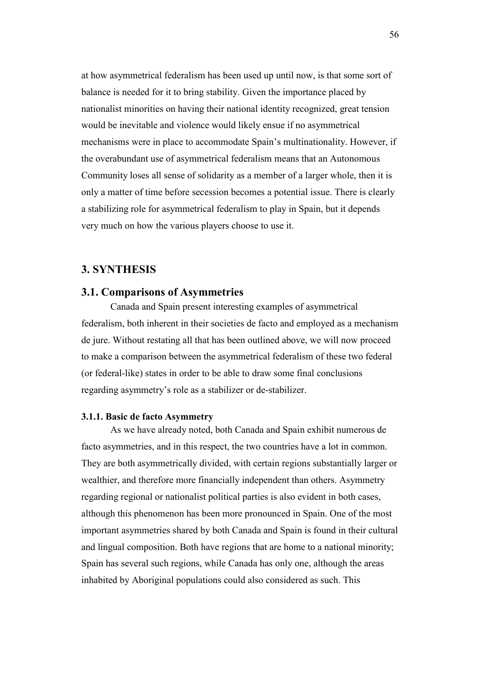at how asymmetrical federalism has been used up until now, is that some sort of balance is needed for it to bring stability. Given the importance placed by nationalist minorities on having their national identity recognized, great tension would be inevitable and violence would likely ensue if no asymmetrical mechanisms were in place to accommodate Spain's multinationality. However, if the overabundant use of asymmetrical federalism means that an Autonomous Community loses all sense of solidarity as a member of a larger whole, then it is only a matter of time before secession becomes a potential issue. There is clearly a stabilizing role for asymmetrical federalism to play in Spain, but it depends very much on how the various players choose to use it.

# **3. SYNTHESIS**

## **3.1. Comparisons of Asymmetries**

 Canada and Spain present interesting examples of asymmetrical federalism, both inherent in their societies de facto and employed as a mechanism de jure. Without restating all that has been outlined above, we will now proceed to make a comparison between the asymmetrical federalism of these two federal (or federal-like) states in order to be able to draw some final conclusions regarding asymmetry's role as a stabilizer or de-stabilizer.

### **3.1.1. Basic de facto Asymmetry**

 As we have already noted, both Canada and Spain exhibit numerous de facto asymmetries, and in this respect, the two countries have a lot in common. They are both asymmetrically divided, with certain regions substantially larger or wealthier, and therefore more financially independent than others. Asymmetry regarding regional or nationalist political parties is also evident in both cases, although this phenomenon has been more pronounced in Spain. One of the most important asymmetries shared by both Canada and Spain is found in their cultural and lingual composition. Both have regions that are home to a national minority; Spain has several such regions, while Canada has only one, although the areas inhabited by Aboriginal populations could also considered as such. This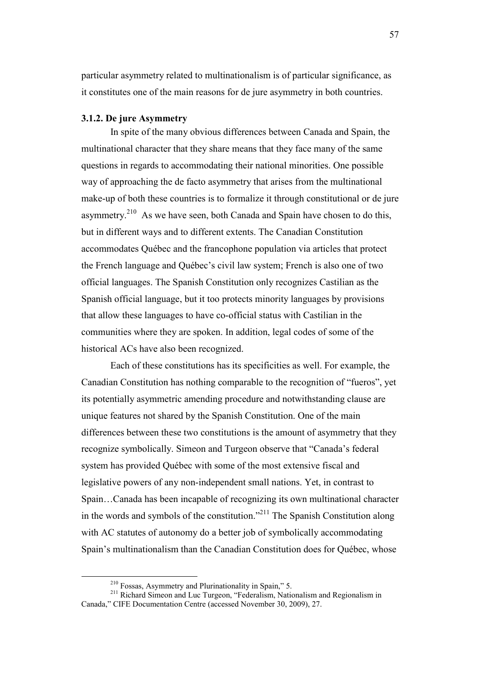particular asymmetry related to multinationalism is of particular significance, as it constitutes one of the main reasons for de jure asymmetry in both countries.

#### **3.1.2. De jure Asymmetry**

In spite of the many obvious differences between Canada and Spain, the multinational character that they share means that they face many of the same questions in regards to accommodating their national minorities. One possible way of approaching the de facto asymmetry that arises from the multinational make-up of both these countries is to formalize it through constitutional or de jure asymmetry.<sup>210</sup> As we have seen, both Canada and Spain have chosen to do this, but in different ways and to different extents. The Canadian Constitution accommodates Québec and the francophone population via articles that protect the French language and Québec's civil law system; French is also one of two official languages. The Spanish Constitution only recognizes Castilian as the Spanish official language, but it too protects minority languages by provisions that allow these languages to have co-official status with Castilian in the communities where they are spoken. In addition, legal codes of some of the historical ACs have also been recognized.

Each of these constitutions has its specificities as well. For example, the Canadian Constitution has nothing comparable to the recognition of "fueros", yet its potentially asymmetric amending procedure and notwithstanding clause are unique features not shared by the Spanish Constitution. One of the main differences between these two constitutions is the amount of asymmetry that they recognize symbolically. Simeon and Turgeon observe that "Canada's federal system has provided Québec with some of the most extensive fiscal and legislative powers of any non-independent small nations. Yet, in contrast to Spain…Canada has been incapable of recognizing its own multinational character in the words and symbols of the constitution."<sup>211</sup> The Spanish Constitution along with AC statutes of autonomy do a better job of symbolically accommodating Spain's multinationalism than the Canadian Constitution does for Québec, whose

<sup>210</sup> Fossas, Asymmetry and Plurinationality in Spain," 5.

<sup>&</sup>lt;sup>211</sup> Richard Simeon and Luc Turgeon, "Federalism, Nationalism and Regionalism in Canada," CIFE Documentation Centre (accessed November 30, 2009), 27.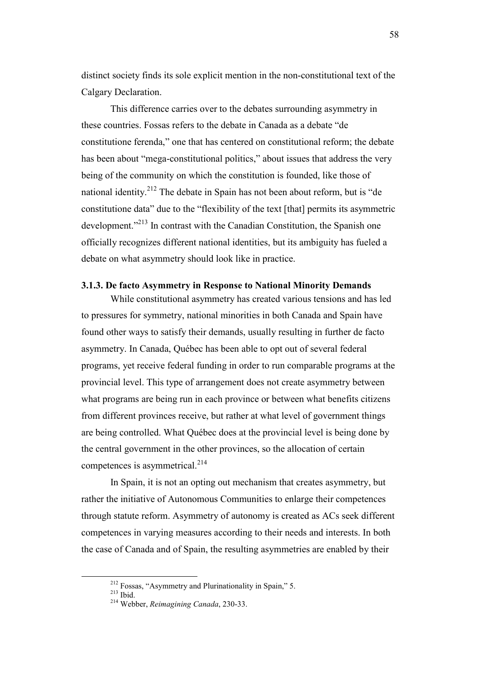distinct society finds its sole explicit mention in the non-constitutional text of the Calgary Declaration.

This difference carries over to the debates surrounding asymmetry in these countries. Fossas refers to the debate in Canada as a debate "de constitutione ferenda," one that has centered on constitutional reform; the debate has been about "mega-constitutional politics," about issues that address the very being of the community on which the constitution is founded, like those of national identity.<sup>212</sup> The debate in Spain has not been about reform, but is "de constitutione data" due to the "flexibility of the text [that] permits its asymmetric development."<sup>213</sup> In contrast with the Canadian Constitution, the Spanish one officially recognizes different national identities, but its ambiguity has fueled a debate on what asymmetry should look like in practice.

#### **3.1.3. De facto Asymmetry in Response to National Minority Demands**

 While constitutional asymmetry has created various tensions and has led to pressures for symmetry, national minorities in both Canada and Spain have found other ways to satisfy their demands, usually resulting in further de facto asymmetry. In Canada, Québec has been able to opt out of several federal programs, yet receive federal funding in order to run comparable programs at the provincial level. This type of arrangement does not create asymmetry between what programs are being run in each province or between what benefits citizens from different provinces receive, but rather at what level of government things are being controlled. What Québec does at the provincial level is being done by the central government in the other provinces, so the allocation of certain competences is asymmetrical. $^{214}$ 

 In Spain, it is not an opting out mechanism that creates asymmetry, but rather the initiative of Autonomous Communities to enlarge their competences through statute reform. Asymmetry of autonomy is created as ACs seek different competences in varying measures according to their needs and interests. In both the case of Canada and of Spain, the resulting asymmetries are enabled by their

<sup>212</sup> Fossas, "Asymmetry and Plurinationality in Spain," 5.

<sup>213</sup> Ibid.

<sup>214</sup> Webber, *Reimagining Canada*, 230-33.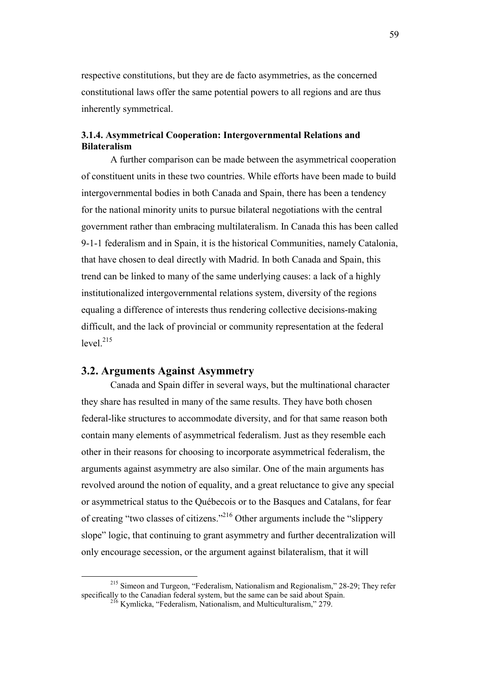respective constitutions, but they are de facto asymmetries, as the concerned constitutional laws offer the same potential powers to all regions and are thus inherently symmetrical.

## **3.1.4. Asymmetrical Cooperation: Intergovernmental Relations and Bilateralism**

 A further comparison can be made between the asymmetrical cooperation of constituent units in these two countries. While efforts have been made to build intergovernmental bodies in both Canada and Spain, there has been a tendency for the national minority units to pursue bilateral negotiations with the central government rather than embracing multilateralism. In Canada this has been called 9-1-1 federalism and in Spain, it is the historical Communities, namely Catalonia, that have chosen to deal directly with Madrid. In both Canada and Spain, this trend can be linked to many of the same underlying causes: a lack of a highly institutionalized intergovernmental relations system, diversity of the regions equaling a difference of interests thus rendering collective decisions-making difficult, and the lack of provincial or community representation at the federal  $level.<sup>215</sup>$ 

### **3.2. Arguments Against Asymmetry**

 $\overline{a}$ 

 Canada and Spain differ in several ways, but the multinational character they share has resulted in many of the same results. They have both chosen federal-like structures to accommodate diversity, and for that same reason both contain many elements of asymmetrical federalism. Just as they resemble each other in their reasons for choosing to incorporate asymmetrical federalism, the arguments against asymmetry are also similar. One of the main arguments has revolved around the notion of equality, and a great reluctance to give any special or asymmetrical status to the Québecois or to the Basques and Catalans, for fear of creating "two classes of citizens."<sup>216</sup> Other arguments include the "slippery slope" logic, that continuing to grant asymmetry and further decentralization will only encourage secession, or the argument against bilateralism, that it will

<sup>215</sup> Simeon and Turgeon, "Federalism, Nationalism and Regionalism," 28-29; They refer specifically to the Canadian federal system, but the same can be said about Spain. <sup>216</sup> Kymlicka, "Federalism, Nationalism, and Multiculturalism," 279.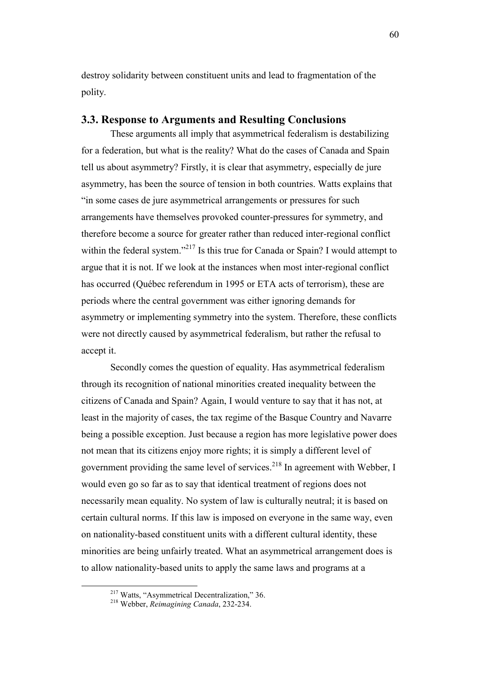destroy solidarity between constituent units and lead to fragmentation of the polity.

# **3.3. Response to Arguments and Resulting Conclusions**

 These arguments all imply that asymmetrical federalism is destabilizing for a federation, but what is the reality? What do the cases of Canada and Spain tell us about asymmetry? Firstly, it is clear that asymmetry, especially de jure asymmetry, has been the source of tension in both countries. Watts explains that "in some cases de jure asymmetrical arrangements or pressures for such arrangements have themselves provoked counter-pressures for symmetry, and therefore become a source for greater rather than reduced inter-regional conflict within the federal system."<sup>217</sup> Is this true for Canada or Spain? I would attempt to argue that it is not. If we look at the instances when most inter-regional conflict has occurred (Québec referendum in 1995 or ETA acts of terrorism), these are periods where the central government was either ignoring demands for asymmetry or implementing symmetry into the system. Therefore, these conflicts were not directly caused by asymmetrical federalism, but rather the refusal to accept it.

 Secondly comes the question of equality. Has asymmetrical federalism through its recognition of national minorities created inequality between the citizens of Canada and Spain? Again, I would venture to say that it has not, at least in the majority of cases, the tax regime of the Basque Country and Navarre being a possible exception. Just because a region has more legislative power does not mean that its citizens enjoy more rights; it is simply a different level of government providing the same level of services.<sup>218</sup> In agreement with Webber, I would even go so far as to say that identical treatment of regions does not necessarily mean equality. No system of law is culturally neutral; it is based on certain cultural norms. If this law is imposed on everyone in the same way, even on nationality-based constituent units with a different cultural identity, these minorities are being unfairly treated. What an asymmetrical arrangement does is to allow nationality-based units to apply the same laws and programs at a

<sup>217</sup> Watts, "Asymmetrical Decentralization," 36.

<sup>218</sup> Webber, *Reimagining Canada*, 232-234.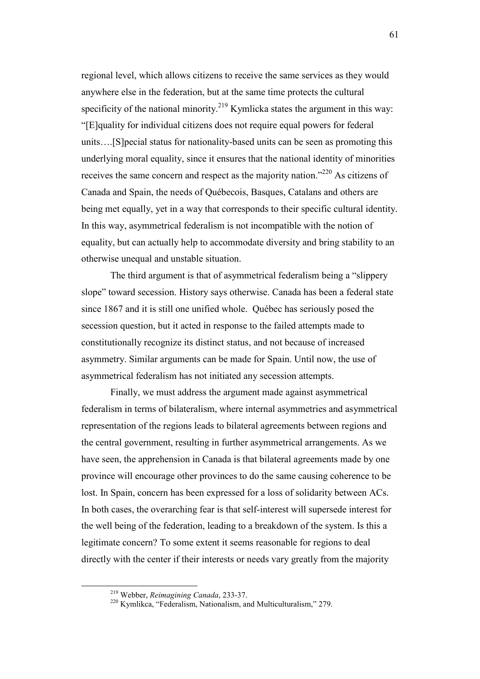regional level, which allows citizens to receive the same services as they would anywhere else in the federation, but at the same time protects the cultural specificity of the national minority.<sup>219</sup> Kymlicka states the argument in this way: "[E]quality for individual citizens does not require equal powers for federal units….[S]pecial status for nationality-based units can be seen as promoting this underlying moral equality, since it ensures that the national identity of minorities receives the same concern and respect as the majority nation."<sup>220</sup> As citizens of Canada and Spain, the needs of Québecois, Basques, Catalans and others are being met equally, yet in a way that corresponds to their specific cultural identity. In this way, asymmetrical federalism is not incompatible with the notion of equality, but can actually help to accommodate diversity and bring stability to an otherwise unequal and unstable situation.

The third argument is that of asymmetrical federalism being a "slippery slope" toward secession. History says otherwise. Canada has been a federal state since 1867 and it is still one unified whole. Québec has seriously posed the secession question, but it acted in response to the failed attempts made to constitutionally recognize its distinct status, and not because of increased asymmetry. Similar arguments can be made for Spain. Until now, the use of asymmetrical federalism has not initiated any secession attempts.

Finally, we must address the argument made against asymmetrical federalism in terms of bilateralism, where internal asymmetries and asymmetrical representation of the regions leads to bilateral agreements between regions and the central government, resulting in further asymmetrical arrangements. As we have seen, the apprehension in Canada is that bilateral agreements made by one province will encourage other provinces to do the same causing coherence to be lost. In Spain, concern has been expressed for a loss of solidarity between ACs. In both cases, the overarching fear is that self-interest will supersede interest for the well being of the federation, leading to a breakdown of the system. Is this a legitimate concern? To some extent it seems reasonable for regions to deal directly with the center if their interests or needs vary greatly from the majority

<sup>219</sup> Webber, *Reimagining Canada*, 233-37.

<sup>220</sup> Kymlikca, "Federalism, Nationalism, and Multiculturalism," 279.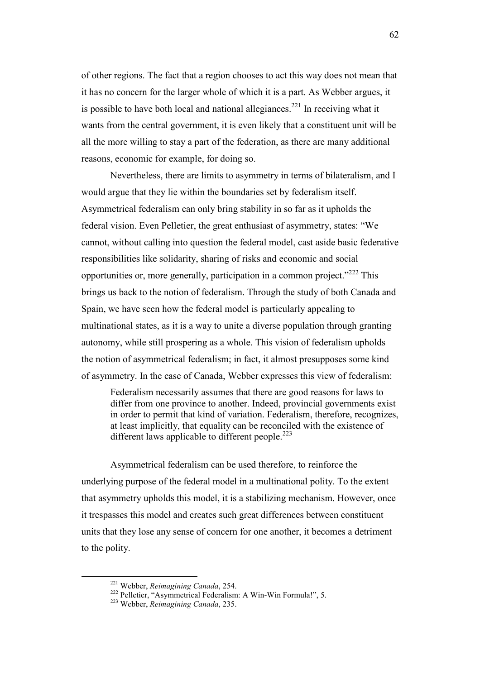of other regions. The fact that a region chooses to act this way does not mean that it has no concern for the larger whole of which it is a part. As Webber argues, it is possible to have both local and national allegiances.<sup>221</sup> In receiving what it wants from the central government, it is even likely that a constituent unit will be all the more willing to stay a part of the federation, as there are many additional reasons, economic for example, for doing so.

Nevertheless, there are limits to asymmetry in terms of bilateralism, and I would argue that they lie within the boundaries set by federalism itself. Asymmetrical federalism can only bring stability in so far as it upholds the federal vision. Even Pelletier, the great enthusiast of asymmetry, states: "We cannot, without calling into question the federal model, cast aside basic federative responsibilities like solidarity, sharing of risks and economic and social opportunities or, more generally, participation in a common project."<sup>222</sup> This brings us back to the notion of federalism. Through the study of both Canada and Spain, we have seen how the federal model is particularly appealing to multinational states, as it is a way to unite a diverse population through granting autonomy, while still prospering as a whole. This vision of federalism upholds the notion of asymmetrical federalism; in fact, it almost presupposes some kind of asymmetry. In the case of Canada, Webber expresses this view of federalism:

Federalism necessarily assumes that there are good reasons for laws to differ from one province to another. Indeed, provincial governments exist in order to permit that kind of variation. Federalism, therefore, recognizes, at least implicitly, that equality can be reconciled with the existence of different laws applicable to different people.<sup>223</sup>

 Asymmetrical federalism can be used therefore, to reinforce the underlying purpose of the federal model in a multinational polity. To the extent that asymmetry upholds this model, it is a stabilizing mechanism. However, once it trespasses this model and creates such great differences between constituent units that they lose any sense of concern for one another, it becomes a detriment to the polity.

<sup>221</sup> Webber, *Reimagining Canada*, 254.

<sup>222</sup> Pelletier, "Asymmetrical Federalism: A Win-Win Formula!", 5.

<sup>223</sup> Webber, *Reimagining Canada*, 235.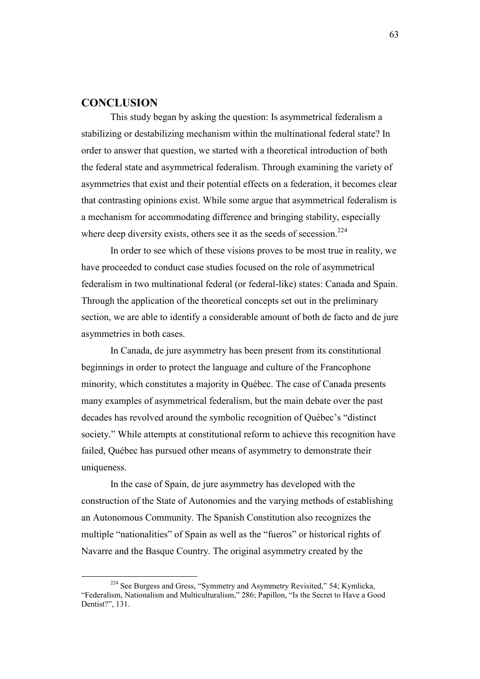# **CONCLUSION**

 $\overline{a}$ 

 This study began by asking the question: Is asymmetrical federalism a stabilizing or destabilizing mechanism within the multinational federal state? In order to answer that question, we started with a theoretical introduction of both the federal state and asymmetrical federalism. Through examining the variety of asymmetries that exist and their potential effects on a federation, it becomes clear that contrasting opinions exist. While some argue that asymmetrical federalism is a mechanism for accommodating difference and bringing stability, especially where deep diversity exists, others see it as the seeds of secession. $224$ 

 In order to see which of these visions proves to be most true in reality, we have proceeded to conduct case studies focused on the role of asymmetrical federalism in two multinational federal (or federal-like) states: Canada and Spain. Through the application of the theoretical concepts set out in the preliminary section, we are able to identify a considerable amount of both de facto and de jure asymmetries in both cases.

In Canada, de jure asymmetry has been present from its constitutional beginnings in order to protect the language and culture of the Francophone minority, which constitutes a majority in Québec. The case of Canada presents many examples of asymmetrical federalism, but the main debate over the past decades has revolved around the symbolic recognition of Québec's "distinct society." While attempts at constitutional reform to achieve this recognition have failed, Québec has pursued other means of asymmetry to demonstrate their uniqueness.

In the case of Spain, de jure asymmetry has developed with the construction of the State of Autonomies and the varying methods of establishing an Autonomous Community. The Spanish Constitution also recognizes the multiple "nationalities" of Spain as well as the "fueros" or historical rights of Navarre and the Basque Country. The original asymmetry created by the

<sup>&</sup>lt;sup>224</sup> See Burgess and Gress, "Symmetry and Asymmetry Revisited," 54; Kymlicka, "Federalism, Nationalism and Multiculturalism," 286; Papillon, "Is the Secret to Have a Good Dentist?", 131.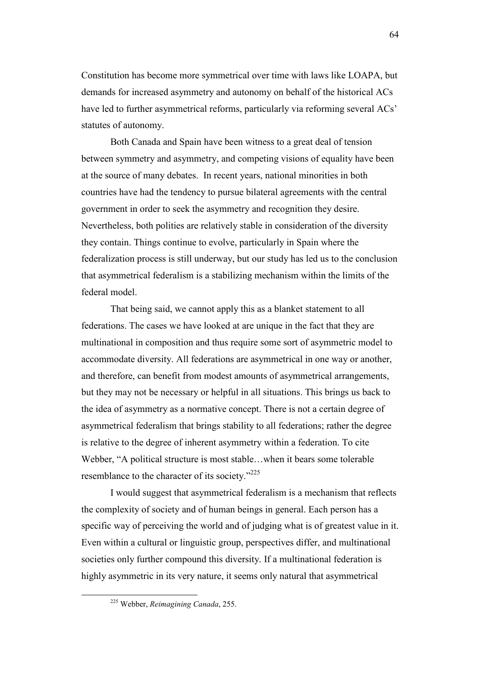Constitution has become more symmetrical over time with laws like LOAPA, but demands for increased asymmetry and autonomy on behalf of the historical ACs have led to further asymmetrical reforms, particularly via reforming several ACs' statutes of autonomy.

Both Canada and Spain have been witness to a great deal of tension between symmetry and asymmetry, and competing visions of equality have been at the source of many debates. In recent years, national minorities in both countries have had the tendency to pursue bilateral agreements with the central government in order to seek the asymmetry and recognition they desire. Nevertheless, both polities are relatively stable in consideration of the diversity they contain. Things continue to evolve, particularly in Spain where the federalization process is still underway, but our study has led us to the conclusion that asymmetrical federalism is a stabilizing mechanism within the limits of the federal model.

That being said, we cannot apply this as a blanket statement to all federations. The cases we have looked at are unique in the fact that they are multinational in composition and thus require some sort of asymmetric model to accommodate diversity. All federations are asymmetrical in one way or another, and therefore, can benefit from modest amounts of asymmetrical arrangements, but they may not be necessary or helpful in all situations. This brings us back to the idea of asymmetry as a normative concept. There is not a certain degree of asymmetrical federalism that brings stability to all federations; rather the degree is relative to the degree of inherent asymmetry within a federation. To cite Webber, "A political structure is most stable…when it bears some tolerable resemblance to the character of its society."<sup>225</sup>

I would suggest that asymmetrical federalism is a mechanism that reflects the complexity of society and of human beings in general. Each person has a specific way of perceiving the world and of judging what is of greatest value in it. Even within a cultural or linguistic group, perspectives differ, and multinational societies only further compound this diversity. If a multinational federation is highly asymmetric in its very nature, it seems only natural that asymmetrical

<sup>225</sup> Webber, *Reimagining Canada*, 255.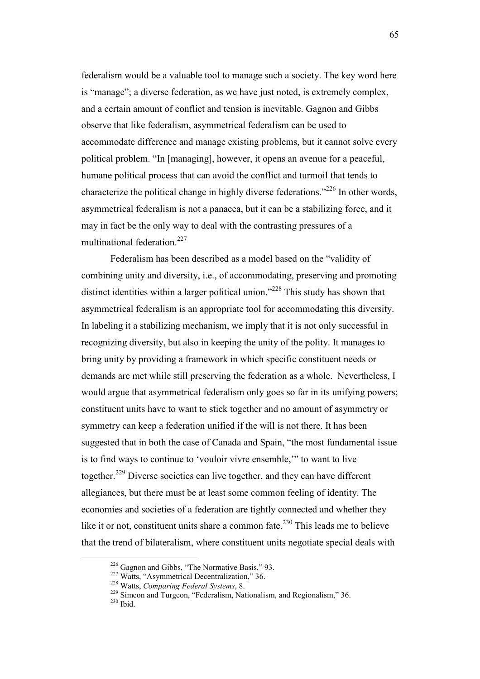federalism would be a valuable tool to manage such a society. The key word here is "manage"; a diverse federation, as we have just noted, is extremely complex, and a certain amount of conflict and tension is inevitable. Gagnon and Gibbs observe that like federalism, asymmetrical federalism can be used to accommodate difference and manage existing problems, but it cannot solve every political problem. "In [managing], however, it opens an avenue for a peaceful, humane political process that can avoid the conflict and turmoil that tends to characterize the political change in highly diverse federations."<sup>226</sup> In other words, asymmetrical federalism is not a panacea, but it can be a stabilizing force, and it may in fact be the only way to deal with the contrasting pressures of a multinational federation.<sup>227</sup>

 Federalism has been described as a model based on the "validity of combining unity and diversity, i.e., of accommodating, preserving and promoting distinct identities within a larger political union."<sup>228</sup> This study has shown that asymmetrical federalism is an appropriate tool for accommodating this diversity. In labeling it a stabilizing mechanism, we imply that it is not only successful in recognizing diversity, but also in keeping the unity of the polity. It manages to bring unity by providing a framework in which specific constituent needs or demands are met while still preserving the federation as a whole. Nevertheless, I would argue that asymmetrical federalism only goes so far in its unifying powers; constituent units have to want to stick together and no amount of asymmetry or symmetry can keep a federation unified if the will is not there. It has been suggested that in both the case of Canada and Spain, "the most fundamental issue is to find ways to continue to 'vouloir vivre ensemble,'" to want to live together.<sup>229</sup> Diverse societies can live together, and they can have different allegiances, but there must be at least some common feeling of identity. The economies and societies of a federation are tightly connected and whether they like it or not, constituent units share a common fate.<sup>230</sup> This leads me to believe that the trend of bilateralism, where constituent units negotiate special deals with

<sup>&</sup>lt;sup>226</sup> Gagnon and Gibbs, "The Normative Basis," 93.

<sup>&</sup>lt;sup>227</sup> Watts, "Asymmetrical Decentralization," 36.

<sup>228</sup> Watts, *Comparing Federal Systems*, 8.

<sup>&</sup>lt;sup>229</sup> Simeon and Turgeon, "Federalism, Nationalism, and Regionalism," 36.  $230$  Ibid.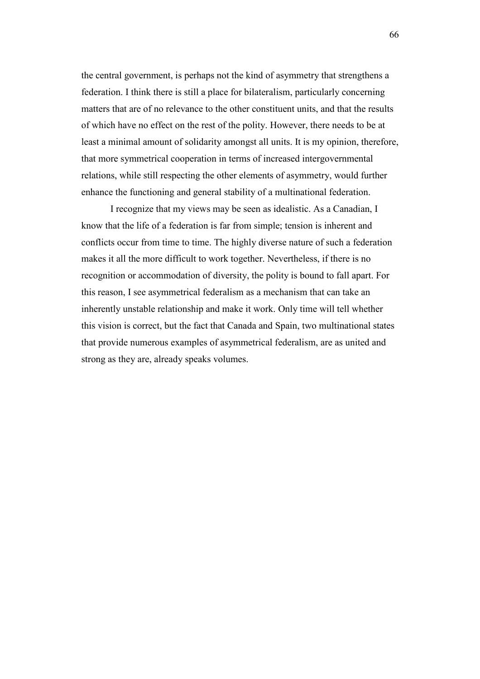the central government, is perhaps not the kind of asymmetry that strengthens a federation. I think there is still a place for bilateralism, particularly concerning matters that are of no relevance to the other constituent units, and that the results of which have no effect on the rest of the polity. However, there needs to be at least a minimal amount of solidarity amongst all units. It is my opinion, therefore, that more symmetrical cooperation in terms of increased intergovernmental relations, while still respecting the other elements of asymmetry, would further enhance the functioning and general stability of a multinational federation.

 I recognize that my views may be seen as idealistic. As a Canadian, I know that the life of a federation is far from simple; tension is inherent and conflicts occur from time to time. The highly diverse nature of such a federation makes it all the more difficult to work together. Nevertheless, if there is no recognition or accommodation of diversity, the polity is bound to fall apart. For this reason, I see asymmetrical federalism as a mechanism that can take an inherently unstable relationship and make it work. Only time will tell whether this vision is correct, but the fact that Canada and Spain, two multinational states that provide numerous examples of asymmetrical federalism, are as united and strong as they are, already speaks volumes.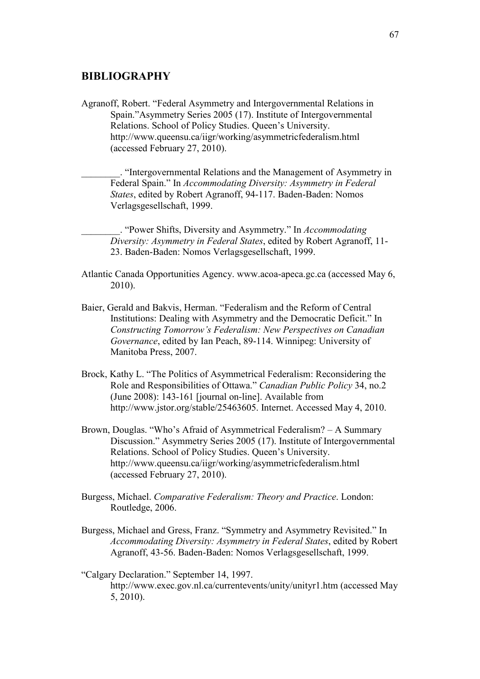# **BIBLIOGRAPHY**

Agranoff, Robert. "Federal Asymmetry and Intergovernmental Relations in Spain."Asymmetry Series 2005 (17). Institute of Intergovernmental Relations. School of Policy Studies. Queen's University. http://www.queensu.ca/iigr/working/asymmetricfederalism.html (accessed February 27, 2010).

\_\_\_\_\_\_\_\_. "Intergovernmental Relations and the Management of Asymmetry in Federal Spain." In *Accommodating Diversity: Asymmetry in Federal States*, edited by Robert Agranoff, 94-117. Baden-Baden: Nomos Verlagsgesellschaft, 1999.

\_\_\_\_\_\_\_\_. "Power Shifts, Diversity and Asymmetry." In *Accommodating Diversity: Asymmetry in Federal States*, edited by Robert Agranoff, 11- 23. Baden-Baden: Nomos Verlagsgesellschaft, 1999.

- Atlantic Canada Opportunities Agency. www.acoa-apeca.gc.ca (accessed May 6, 2010).
- Baier, Gerald and Bakvis, Herman. "Federalism and the Reform of Central Institutions: Dealing with Asymmetry and the Democratic Deficit." In *Constructing Tomorrow's Federalism: New Perspectives on Canadian Governance*, edited by Ian Peach, 89-114. Winnipeg: University of Manitoba Press, 2007.
- Brock, Kathy L. "The Politics of Asymmetrical Federalism: Reconsidering the Role and Responsibilities of Ottawa." *Canadian Public Policy* 34, no.2 (June 2008): 143-161 [journal on-line]. Available from http://www.jstor.org/stable/25463605. Internet. Accessed May 4, 2010.
- Brown, Douglas. "Who's Afraid of Asymmetrical Federalism? A Summary Discussion." Asymmetry Series 2005 (17). Institute of Intergovernmental Relations. School of Policy Studies. Queen's University. http://www.queensu.ca/iigr/working/asymmetricfederalism.html (accessed February 27, 2010).
- Burgess, Michael. *Comparative Federalism: Theory and Practice*. London: Routledge, 2006.
- Burgess, Michael and Gress, Franz. "Symmetry and Asymmetry Revisited." In *Accommodating Diversity: Asymmetry in Federal States*, edited by Robert Agranoff, 43-56. Baden-Baden: Nomos Verlagsgesellschaft, 1999.
- "Calgary Declaration." September 14, 1997. http://www.exec.gov.nl.ca/currentevents/unity/unityr1.htm (accessed May 5, 2010).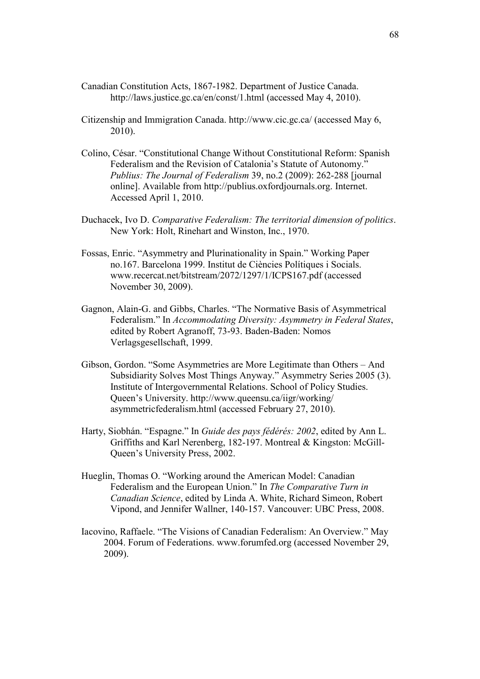- Canadian Constitution Acts, 1867-1982. Department of Justice Canada. http://laws.justice.gc.ca/en/const/1.html (accessed May 4, 2010).
- Citizenship and Immigration Canada. http://www.cic.gc.ca/ (accessed May 6, 2010).
- Colino, César. "Constitutional Change Without Constitutional Reform: Spanish Federalism and the Revision of Catalonia's Statute of Autonomy." *Publius: The Journal of Federalism* 39, no.2 (2009): 262-288 [journal online]. Available from http://publius.oxfordjournals.org. Internet. Accessed April 1, 2010.
- Duchacek, Ivo D. *Comparative Federalism: The territorial dimension of politics*. New York: Holt, Rinehart and Winston, Inc., 1970.
- Fossas, Enric. "Asymmetry and Plurinationality in Spain." Working Paper no.167. Barcelona 1999. Institut de Ciències Polítiques i Socials. www.recercat.net/bitstream/2072/1297/1/ICPS167.pdf (accessed November 30, 2009).
- Gagnon, Alain-G. and Gibbs, Charles. "The Normative Basis of Asymmetrical Federalism." In *Accommodating Diversity: Asymmetry in Federal States*, edited by Robert Agranoff, 73-93. Baden-Baden: Nomos Verlagsgesellschaft, 1999.
- Gibson, Gordon. "Some Asymmetries are More Legitimate than Others And Subsidiarity Solves Most Things Anyway." Asymmetry Series 2005 (3). Institute of Intergovernmental Relations. School of Policy Studies. Queen's University. http://www.queensu.ca/iigr/working/ asymmetricfederalism.html (accessed February 27, 2010).
- Harty, Siobhán. "Espagne." In *Guide des pays fédérés: 2002*, edited by Ann L. Griffiths and Karl Nerenberg, 182-197. Montreal & Kingston: McGill-Queen's University Press, 2002.
- Hueglin, Thomas O. "Working around the American Model: Canadian Federalism and the European Union." In *The Comparative Turn in Canadian Science*, edited by Linda A. White, Richard Simeon, Robert Vipond, and Jennifer Wallner, 140-157. Vancouver: UBC Press, 2008.
- Iacovino, Raffaele. "The Visions of Canadian Federalism: An Overview." May 2004. Forum of Federations. www.forumfed.org (accessed November 29, 2009).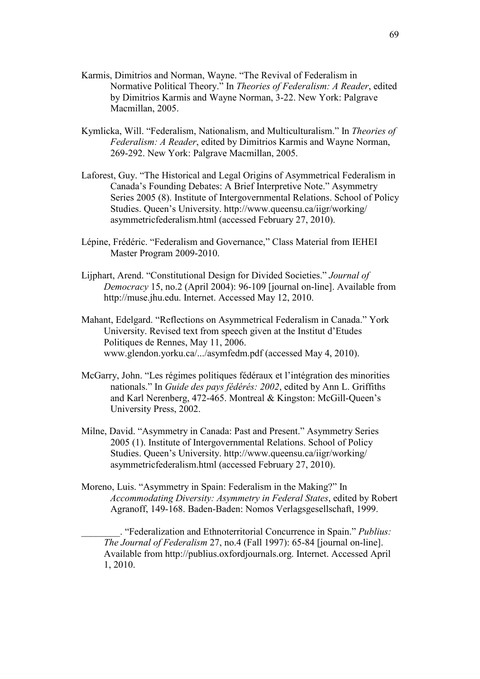- Karmis, Dimitrios and Norman, Wayne. "The Revival of Federalism in Normative Political Theory." In *Theories of Federalism: A Reader*, edited by Dimitrios Karmis and Wayne Norman, 3-22. New York: Palgrave Macmillan, 2005.
- Kymlicka, Will. "Federalism, Nationalism, and Multiculturalism." In *Theories of Federalism: A Reader*, edited by Dimitrios Karmis and Wayne Norman, 269-292. New York: Palgrave Macmillan, 2005.
- Laforest, Guy. "The Historical and Legal Origins of Asymmetrical Federalism in Canada's Founding Debates: A Brief Interpretive Note." Asymmetry Series 2005 (8). Institute of Intergovernmental Relations. School of Policy Studies. Queen's University. http://www.queensu.ca/iigr/working/ asymmetricfederalism.html (accessed February 27, 2010).
- Lépine, Frédéric. "Federalism and Governance," Class Material from IEHEI Master Program 2009-2010.
- Lijphart, Arend. "Constitutional Design for Divided Societies." *Journal of Democracy* 15, no.2 (April 2004): 96-109 [journal on-line]. Available from http://muse.jhu.edu. Internet. Accessed May 12, 2010.
- Mahant, Edelgard. "Reflections on Asymmetrical Federalism in Canada." York University. Revised text from speech given at the Institut d'Etudes Politiques de Rennes, May 11, 2006. www.glendon.yorku.ca/.../asymfedm.pdf (accessed May 4, 2010).
- McGarry, John. "Les régimes politiques fédéraux et l'intégration des minorities nationals." In *Guide des pays fédérés: 2002*, edited by Ann L. Griffiths and Karl Nerenberg, 472-465. Montreal & Kingston: McGill-Queen's University Press, 2002.
- Milne, David. "Asymmetry in Canada: Past and Present." Asymmetry Series 2005 (1). Institute of Intergovernmental Relations. School of Policy Studies. Queen's University. http://www.queensu.ca/iigr/working/ asymmetricfederalism.html (accessed February 27, 2010).
- Moreno, Luis. "Asymmetry in Spain: Federalism in the Making?" In *Accommodating Diversity: Asymmetry in Federal States*, edited by Robert Agranoff, 149-168. Baden-Baden: Nomos Verlagsgesellschaft, 1999.

\_\_\_\_\_\_\_\_. "Federalization and Ethnoterritorial Concurrence in Spain." *Publius: The Journal of Federalism* 27, no.4 (Fall 1997): 65-84 [journal on-line]. Available from http://publius.oxfordjournals.org. Internet. Accessed April 1, 2010.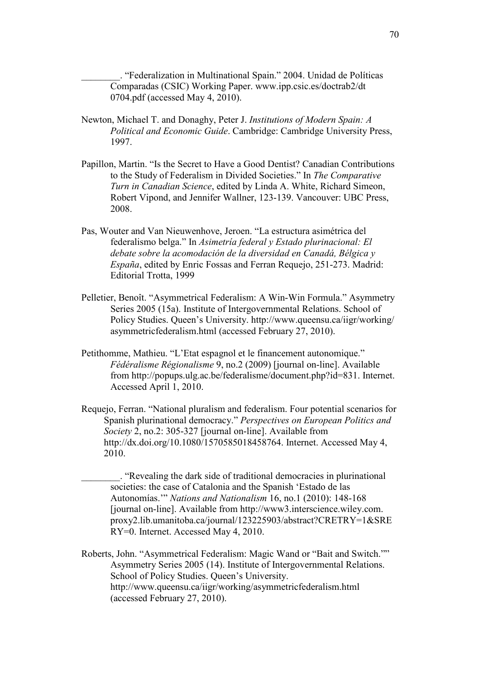\_\_\_\_\_\_\_\_. "Federalization in Multinational Spain." 2004. Unidad de Políticas Comparadas (CSIC) Working Paper. www.ipp.csic.es/doctrab2/dt 0704.pdf (accessed May 4, 2010).

- Newton, Michael T. and Donaghy, Peter J. *Institutions of Modern Spain: A Political and Economic Guide*. Cambridge: Cambridge University Press, 1997.
- Papillon, Martin. "Is the Secret to Have a Good Dentist? Canadian Contributions to the Study of Federalism in Divided Societies." In *The Comparative Turn in Canadian Science*, edited by Linda A. White, Richard Simeon, Robert Vipond, and Jennifer Wallner, 123-139. Vancouver: UBC Press, 2008.
- Pas, Wouter and Van Nieuwenhove, Jeroen. "La estructura asimétrica del federalismo belga." In *Asimetría federal y Estado plurinacional: El debate sobre la acomodación de la diversidad en Canadá, Bélgica y España*, edited by Enric Fossas and Ferran Requejo, 251-273. Madrid: Editorial Trotta, 1999
- Pelletier, Benoît. "Asymmetrical Federalism: A Win-Win Formula." Asymmetry Series 2005 (15a). Institute of Intergovernmental Relations. School of Policy Studies. Queen's University. http://www.queensu.ca/iigr/working/ asymmetricfederalism.html (accessed February 27, 2010).
- Petithomme, Mathieu. "L'Etat espagnol et le financement autonomique." *Fédéralisme Régionalisme* 9, no.2 (2009) [journal on-line]. Available from http://popups.ulg.ac.be/federalisme/document.php?id=831. Internet. Accessed April 1, 2010.
- Requejo, Ferran. "National pluralism and federalism. Four potential scenarios for Spanish plurinational democracy." *Perspectives on European Politics and Society* 2, no.2: 305-327 [journal on-line]. Available from http://dx.doi.org/10.1080/1570585018458764. Internet. Accessed May 4, 2010.
	- \_\_\_\_\_\_\_\_. "Revealing the dark side of traditional democracies in plurinational societies: the case of Catalonia and the Spanish 'Estado de las Autonomías.'" *Nations and Nationalism* 16, no.1 (2010): 148-168 [journal on-line]. Available from http://www3.interscience.wiley.com. proxy2.lib.umanitoba.ca/journal/123225903/abstract?CRETRY=1&SRE RY=0. Internet. Accessed May 4, 2010.
- Roberts, John. "Asymmetrical Federalism: Magic Wand or "Bait and Switch."" Asymmetry Series 2005 (14). Institute of Intergovernmental Relations. School of Policy Studies. Queen's University. http://www.queensu.ca/iigr/working/asymmetricfederalism.html (accessed February 27, 2010).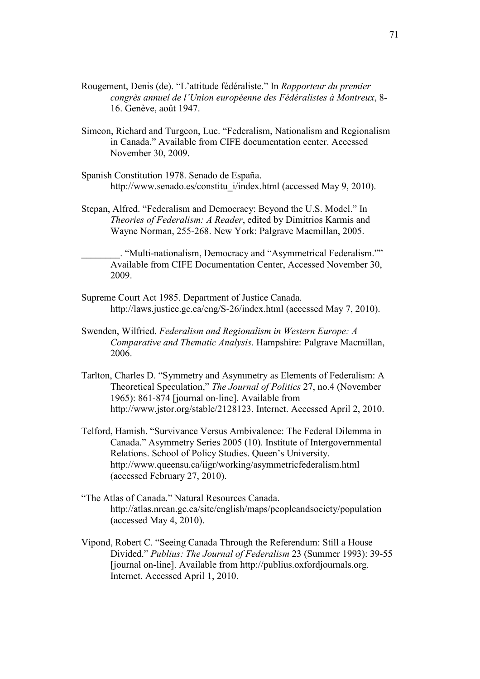- Rougement, Denis (de). "L'attitude fédéraliste." In *Rapporteur du premier congrès annuel de l'Union européenne des Fédéralistes à Montreux*, 8- 16. Genève, août 1947.
- Simeon, Richard and Turgeon, Luc. "Federalism, Nationalism and Regionalism in Canada." Available from CIFE documentation center. Accessed November 30, 2009.
- Spanish Constitution 1978. Senado de España. http://www.senado.es/constitu\_i/index.html (accessed May 9, 2010).
- Stepan, Alfred. "Federalism and Democracy: Beyond the U.S. Model." In *Theories of Federalism: A Reader*, edited by Dimitrios Karmis and Wayne Norman, 255-268. New York: Palgrave Macmillan, 2005.

\_\_\_\_\_\_\_\_. "Multi-nationalism, Democracy and "Asymmetrical Federalism."" Available from CIFE Documentation Center, Accessed November 30, 2009.

- Supreme Court Act 1985. Department of Justice Canada. http://laws.justice.gc.ca/eng/S-26/index.html (accessed May 7, 2010).
- Swenden, Wilfried. *Federalism and Regionalism in Western Europe: A Comparative and Thematic Analysis*. Hampshire: Palgrave Macmillan, 2006.
- Tarlton, Charles D. "Symmetry and Asymmetry as Elements of Federalism: A Theoretical Speculation," *The Journal of Politics* 27, no.4 (November 1965): 861-874 [journal on-line]. Available from http://www.jstor.org/stable/2128123. Internet. Accessed April 2, 2010.
- Telford, Hamish. "Survivance Versus Ambivalence: The Federal Dilemma in Canada." Asymmetry Series 2005 (10). Institute of Intergovernmental Relations. School of Policy Studies. Queen's University. http://www.queensu.ca/iigr/working/asymmetricfederalism.html (accessed February 27, 2010).
- "The Atlas of Canada." Natural Resources Canada. http://atlas.nrcan.gc.ca/site/english/maps/peopleandsociety/population (accessed May 4, 2010).
- Vipond, Robert C. "Seeing Canada Through the Referendum: Still a House Divided." *Publius: The Journal of Federalism* 23 (Summer 1993): 39-55 [journal on-line]. Available from http://publius.oxfordjournals.org. Internet. Accessed April 1, 2010.